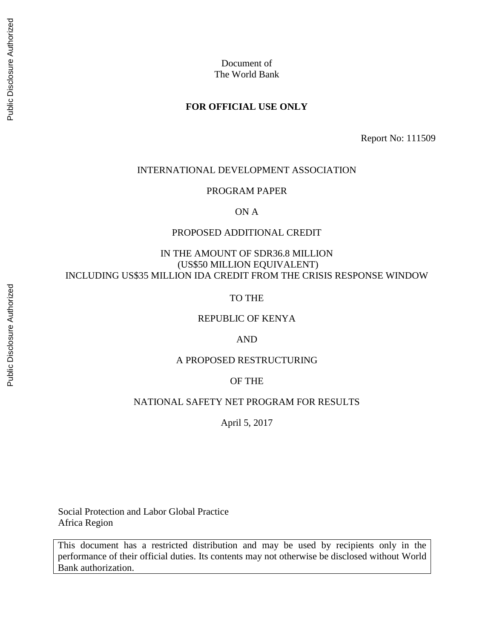# **FOR OFFICIAL USE ONLY**

Report No: 111509

## INTERNATIONAL DEVELOPMENT ASSOCIATION

### PROGRAM PAPER

ON A

### PROPOSED ADDITIONAL CREDIT

# IN THE AMOUNT OF SDR36.8 MILLION (US\$50 MILLION EQUIVALENT) INCLUDING US\$35 MILLION IDA CREDIT FROM THE CRISIS RESPONSE WINDOW

TO THE

## REPUBLIC OF KENYA

AND

## A PROPOSED RESTRUCTURING

### OF THE

# NATIONAL SAFETY NET PROGRAM FOR RESULTS

April 5, 2017

Social Protection and Labor Global Practice Africa Region

This document has a restricted distribution and may be used by recipients only in the performance of their official duties. Its contents may not otherwise be disclosed without World Bank authorization.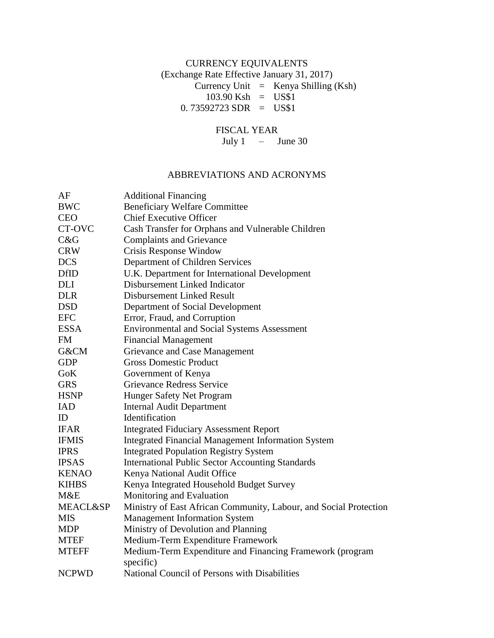# CURRENCY EQUIVALENTS (Exchange Rate Effective January 31, 2017) Currency Unit  $=$  Kenya Shilling (Ksh)  $103.90$  Ksh = US\$1  $0.73592723$  SDR = US\$1

# FISCAL YEAR

July 1 – June 30

# ABBREVIATIONS AND ACRONYMS

| AF                  | <b>Additional Financing</b>                                       |
|---------------------|-------------------------------------------------------------------|
| <b>BWC</b>          | <b>Beneficiary Welfare Committee</b>                              |
| <b>CEO</b>          | <b>Chief Executive Officer</b>                                    |
| CT-OVC              | Cash Transfer for Orphans and Vulnerable Children                 |
| C&G                 | <b>Complaints and Grievance</b>                                   |
| <b>CRW</b>          | Crisis Response Window                                            |
| <b>DCS</b>          | Department of Children Services                                   |
| <b>DfID</b>         | U.K. Department for International Development                     |
| DLI                 | Disbursement Linked Indicator                                     |
| <b>DLR</b>          | Disbursement Linked Result                                        |
| <b>DSD</b>          | Department of Social Development                                  |
| <b>EFC</b>          | Error, Fraud, and Corruption                                      |
| <b>ESSA</b>         | <b>Environmental and Social Systems Assessment</b>                |
| FM                  | <b>Financial Management</b>                                       |
| G&CM                | Grievance and Case Management                                     |
| <b>GDP</b>          | <b>Gross Domestic Product</b>                                     |
| GoK                 | Government of Kenya                                               |
| <b>GRS</b>          | Grievance Redress Service                                         |
| <b>HSNP</b>         | Hunger Safety Net Program                                         |
| <b>IAD</b>          | <b>Internal Audit Department</b>                                  |
| ID                  | Identification                                                    |
| <b>IFAR</b>         | <b>Integrated Fiduciary Assessment Report</b>                     |
| <b>IFMIS</b>        | <b>Integrated Financial Management Information System</b>         |
| <b>IPRS</b>         | <b>Integrated Population Registry System</b>                      |
| <b>IPSAS</b>        | <b>International Public Sector Accounting Standards</b>           |
| <b>KENAO</b>        | Kenya National Audit Office                                       |
| <b>KIHBS</b>        | Kenya Integrated Household Budget Survey                          |
| M&E                 | Monitoring and Evaluation                                         |
| <b>MEACL&amp;SP</b> | Ministry of East African Community, Labour, and Social Protection |
| <b>MIS</b>          | <b>Management Information System</b>                              |
| <b>MDP</b>          | Ministry of Devolution and Planning                               |
| <b>MTEF</b>         | Medium-Term Expenditure Framework                                 |
| <b>MTEFF</b>        | Medium-Term Expenditure and Financing Framework (program          |
|                     | specific)                                                         |
| <b>NCPWD</b>        | National Council of Persons with Disabilities                     |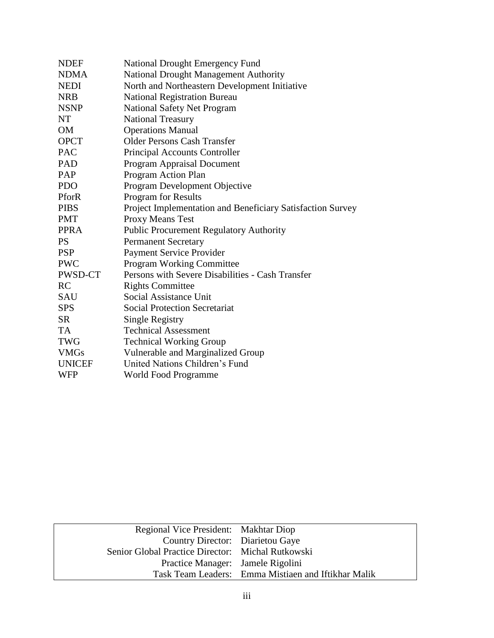| <b>NDEF</b>   | <b>National Drought Emergency Fund</b>                     |
|---------------|------------------------------------------------------------|
| <b>NDMA</b>   | National Drought Management Authority                      |
| <b>NEDI</b>   | North and Northeastern Development Initiative              |
| <b>NRB</b>    | <b>National Registration Bureau</b>                        |
| <b>NSNP</b>   | <b>National Safety Net Program</b>                         |
| NT            | <b>National Treasury</b>                                   |
| <b>OM</b>     | <b>Operations Manual</b>                                   |
| <b>OPCT</b>   | <b>Older Persons Cash Transfer</b>                         |
| <b>PAC</b>    | Principal Accounts Controller                              |
| PAD           | <b>Program Appraisal Document</b>                          |
| PAP           | Program Action Plan                                        |
| <b>PDO</b>    | Program Development Objective                              |
| PforR         | <b>Program for Results</b>                                 |
| <b>PIBS</b>   | Project Implementation and Beneficiary Satisfaction Survey |
| <b>PMT</b>    | Proxy Means Test                                           |
| <b>PPRA</b>   | <b>Public Procurement Regulatory Authority</b>             |
| <b>PS</b>     | <b>Permanent Secretary</b>                                 |
| <b>PSP</b>    | <b>Payment Service Provider</b>                            |
| <b>PWC</b>    | <b>Program Working Committee</b>                           |
| PWSD-CT       | Persons with Severe Disabilities - Cash Transfer           |
| RC            | <b>Rights Committee</b>                                    |
| SAU           | Social Assistance Unit                                     |
| <b>SPS</b>    | <b>Social Protection Secretariat</b>                       |
| <b>SR</b>     | Single Registry                                            |
| <b>TA</b>     | <b>Technical Assessment</b>                                |
| <b>TWG</b>    | <b>Technical Working Group</b>                             |
| <b>VMGs</b>   | Vulnerable and Marginalized Group                          |
| <b>UNICEF</b> | United Nations Children's Fund                             |
| WFP           | World Food Programme                                       |

| Regional Vice President: Makhtar Diop             |                                                     |
|---------------------------------------------------|-----------------------------------------------------|
| Country Director: Diarietou Gaye                  |                                                     |
| Senior Global Practice Director: Michal Rutkowski |                                                     |
| Practice Manager: Jamele Rigolini                 |                                                     |
|                                                   | Task Team Leaders: Emma Mistiaen and Iftikhar Malik |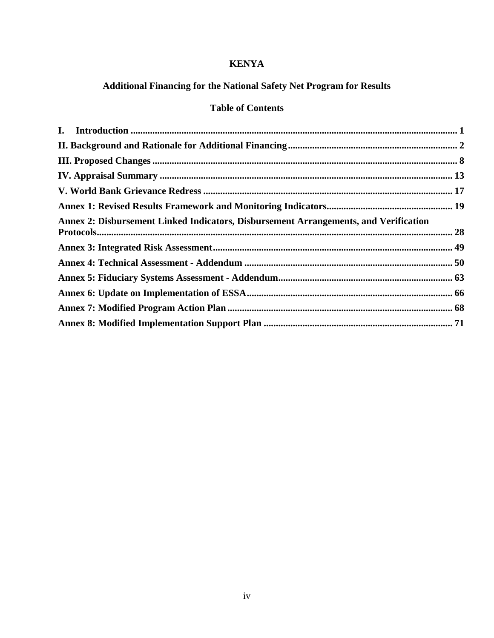# **KENYA**

# **Additional Financing for the National Safety Net Program for Results**

# **Table of Contents**

| Annex 2: Disbursement Linked Indicators, Disbursement Arrangements, and Verification |  |
|--------------------------------------------------------------------------------------|--|
|                                                                                      |  |
|                                                                                      |  |
|                                                                                      |  |
|                                                                                      |  |
|                                                                                      |  |
|                                                                                      |  |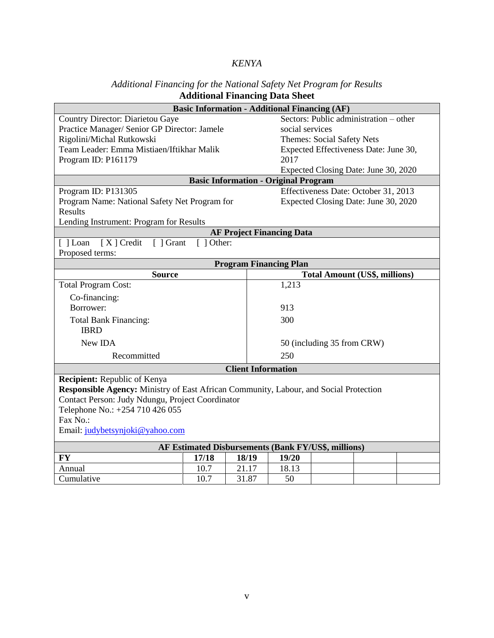# *KENYA*

# *Additional Financing for the National Safety Net Program for Results* **Additional Financing Data Sheet**

| <b>Basic Information - Additional Financing (AF)</b>                                  |            |                                             |                                      |                                        |  |  |  |  |
|---------------------------------------------------------------------------------------|------------|---------------------------------------------|--------------------------------------|----------------------------------------|--|--|--|--|
| <b>Country Director: Diarietou Gaye</b>                                               |            |                                             |                                      | Sectors: Public administration - other |  |  |  |  |
| Practice Manager/ Senior GP Director: Jamele                                          |            |                                             | social services                      |                                        |  |  |  |  |
| Rigolini/Michal Rutkowski                                                             |            |                                             | <b>Themes: Social Safety Nets</b>    |                                        |  |  |  |  |
| Team Leader: Emma Mistiaen/Iftikhar Malik                                             |            |                                             |                                      | Expected Effectiveness Date: June 30,  |  |  |  |  |
| Program ID: P161179                                                                   |            |                                             | 2017                                 |                                        |  |  |  |  |
|                                                                                       |            |                                             | Expected Closing Date: June 30, 2020 |                                        |  |  |  |  |
|                                                                                       |            | <b>Basic Information - Original Program</b> |                                      |                                        |  |  |  |  |
| Program ID: P131305                                                                   |            |                                             |                                      | Effectiveness Date: October 31, 2013   |  |  |  |  |
| Program Name: National Safety Net Program for                                         |            |                                             |                                      | Expected Closing Date: June 30, 2020   |  |  |  |  |
| <b>Results</b>                                                                        |            |                                             |                                      |                                        |  |  |  |  |
| Lending Instrument: Program for Results                                               |            |                                             |                                      |                                        |  |  |  |  |
|                                                                                       |            | <b>AF Project Financing Data</b>            |                                      |                                        |  |  |  |  |
| $[X]$ Credit<br>[ ] Grant<br>$\lceil$   Loan                                          | [ ] Other: |                                             |                                      |                                        |  |  |  |  |
| Proposed terms:                                                                       |            |                                             |                                      |                                        |  |  |  |  |
| <b>Program Financing Plan</b>                                                         |            |                                             |                                      |                                        |  |  |  |  |
| <b>Source</b>                                                                         |            |                                             | <b>Total Amount (US\$, millions)</b> |                                        |  |  |  |  |
| <b>Total Program Cost:</b>                                                            |            |                                             | 1,213                                |                                        |  |  |  |  |
| Co-financing:                                                                         |            |                                             |                                      |                                        |  |  |  |  |
| Borrower:                                                                             |            |                                             | 913                                  |                                        |  |  |  |  |
| <b>Total Bank Financing:</b>                                                          |            |                                             | 300                                  |                                        |  |  |  |  |
| <b>IBRD</b>                                                                           |            |                                             |                                      |                                        |  |  |  |  |
| New IDA                                                                               |            |                                             | 50 (including 35 from CRW)           |                                        |  |  |  |  |
| Recommitted                                                                           |            |                                             | 250                                  |                                        |  |  |  |  |
|                                                                                       |            | <b>Client Information</b>                   |                                      |                                        |  |  |  |  |
| Recipient: Republic of Kenya                                                          |            |                                             |                                      |                                        |  |  |  |  |
| Responsible Agency: Ministry of East African Community, Labour, and Social Protection |            |                                             |                                      |                                        |  |  |  |  |
| Contact Person: Judy Ndungu, Project Coordinator                                      |            |                                             |                                      |                                        |  |  |  |  |
| Telephone No.: +254 710 426 055                                                       |            |                                             |                                      |                                        |  |  |  |  |
| Fax No.:                                                                              |            |                                             |                                      |                                        |  |  |  |  |
| Email: judybetsynjoki@yahoo.com                                                       |            |                                             |                                      |                                        |  |  |  |  |
| AF Estimated Disbursements (Bank FY/US\$, millions)                                   |            |                                             |                                      |                                        |  |  |  |  |
| <b>FY</b>                                                                             | 17/18      | 18/19                                       | 19/20                                |                                        |  |  |  |  |
| Annual                                                                                | 10.7       | 21.17                                       | 18.13                                |                                        |  |  |  |  |
| Cumulative                                                                            | 10.7       | 31.87                                       | 50                                   |                                        |  |  |  |  |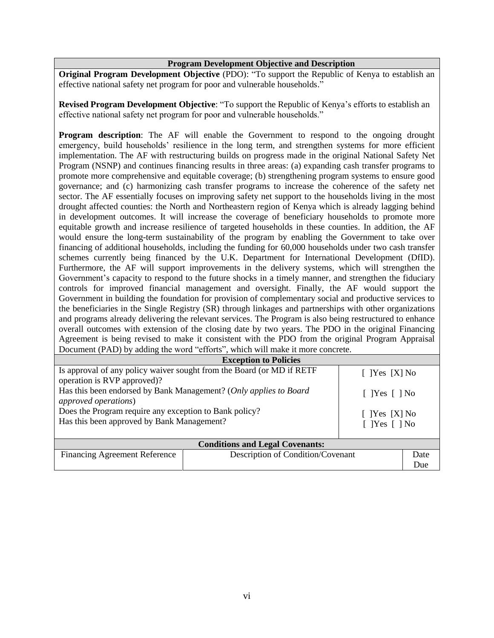### **Program Development Objective and Description**

**Original Program Development Objective** (PDO): "To support the Republic of Kenya to establish an effective national safety net program for poor and vulnerable households."

**Revised Program Development Objective**: "To support the Republic of Kenya's efforts to establish an effective national safety net program for poor and vulnerable households."

**Program description**: The AF will enable the Government to respond to the ongoing drought emergency, build households' resilience in the long term, and strengthen systems for more efficient implementation. The AF with restructuring builds on progress made in the original National Safety Net Program (NSNP) and continues financing results in three areas: (a) expanding cash transfer programs to promote more comprehensive and equitable coverage; (b) strengthening program systems to ensure good governance; and (c) harmonizing cash transfer programs to increase the coherence of the safety net sector. The AF essentially focuses on improving safety net support to the households living in the most drought affected counties: the North and Northeastern region of Kenya which is already lagging behind in development outcomes. It will increase the coverage of beneficiary households to promote more equitable growth and increase resilience of targeted households in these counties. In addition, the AF would ensure the long-term sustainability of the program by enabling the Government to take over financing of additional households, including the funding for 60,000 households under two cash transfer schemes currently being financed by the U.K. Department for International Development (DfID). Furthermore, the AF will support improvements in the delivery systems, which will strengthen the Government's capacity to respond to the future shocks in a timely manner, and strengthen the fiduciary controls for improved financial management and oversight. Finally, the AF would support the Government in building the foundation for provision of complementary social and productive services to the beneficiaries in the Single Registry (SR) through linkages and partnerships with other organizations and programs already delivering the relevant services. The Program is also being restructured to enhance overall outcomes with extension of the closing date by two years. The PDO in the original Financing Agreement is being revised to make it consistent with the PDO from the original Program Appraisal Document (PAD) by adding the word "efforts", which will make it more concrete.

| <b>Exception to Policies</b>                                              |                             |                             |     |  |  |  |  |  |  |
|---------------------------------------------------------------------------|-----------------------------|-----------------------------|-----|--|--|--|--|--|--|
| Is approval of any policy waiver sought from the Board (or MD if RETF     | $[$ [Yes [X] No             |                             |     |  |  |  |  |  |  |
| operation is RVP approved)?                                               |                             |                             |     |  |  |  |  |  |  |
| Has this been endorsed by Bank Management? (Only applies to Board         | $\lceil$  Yes $\lceil$   No |                             |     |  |  |  |  |  |  |
| <i>approved operations</i> )                                              |                             |                             |     |  |  |  |  |  |  |
| Does the Program require any exception to Bank policy?                    |                             | $[$ [Yes $[X]$ No           |     |  |  |  |  |  |  |
| Has this been approved by Bank Management?                                |                             | $\lceil$  Yes $\lceil$   No |     |  |  |  |  |  |  |
|                                                                           |                             |                             |     |  |  |  |  |  |  |
| <b>Conditions and Legal Covenants:</b>                                    |                             |                             |     |  |  |  |  |  |  |
| Description of Condition/Covenant<br><b>Financing Agreement Reference</b> |                             |                             |     |  |  |  |  |  |  |
|                                                                           |                             |                             | Due |  |  |  |  |  |  |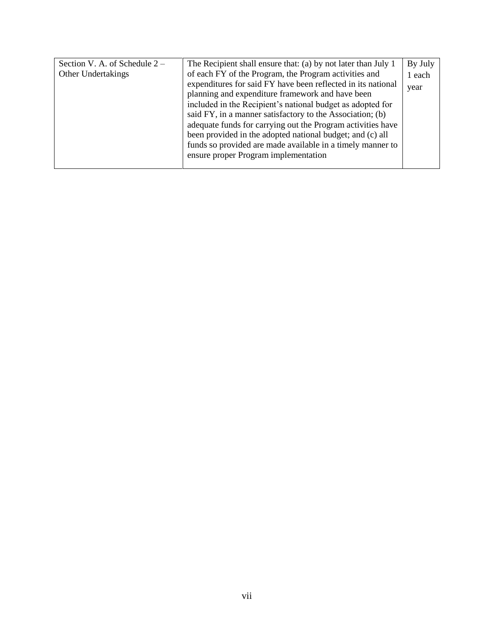| Section V. A. of Schedule 2 – | The Recipient shall ensure that: (a) by not later than July 1 | By July |
|-------------------------------|---------------------------------------------------------------|---------|
| Other Undertakings            | of each FY of the Program, the Program activities and         | 1 each  |
|                               | expenditures for said FY have been reflected in its national  | year    |
|                               | planning and expenditure framework and have been              |         |
|                               | included in the Recipient's national budget as adopted for    |         |
|                               | said FY, in a manner satisfactory to the Association; (b)     |         |
|                               | adequate funds for carrying out the Program activities have   |         |
|                               | been provided in the adopted national budget; and (c) all     |         |
|                               | funds so provided are made available in a timely manner to    |         |
|                               | ensure proper Program implementation                          |         |
|                               |                                                               |         |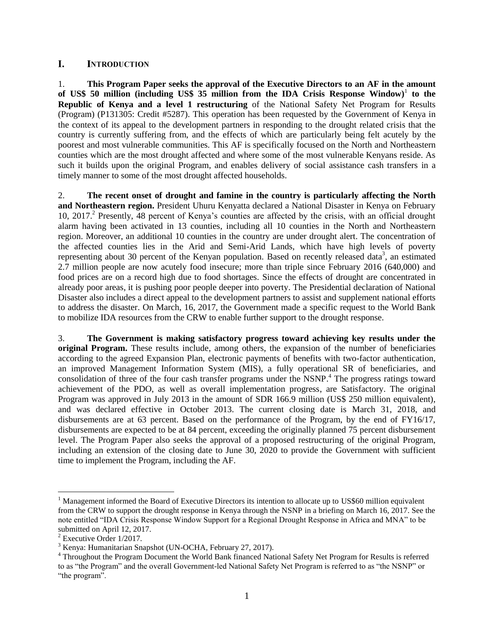#### <span id="page-7-0"></span>L. **INTRODUCTION**

1. **This Program Paper seeks the approval of the Executive Directors to an AF in the amount**  of US\$ 50 million (including US\$ 35 million from the IDA Crisis Response Window)<sup>1</sup> to the **Republic of Kenya and a level 1 restructuring** of the National Safety Net Program for Results (Program) (P131305: Credit #5287). This operation has been requested by the Government of Kenya in the context of its appeal to the development partners in responding to the drought related crisis that the country is currently suffering from, and the effects of which are particularly being felt acutely by the poorest and most vulnerable communities. This AF is specifically focused on the North and Northeastern counties which are the most drought affected and where some of the most vulnerable Kenyans reside. As such it builds upon the original Program, and enables delivery of social assistance cash transfers in a timely manner to some of the most drought affected households.

2. **The recent onset of drought and famine in the country is particularly affecting the North and Northeastern region.** President Uhuru Kenyatta declared a National Disaster in Kenya on February 10, 2017.<sup>2</sup> Presently, 48 percent of Kenya's counties are affected by the crisis, with an official drought alarm having been activated in 13 counties, including all 10 counties in the North and Northeastern region. Moreover, an additional 10 counties in the country are under drought alert. The concentration of the affected counties lies in the Arid and Semi-Arid Lands, which have high levels of poverty representing about 30 percent of the Kenyan population. Based on recently released data<sup>3</sup>, an estimated 2.7 million people are now acutely food insecure; more than triple since February 2016 (640,000) and food prices are on a record high due to food shortages. Since the effects of drought are concentrated in already poor areas, it is pushing poor people deeper into poverty. The Presidential declaration of National Disaster also includes a direct appeal to the development partners to assist and supplement national efforts to address the disaster. On March, 16, 2017, the Government made a specific request to the World Bank to mobilize IDA resources from the CRW to enable further support to the drought response.

3. **The Government is making satisfactory progress toward achieving key results under the original Program.** These results include, among others, the expansion of the number of beneficiaries according to the agreed Expansion Plan, electronic payments of benefits with two-factor authentication, an improved Management Information System (MIS), a fully operational SR of beneficiaries, and consolidation of three of the four cash transfer programs under the NSNP.<sup>4</sup> The progress ratings toward achievement of the PDO, as well as overall implementation progress, are Satisfactory. The original Program was approved in July 2013 in the amount of SDR 166.9 million (US\$ 250 million equivalent), and was declared effective in October 2013. The current closing date is March 31, 2018, and disbursements are at 63 percent. Based on the performance of the Program, by the end of FY16/17, disbursements are expected to be at 84 percent, exceeding the originally planned 75 percent disbursement level. The Program Paper also seeks the approval of a proposed restructuring of the original Program, including an extension of the closing date to June 30, 2020 to provide the Government with sufficient time to implement the Program, including the AF.

<sup>&</sup>lt;sup>1</sup> Management informed the Board of Executive Directors its intention to allocate up to US\$60 million equivalent from the CRW to support the drought response in Kenya through the NSNP in a briefing on March 16, 2017. See the note entitled "IDA Crisis Response Window Support for a Regional Drought Response in Africa and MNA" to be submitted on April 12, 2017.

<sup>2</sup> Executive Order 1/2017.

<sup>3</sup> Kenya: Humanitarian Snapshot (UN-OCHA, February 27, 2017).

<sup>&</sup>lt;sup>4</sup> Throughout the Program Document the World Bank financed National Safety Net Program for Results is referred to as "the Program" and the overall Government-led National Safety Net Program is referred to as "the NSNP" or "the program".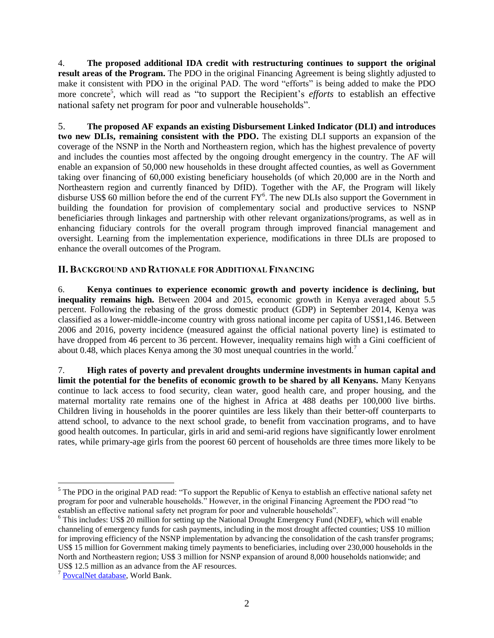4. **The proposed additional IDA credit with restructuring continues to support the original result areas of the Program.** The PDO in the original Financing Agreement is being slightly adjusted to make it consistent with PDO in the original PAD. The word "efforts" is being added to make the PDO more concrete<sup>5</sup>, which will read as "to support the Recipient's *efforts* to establish an effective national safety net program for poor and vulnerable households".

5. **The proposed AF expands an existing Disbursement Linked Indicator (DLI) and introduces two new DLIs, remaining consistent with the PDO.** The existing DLI supports an expansion of the coverage of the NSNP in the North and Northeastern region, which has the highest prevalence of poverty and includes the counties most affected by the ongoing drought emergency in the country. The AF will enable an expansion of 50,000 new households in these drought affected counties, as well as Government taking over financing of 60,000 existing beneficiary households (of which 20,000 are in the North and Northeastern region and currently financed by DfID). Together with the AF, the Program will likely disburse US\$ 60 million before the end of the current FY<sup>6</sup>. The new DLIs also support the Government in building the foundation for provision of complementary social and productive services to NSNP beneficiaries through linkages and partnership with other relevant organizations/programs, as well as in enhancing fiduciary controls for the overall program through improved financial management and oversight. Learning from the implementation experience, modifications in three DLIs are proposed to enhance the overall outcomes of the Program.

### <span id="page-8-0"></span>II. BACKGROUND AND RATIONALE FOR ADDITIONAL FINANCING

6. **Kenya continues to experience economic growth and poverty incidence is declining, but inequality remains high.** Between 2004 and 2015, economic growth in Kenya averaged about 5.5 percent. Following the rebasing of the gross domestic product (GDP) in September 2014, Kenya was classified as a lower-middle-income country with gross national income per capita of US\$1,146. Between 2006 and 2016, poverty incidence (measured against the official national poverty line) is estimated to have dropped from 46 percent to 36 percent. However, inequality remains high with a Gini coefficient of about 0.48, which places Kenya among the 30 most unequal countries in the world.<sup>7</sup>

7. **High rates of poverty and prevalent droughts undermine investments in human capital and limit the potential for the benefits of economic growth to be shared by all Kenyans.** Many Kenyans continue to lack access to food security, clean water, good health care, and proper housing, and the maternal mortality rate remains one of the highest in Africa at 488 deaths per 100,000 live births. Children living in households in the poorer quintiles are less likely than their better-off counterparts to attend school, to advance to the next school grade, to benefit from vaccination programs, and to have good health outcomes. In particular, girls in arid and semi-arid regions have significantly lower enrolment rates, while primary-age girls from the poorest 60 percent of households are three times more likely to be

<sup>&</sup>lt;sup>5</sup> The PDO in the original PAD read: "To support the Republic of Kenya to establish an effective national safety net program for poor and vulnerable households." However, in the original Financing Agreement the PDO read "to establish an effective national safety net program for poor and vulnerable households".

<sup>&</sup>lt;sup>6</sup> This includes: US\$ 20 million for setting up the National Drought Emergency Fund (NDEF), which will enable channeling of emergency funds for cash payments, including in the most drought affected counties; US\$ 10 million for improving efficiency of the NSNP implementation by advancing the consolidation of the cash transfer programs; US\$ 15 million for Government making timely payments to beneficiaries, including over 230,000 households in the North and Northeastern region; US\$ 3 million for NSNP expansion of around 8,000 households nationwide; and US\$ 12.5 million as an advance from the AF resources.

<sup>&</sup>lt;sup>7</sup> [PovcalNet database,](http://iresearch.worldbank.org/PovcalNet/home.aspx) World Bank.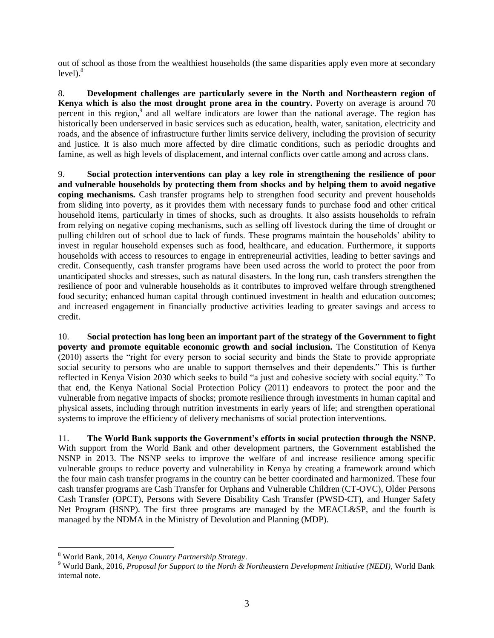out of school as those from the wealthiest households (the same disparities apply even more at secondary  $level<sup>8</sup>$ 

8. **Development challenges are particularly severe in the North and Northeastern region of Kenya which is also the most drought prone area in the country.** Poverty on average is around 70 percent in this region,<sup>9</sup> and all welfare indicators are lower than the national average. The region has historically been underserved in basic services such as education, health, water, sanitation, electricity and roads, and the absence of infrastructure further limits service delivery, including the provision of security and justice. It is also much more affected by dire climatic conditions, such as periodic droughts and famine, as well as high levels of displacement, and internal conflicts over cattle among and across clans.

9. **Social protection interventions can play a key role in strengthening the resilience of poor and vulnerable households by protecting them from shocks and by helping them to avoid negative coping mechanisms.** Cash transfer programs help to strengthen food security and prevent households from sliding into poverty, as it provides them with necessary funds to purchase food and other critical household items, particularly in times of shocks, such as droughts. It also assists households to refrain from relying on negative coping mechanisms, such as selling off livestock during the time of drought or pulling children out of school due to lack of funds. These programs maintain the households' ability to invest in regular household expenses such as food, healthcare, and education. Furthermore, it supports households with access to resources to engage in entrepreneurial activities, leading to better savings and credit. Consequently, cash transfer programs have been used across the world to protect the poor from unanticipated shocks and stresses, such as natural disasters. In the long run, cash transfers strengthen the resilience of poor and vulnerable households as it contributes to improved welfare through strengthened food security; enhanced human capital through continued investment in health and education outcomes; and increased engagement in financially productive activities leading to greater savings and access to credit.

10. **Social protection has long been an important part of the strategy of the Government to fight poverty and promote equitable economic growth and social inclusion.** The Constitution of Kenya (2010) asserts the "right for every person to social security and binds the State to provide appropriate social security to persons who are unable to support themselves and their dependents." This is further reflected in Kenya Vision 2030 which seeks to build "a just and cohesive society with social equity." To that end, the Kenya National Social Protection Policy (2011) endeavors to protect the poor and the vulnerable from negative impacts of shocks; promote resilience through investments in human capital and physical assets, including through nutrition investments in early years of life; and strengthen operational systems to improve the efficiency of delivery mechanisms of social protection interventions.

11. **The World Bank supports the Government's efforts in social protection through the NSNP.** With support from the World Bank and other development partners, the Government established the NSNP in 2013. The NSNP seeks to improve the welfare of and increase resilience among specific vulnerable groups to reduce poverty and vulnerability in Kenya by creating a framework around which the four main cash transfer programs in the country can be better coordinated and harmonized. These four cash transfer programs are Cash Transfer for Orphans and Vulnerable Children (CT-OVC), Older Persons Cash Transfer (OPCT), Persons with Severe Disability Cash Transfer (PWSD-CT), and Hunger Safety Net Program (HSNP). The first three programs are managed by the MEACL&SP, and the fourth is managed by the NDMA in the Ministry of Devolution and Planning (MDP).

<sup>8</sup> World Bank, 2014, *Kenya Country Partnership Strategy*.

<sup>9</sup> World Bank, 2016, *Proposal for Support to the North & Northeastern Development Initiative (NEDI)*, World Bank internal note.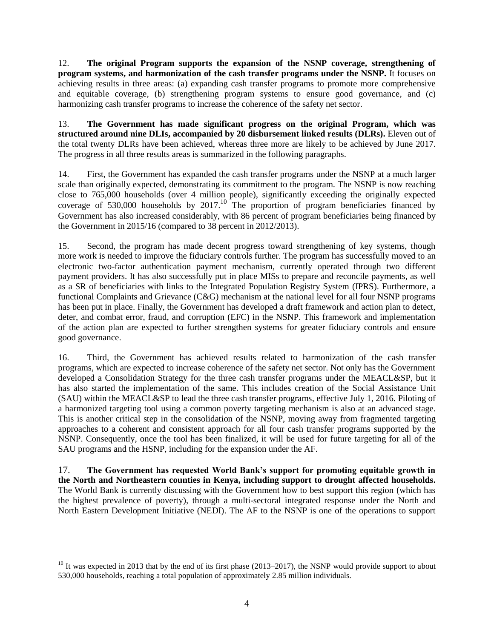12. **The original Program supports the expansion of the NSNP coverage, strengthening of program systems, and harmonization of the cash transfer programs under the NSNP.** It focuses on achieving results in three areas: (a) expanding cash transfer programs to promote more comprehensive and equitable coverage, (b) strengthening program systems to ensure good governance, and (c) harmonizing cash transfer programs to increase the coherence of the safety net sector.

13. **The Government has made significant progress on the original Program, which was structured around nine DLIs, accompanied by 20 disbursement linked results (DLRs).** Eleven out of the total twenty DLRs have been achieved, whereas three more are likely to be achieved by June 2017. The progress in all three results areas is summarized in the following paragraphs.

14. First, the Government has expanded the cash transfer programs under the NSNP at a much larger scale than originally expected, demonstrating its commitment to the program. The NSNP is now reaching close to 765,000 households (over 4 million people), significantly exceeding the originally expected coverage of 530,000 households by  $2017$ .<sup>10</sup> The proportion of program beneficiaries financed by Government has also increased considerably, with 86 percent of program beneficiaries being financed by the Government in 2015/16 (compared to 38 percent in 2012/2013).

15. Second, the program has made decent progress toward strengthening of key systems, though more work is needed to improve the fiduciary controls further. The program has successfully moved to an electronic two-factor authentication payment mechanism, currently operated through two different payment providers. It has also successfully put in place MISs to prepare and reconcile payments, as well as a SR of beneficiaries with links to the Integrated Population Registry System (IPRS). Furthermore, a functional Complaints and Grievance (C&G) mechanism at the national level for all four NSNP programs has been put in place. Finally, the Government has developed a draft framework and action plan to detect, deter, and combat error, fraud, and corruption (EFC) in the NSNP. This framework and implementation of the action plan are expected to further strengthen systems for greater fiduciary controls and ensure good governance.

16. Third, the Government has achieved results related to harmonization of the cash transfer programs, which are expected to increase coherence of the safety net sector. Not only has the Government developed a Consolidation Strategy for the three cash transfer programs under the MEACL&SP, but it has also started the implementation of the same. This includes creation of the Social Assistance Unit (SAU) within the MEACL&SP to lead the three cash transfer programs, effective July 1, 2016. Piloting of a harmonized targeting tool using a common poverty targeting mechanism is also at an advanced stage. This is another critical step in the consolidation of the NSNP, moving away from fragmented targeting approaches to a coherent and consistent approach for all four cash transfer programs supported by the NSNP. Consequently, once the tool has been finalized, it will be used for future targeting for all of the SAU programs and the HSNP, including for the expansion under the AF.

17. **The Government has requested World Bank's support for promoting equitable growth in the North and Northeastern counties in Kenya, including support to drought affected households.**  The World Bank is currently discussing with the Government how to best support this region (which has the highest prevalence of poverty), through a multi-sectoral integrated response under the North and North Eastern Development Initiative (NEDI). The AF to the NSNP is one of the operations to support

 $10$  It was expected in 2013 that by the end of its first phase (2013–2017), the NSNP would provide support to about 530,000 households, reaching a total population of approximately 2.85 million individuals.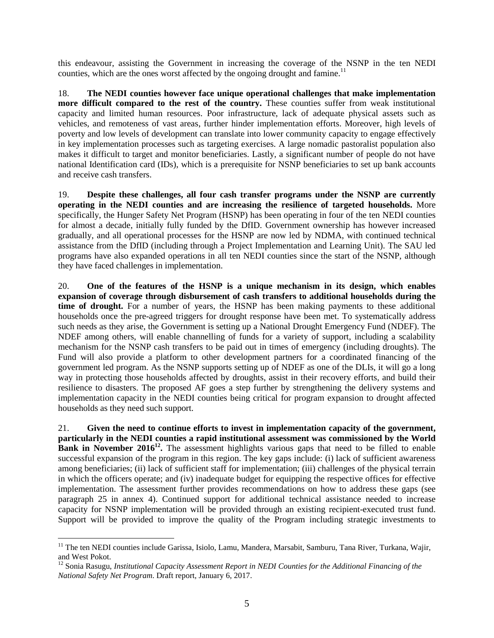this endeavour, assisting the Government in increasing the coverage of the NSNP in the ten NEDI counties, which are the ones worst affected by the ongoing drought and famine.<sup>11</sup>

18. **The NEDI counties however face unique operational challenges that make implementation more difficult compared to the rest of the country.** These counties suffer from weak institutional capacity and limited human resources. Poor infrastructure, lack of adequate physical assets such as vehicles, and remoteness of vast areas, further hinder implementation efforts. Moreover, high levels of poverty and low levels of development can translate into lower community capacity to engage effectively in key implementation processes such as targeting exercises. A large nomadic pastoralist population also makes it difficult to target and monitor beneficiaries. Lastly, a significant number of people do not have national Identification card (IDs), which is a prerequisite for NSNP beneficiaries to set up bank accounts and receive cash transfers.

19. **Despite these challenges, all four cash transfer programs under the NSNP are currently operating in the NEDI counties and are increasing the resilience of targeted households.** More specifically, the Hunger Safety Net Program (HSNP) has been operating in four of the ten NEDI counties for almost a decade, initially fully funded by the DfID. Government ownership has however increased gradually, and all operational processes for the HSNP are now led by NDMA, with continued technical assistance from the DfID (including through a Project Implementation and Learning Unit). The SAU led programs have also expanded operations in all ten NEDI counties since the start of the NSNP, although they have faced challenges in implementation.

20. **One of the features of the HSNP is a unique mechanism in its design, which enables expansion of coverage through disbursement of cash transfers to additional households during the**  time of drought. For a number of years, the HSNP has been making payments to these additional households once the pre-agreed triggers for drought response have been met. To systematically address such needs as they arise, the Government is setting up a National Drought Emergency Fund (NDEF). The NDEF among others, will enable channelling of funds for a variety of support, including a scalability mechanism for the NSNP cash transfers to be paid out in times of emergency (including droughts). The Fund will also provide a platform to other development partners for a coordinated financing of the government led program. As the NSNP supports setting up of NDEF as one of the DLIs, it will go a long way in protecting those households affected by droughts, assist in their recovery efforts, and build their resilience to disasters. The proposed AF goes a step further by strengthening the delivery systems and implementation capacity in the NEDI counties being critical for program expansion to drought affected households as they need such support.

21. **Given the need to continue efforts to invest in implementation capacity of the government, particularly in the NEDI counties a rapid institutional assessment was commissioned by the World Bank in November 2016<sup>12</sup>**. The assessment highlights various gaps that need to be filled to enable successful expansion of the program in this region. The key gaps include: (i) lack of sufficient awareness among beneficiaries; (ii) lack of sufficient staff for implementation; (iii) challenges of the physical terrain in which the officers operate; and (iv) inadequate budget for equipping the respective offices for effective implementation. The assessment further provides recommendations on how to address these gaps (see paragraph 25 in annex 4). Continued support for additional technical assistance needed to increase capacity for NSNP implementation will be provided through an existing recipient-executed trust fund. Support will be provided to improve the quality of the Program including strategic investments to

<sup>&</sup>lt;sup>11</sup> The ten NEDI counties include Garissa, Isiolo, Lamu, Mandera, Marsabit, Samburu, Tana River, Turkana, Wajir, and West Pokot.

<sup>&</sup>lt;sup>12</sup> Sonia Rasugu, *Institutional Capacity Assessment Report in NEDI Counties for the Additional Financing of the National Safety Net Program*. Draft report, January 6, 2017.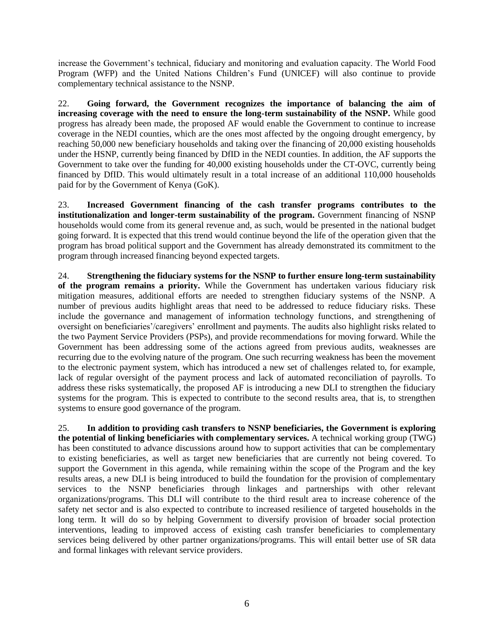increase the Government's technical, fiduciary and monitoring and evaluation capacity. The World Food Program (WFP) and the United Nations Children's Fund (UNICEF) will also continue to provide complementary technical assistance to the NSNP.

22. **Going forward, the Government recognizes the importance of balancing the aim of increasing coverage with the need to ensure the long-term sustainability of the NSNP.** While good progress has already been made, the proposed AF would enable the Government to continue to increase coverage in the NEDI counties, which are the ones most affected by the ongoing drought emergency, by reaching 50,000 new beneficiary households and taking over the financing of 20,000 existing households under the HSNP, currently being financed by DfID in the NEDI counties. In addition, the AF supports the Government to take over the funding for 40,000 existing households under the CT-OVC, currently being financed by DfID. This would ultimately result in a total increase of an additional 110,000 households paid for by the Government of Kenya (GoK).

23. **Increased Government financing of the cash transfer programs contributes to the institutionalization and longer-term sustainability of the program.** Government financing of NSNP households would come from its general revenue and, as such, would be presented in the national budget going forward. It is expected that this trend would continue beyond the life of the operation given that the program has broad political support and the Government has already demonstrated its commitment to the program through increased financing beyond expected targets.

<span id="page-12-0"></span>24. **Strengthening the fiduciary systems for the NSNP to further ensure long-term sustainability of the program remains a priority.** While the Government has undertaken various fiduciary risk mitigation measures, additional efforts are needed to strengthen fiduciary systems of the NSNP. A number of previous audits highlight areas that need to be addressed to reduce fiduciary risks. These include the governance and management of information technology functions, and strengthening of oversight on beneficiaries'/caregivers' enrollment and payments. The audits also highlight risks related to the two Payment Service Providers (PSPs), and provide recommendations for moving forward. While the Government has been addressing some of the actions agreed from previous audits, weaknesses are recurring due to the evolving nature of the program. One such recurring weakness has been the movement to the electronic payment system, which has introduced a new set of challenges related to, for example, lack of regular oversight of the payment process and lack of automated reconciliation of payrolls. To address these risks systematically, the proposed AF is introducing a new DLI to strengthen the fiduciary systems for the program. This is expected to contribute to the second results area, that is, to strengthen systems to ensure good governance of the program.

25. **In addition to providing cash transfers to NSNP beneficiaries, the Government is exploring the potential of linking beneficiaries with complementary services.** A technical working group (TWG) has been constituted to advance discussions around how to support activities that can be complementary to existing beneficiaries, as well as target new beneficiaries that are currently not being covered. To support the Government in this agenda, while remaining within the scope of the Program and the key results areas, a new DLI is being introduced to build the foundation for the provision of complementary services to the NSNP beneficiaries through linkages and partnerships with other relevant organizations/programs. This DLI will contribute to the third result area to increase coherence of the safety net sector and is also expected to contribute to increased resilience of targeted households in the long term. It will do so by helping Government to diversify provision of broader social protection interventions, leading to improved access of existing cash transfer beneficiaries to complementary services being delivered by other partner organizations/programs. This will entail better use of SR data and formal linkages with relevant service providers.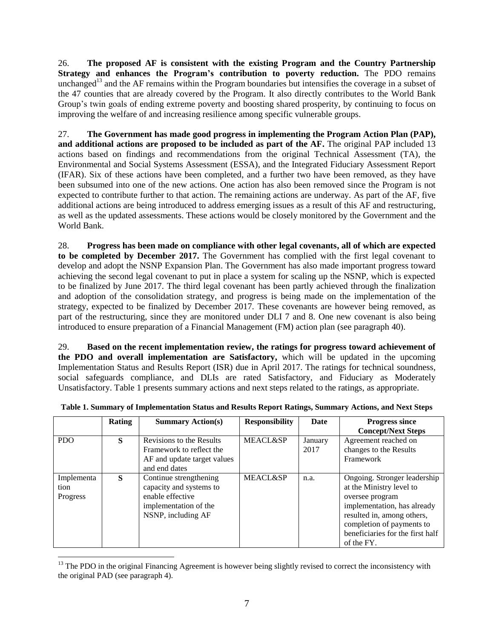26. **The proposed AF is consistent with the existing Program and the Country Partnership Strategy and enhances the Program's contribution to poverty reduction.** The PDO remains unchanged<sup>13</sup> and the AF remains within the Program boundaries but intensifies the coverage in a subset of the 47 counties that are already covered by the Program. It also directly contributes to the World Bank Group's twin goals of ending extreme poverty and boosting shared prosperity, by continuing to focus on improving the welfare of and increasing resilience among specific vulnerable groups.

27. **The Government has made good progress in implementing the Program Action Plan (PAP), and additional actions are proposed to be included as part of the AF.** The original PAP included 13 actions based on findings and recommendations from the original Technical Assessment (TA), the Environmental and Social Systems Assessment (ESSA), and the Integrated Fiduciary Assessment Report (IFAR). Six of these actions have been completed, and a further two have been removed, as they have been subsumed into one of the new actions. One action has also been removed since the Program is not expected to contribute further to that action. The remaining actions are underway. As part of the AF, five additional actions are being introduced to address emerging issues as a result of this AF and restructuring, as well as the updated assessments. These actions would be closely monitored by the Government and the World Bank.

28. **Progress has been made on compliance with other legal covenants, all of which are expected to be completed by December 2017.** The Government has complied with the first legal covenant to develop and adopt the NSNP Expansion Plan. The Government has also made important progress toward achieving the second legal covenant to put in place a system for scaling up the NSNP, which is expected to be finalized by June 2017. The third legal covenant has been partly achieved through the finalization and adoption of the consolidation strategy, and progress is being made on the implementation of the strategy, expected to be finalized by December 2017. These covenants are however being removed, as part of the restructuring, since they are monitored under DLI 7 and 8. One new covenant is also being introduced to ensure preparation of a Financial Management (FM) action plan (see paragraph [40\)](#page-17-0).

29. **Based on the recent implementation review, the ratings for progress toward achievement of the PDO and overall implementation are Satisfactory,** which will be updated in the upcoming Implementation Status and Results Report (ISR) due in April 2017. The ratings for technical soundness, social safeguards compliance, and DLIs are rated Satisfactory, and Fiduciary as Moderately Unsatisfactory. Table 1 presents summary actions and next steps related to the ratings, as appropriate.

|                                | Rating | <b>Summary Action(s)</b>                                                                                             | <b>Responsibility</b> | Date            | <b>Progress since</b><br><b>Concept/Next Steps</b>                                                                                                                                                                      |
|--------------------------------|--------|----------------------------------------------------------------------------------------------------------------------|-----------------------|-----------------|-------------------------------------------------------------------------------------------------------------------------------------------------------------------------------------------------------------------------|
| <b>PDO</b>                     | S      | Revisions to the Results<br>Framework to reflect the<br>AF and update target values<br>and end dates                 | <b>MEACL&amp;SP</b>   | January<br>2017 | Agreement reached on<br>changes to the Results<br>Framework                                                                                                                                                             |
| Implementa<br>tion<br>Progress | S      | Continue strengthening<br>capacity and systems to<br>enable effective<br>implementation of the<br>NSNP, including AF | <b>MEACL&amp;SP</b>   | n.a.            | Ongoing. Stronger leadership<br>at the Ministry level to<br>oversee program<br>implementation, has already<br>resulted in, among others,<br>completion of payments to<br>beneficiaries for the first half<br>of the FY. |

**Table 1. Summary of Implementation Status and Results Report Ratings, Summary Actions, and Next Steps**

 $13$  The PDO in the original Financing Agreement is however being slightly revised to correct the inconsistency with the original PAD (see paragraph 4).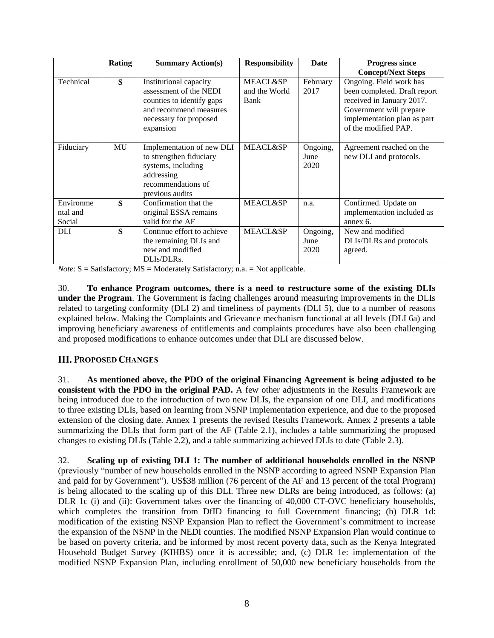|                       | Rating       | <b>Summary Action(s)</b>                                                                                                                       | <b>Responsibility</b>                        | <b>Date</b>              | <b>Progress since</b>                                                                                                                                                  |
|-----------------------|--------------|------------------------------------------------------------------------------------------------------------------------------------------------|----------------------------------------------|--------------------------|------------------------------------------------------------------------------------------------------------------------------------------------------------------------|
|                       |              |                                                                                                                                                |                                              |                          | <b>Concept/Next Steps</b>                                                                                                                                              |
| Technical             | S            | Institutional capacity<br>assessment of the NEDI<br>counties to identify gaps<br>and recommend measures<br>necessary for proposed<br>expansion | <b>MEACL&amp;SP</b><br>and the World<br>Bank | February<br>2017         | Ongoing. Field work has<br>been completed. Draft report<br>received in January 2017.<br>Government will prepare<br>implementation plan as part<br>of the modified PAP. |
| Fiduciary             | MU           | Implementation of new DLI<br>to strengthen fiduciary<br>systems, including<br>addressing<br>recommendations of<br>previous audits              | <b>MEACL&amp;SP</b>                          | Ongoing,<br>June<br>2020 | Agreement reached on the<br>new DLI and protocols.                                                                                                                     |
| Environme<br>ntal and | $\mathbf{s}$ | Confirmation that the<br>original ESSA remains                                                                                                 | <b>MEACL&amp;SP</b>                          | n.a.                     | Confirmed. Update on<br>implementation included as                                                                                                                     |
| Social                |              | valid for the AF                                                                                                                               |                                              |                          | annex 6.                                                                                                                                                               |
| <b>DLI</b>            | $\mathbf S$  | Continue effort to achieve<br>the remaining DLIs and<br>new and modified<br>DLIs/DLRs.                                                         | <b>MEACL&amp;SP</b>                          | Ongoing,<br>June<br>2020 | New and modified<br>DLIs/DLRs and protocols<br>agreed.                                                                                                                 |

*Note*:  $S = S$ atisfactory; MS = Moderately Satisfactory; n.a. = Not applicable.

30. **To enhance Program outcomes, there is a need to restructure some of the existing DLIs under the Program**. The Government is facing challenges around measuring improvements in the DLIs related to targeting conformity (DLI 2) and timeliness of payments (DLI 5), due to a number of reasons explained below. Making the Complaints and Grievance mechanism functional at all levels (DLI 6a) and improving beneficiary awareness of entitlements and complaints procedures have also been challenging and proposed modifications to enhance outcomes under that DLI are discussed below.

# <span id="page-14-0"></span>**III. PROPOSED CHANGES**

31. **As mentioned above, the PDO of the original Financing Agreement is being adjusted to be consistent with the PDO in the original PAD.** A few other adjustments in the Results Framework are being introduced due to the introduction of two new DLIs, the expansion of one DLI, and modifications to three existing DLIs, based on learning from NSNP implementation experience, and due to the proposed extension of the closing date. Annex 1 presents the revised Results Framework. Annex 2 presents a table summarizing the DLIs that form part of the AF (Table 2.1), includes a table summarizing the proposed changes to existing DLIs (Table 2.2), and a table summarizing achieved DLIs to date (Table 2.3).

32. **Scaling up of existing DLI 1: The number of additional households enrolled in the NSNP** (previously "number of new households enrolled in the NSNP according to agreed NSNP Expansion Plan and paid for by Government"). US\$38 million (76 percent of the AF and 13 percent of the total Program) is being allocated to the scaling up of this DLI. Three new DLRs are being introduced, as follows: (a) DLR 1c (i) and (ii): Government takes over the financing of 40,000 CT-OVC beneficiary households, which completes the transition from DfID financing to full Government financing; (b) DLR 1d: modification of the existing NSNP Expansion Plan to reflect the Government's commitment to increase the expansion of the NSNP in the NEDI counties. The modified NSNP Expansion Plan would continue to be based on poverty criteria, and be informed by most recent poverty data, such as the Kenya Integrated Household Budget Survey (KIHBS) once it is accessible; and, (c) DLR 1e: implementation of the modified NSNP Expansion Plan, including enrollment of 50,000 new beneficiary households from the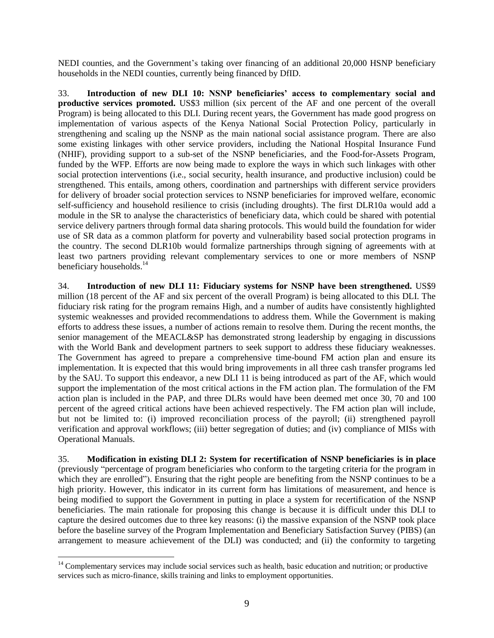NEDI counties, and the Government's taking over financing of an additional 20,000 HSNP beneficiary households in the NEDI counties, currently being financed by DfID.

33. **Introduction of new DLI 10: NSNP beneficiaries' access to complementary social and productive services promoted.** US\$3 million (six percent of the AF and one percent of the overall Program) is being allocated to this DLI. During recent years, the Government has made good progress on implementation of various aspects of the Kenya National Social Protection Policy, particularly in strengthening and scaling up the NSNP as the main national social assistance program. There are also some existing linkages with other service providers, including the National Hospital Insurance Fund (NHIF), providing support to a sub-set of the NSNP beneficiaries, and the Food-for-Assets Program, funded by the WFP. Efforts are now being made to explore the ways in which such linkages with other social protection interventions (i.e., social security, health insurance, and productive inclusion) could be strengthened. This entails, among others, coordination and partnerships with different service providers for delivery of broader social protection services to NSNP beneficiaries for improved welfare, economic self-sufficiency and household resilience to crisis (including droughts). The first DLR10a would add a module in the SR to analyse the characteristics of beneficiary data, which could be shared with potential service delivery partners through formal data sharing protocols. This would build the foundation for wider use of SR data as a common platform for poverty and vulnerability based social protection programs in the country. The second DLR10b would formalize partnerships through signing of agreements with at least two partners providing relevant complementary services to one or more members of NSNP beneficiary households.<sup>14</sup>

34. **Introduction of new DLI 11: Fiduciary systems for NSNP have been strengthened.** US\$9 million (18 percent of the AF and six percent of the overall Program) is being allocated to this DLI. The fiduciary risk rating for the program remains High, and a number of audits have consistently highlighted systemic weaknesses and provided recommendations to address them. While the Government is making efforts to address these issues, a number of actions remain to resolve them. During the recent months, the senior management of the MEACL&SP has demonstrated strong leadership by engaging in discussions with the World Bank and development partners to seek support to address these fiduciary weaknesses. The Government has agreed to prepare a comprehensive time-bound FM action plan and ensure its implementation. It is expected that this would bring improvements in all three cash transfer programs led by the SAU. To support this endeavor, a new DLI 11 is being introduced as part of the AF, which would support the implementation of the most critical actions in the FM action plan. The formulation of the FM action plan is included in the PAP, and three DLRs would have been deemed met once 30, 70 and 100 percent of the agreed critical actions have been achieved respectively. The FM action plan will include, but not be limited to: (i) improved reconciliation process of the payroll; (ii) strengthened payroll verification and approval workflows; (iii) better segregation of duties; and (iv) compliance of MISs with Operational Manuals.

35. **Modification in existing DLI 2: System for recertification of NSNP beneficiaries is in place** (previously "percentage of program beneficiaries who conform to the targeting criteria for the program in which they are enrolled"). Ensuring that the right people are benefiting from the NSNP continues to be a high priority. However, this indicator in its current form has limitations of measurement, and hence is being modified to support the Government in putting in place a system for recertification of the NSNP beneficiaries. The main rationale for proposing this change is because it is difficult under this DLI to capture the desired outcomes due to three key reasons: (i) the massive expansion of the NSNP took place before the baseline survey of the Program Implementation and Beneficiary Satisfaction Survey (PIBS) (an arrangement to measure achievement of the DLI) was conducted; and (ii) the conformity to targeting

 $14$  Complementary services may include social services such as health, basic education and nutrition; or productive services such as micro-finance, skills training and links to employment opportunities.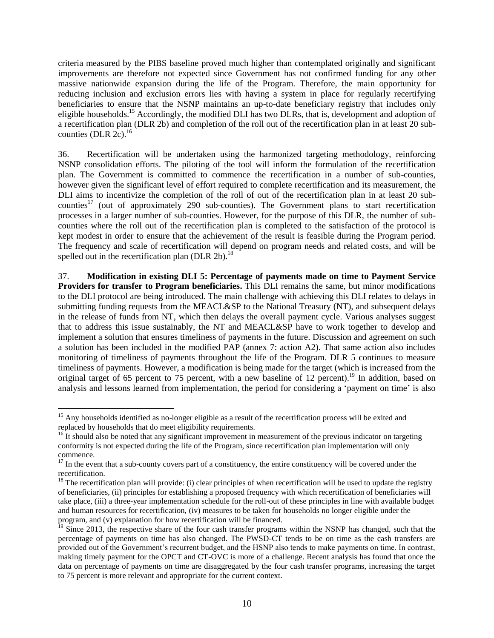criteria measured by the PIBS baseline proved much higher than contemplated originally and significant improvements are therefore not expected since Government has not confirmed funding for any other massive nationwide expansion during the life of the Program. Therefore, the main opportunity for reducing inclusion and exclusion errors lies with having a system in place for regularly recertifying beneficiaries to ensure that the NSNP maintains an up-to-date beneficiary registry that includes only eligible households.<sup>15</sup> Accordingly, the modified DLI has two DLRs, that is, development and adoption of a recertification plan (DLR 2b) and completion of the roll out of the recertification plan in at least 20 subcounties (DLR  $2c$ ).<sup>16</sup>

36. Recertification will be undertaken using the harmonized targeting methodology, reinforcing NSNP consolidation efforts. The piloting of the tool will inform the formulation of the recertification plan. The Government is committed to commence the recertification in a number of sub-counties, however given the significant level of effort required to complete recertification and its measurement, the DLI aims to incentivize the completion of the roll of out of the recertification plan in at least 20 subcounties<sup>17</sup> (out of approximately 290 sub-counties). The Government plans to start recertification processes in a larger number of sub-counties. However, for the purpose of this DLR, the number of subcounties where the roll out of the recertification plan is completed to the satisfaction of the protocol is kept modest in order to ensure that the achievement of the result is feasible during the Program period. The frequency and scale of recertification will depend on program needs and related costs, and will be spelled out in the recertification plan (DLR 2b). $^{18}$ 

<span id="page-16-0"></span>37. **Modification in existing DLI 5: Percentage of payments made on time to Payment Service Providers for transfer to Program beneficiaries.** This DLI remains the same, but minor modifications to the DLI protocol are being introduced. The main challenge with achieving this DLI relates to delays in submitting funding requests from the MEACL&SP to the National Treasury (NT), and subsequent delays in the release of funds from NT, which then delays the overall payment cycle. Various analyses suggest that to address this issue sustainably, the NT and MEACL&SP have to work together to develop and implement a solution that ensures timeliness of payments in the future. Discussion and agreement on such a solution has been included in the modified PAP (annex 7: action A2). That same action also includes monitoring of timeliness of payments throughout the life of the Program. DLR 5 continues to measure timeliness of payments. However, a modification is being made for the target (which is increased from the original target of 65 percent to 75 percent, with a new baseline of 12 percent).<sup>19</sup> In addition, based on analysis and lessons learned from implementation, the period for considering a 'payment on time' is also

 $\overline{a}$ <sup>15</sup> Any households identified as no-longer eligible as a result of the recertification process will be exited and replaced by households that do meet eligibility requirements.

 $16$  It should also be noted that any significant improvement in measurement of the previous indicator on targeting conformity is not expected during the life of the Program, since recertification plan implementation will only commence.

<sup>&</sup>lt;sup>17</sup> In the event that a sub-county covers part of a constituency, the entire constituency will be covered under the recertification.

 $<sup>18</sup>$  The recertification plan will provide: (i) clear principles of when recertification will be used to update the registry</sup> of beneficiaries, (ii) principles for establishing a proposed frequency with which recertification of beneficiaries will take place, (iii) a three-year implementation schedule for the roll-out of these principles in line with available budget and human resources for recertification, (iv) measures to be taken for households no longer eligible under the program, and (v) explanation for how recertification will be financed.

<sup>&</sup>lt;sup>19</sup> Since 2013, the respective share of the four cash transfer programs within the NSNP has changed, such that the percentage of payments on time has also changed. The PWSD-CT tends to be on time as the cash transfers are provided out of the Government's recurrent budget, and the HSNP also tends to make payments on time. In contrast, making timely payment for the OPCT and CT-OVC is more of a challenge. Recent analysis has found that once the data on percentage of payments on time are disaggregated by the four cash transfer programs, increasing the target to 75 percent is more relevant and appropriate for the current context.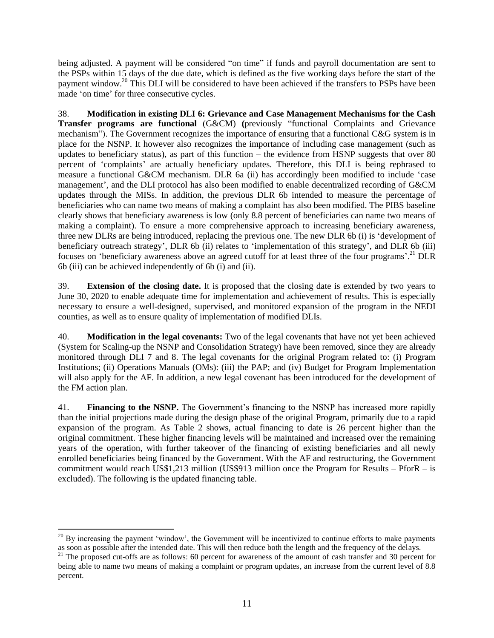being adjusted. A payment will be considered "on time" if funds and payroll documentation are sent to the PSPs within 15 days of the due date, which is defined as the five working days before the start of the payment window.<sup>20</sup> This DLI will be considered to have been achieved if the transfers to PSPs have been made 'on time' for three consecutive cycles.

38. **Modification in existing DLI 6: Grievance and Case Management Mechanisms for the Cash Transfer programs are functional** (G&CM) **(**previously "functional Complaints and Grievance mechanism"). The Government recognizes the importance of ensuring that a functional C&G system is in place for the NSNP. It however also recognizes the importance of including case management (such as updates to beneficiary status), as part of this function – the evidence from HSNP suggests that over 80 percent of 'complaints' are actually beneficiary updates. Therefore, this DLI is being rephrased to measure a functional G&CM mechanism. DLR 6a (ii) has accordingly been modified to include 'case management', and the DLI protocol has also been modified to enable decentralized recording of G&CM updates through the MISs. In addition, the previous DLR 6b intended to measure the percentage of beneficiaries who can name two means of making a complaint has also been modified. The PIBS baseline clearly shows that beneficiary awareness is low (only 8.8 percent of beneficiaries can name two means of making a complaint). To ensure a more comprehensive approach to increasing beneficiary awareness, three new DLRs are being introduced, replacing the previous one. The new DLR 6b (i) is 'development of beneficiary outreach strategy', DLR 6b (ii) relates to 'implementation of this strategy', and DLR 6b (iii) focuses on 'beneficiary awareness above an agreed cutoff for at least three of the four programs'.<sup>21</sup> DLR 6b (iii) can be achieved independently of 6b (i) and (ii).

39. **Extension of the closing date.** It is proposed that the closing date is extended by two years to June 30, 2020 to enable adequate time for implementation and achievement of results. This is especially necessary to ensure a well-designed, supervised, and monitored expansion of the program in the NEDI counties, as well as to ensure quality of implementation of modified DLIs.

<span id="page-17-0"></span>40. **Modification in the legal covenants:** Two of the legal covenants that have not yet been achieved (System for Scaling-up the NSNP and Consolidation Strategy) have been removed, since they are already monitored through DLI 7 and 8. The legal covenants for the original Program related to: (i) Program Institutions; (ii) Operations Manuals (OMs): (iii) the PAP; and (iv) Budget for Program Implementation will also apply for the AF. In addition, a new legal covenant has been introduced for the development of the FM action plan.

41. **Financing to the NSNP.** The Government's financing to the NSNP has increased more rapidly than the initial projections made during the design phase of the original Program, primarily due to a rapid expansion of the program. As Table 2 shows, actual financing to date is 26 percent higher than the original commitment. These higher financing levels will be maintained and increased over the remaining years of the operation, with further takeover of the financing of existing beneficiaries and all newly enrolled beneficiaries being financed by the Government. With the AF and restructuring, the Government commitment would reach US\$1,213 million (US\$913 million once the Program for Results – PforR – is excluded). The following is the updated financing table.

 $20$  By increasing the payment 'window', the Government will be incentivized to continue efforts to make payments as soon as possible after the intended date. This will then reduce both the length and the frequency of the delays.

<sup>&</sup>lt;sup>21</sup> The proposed cut-offs are as follows: 60 percent for awareness of the amount of cash transfer and 30 percent for being able to name two means of making a complaint or program updates, an increase from the current level of 8.8 percent.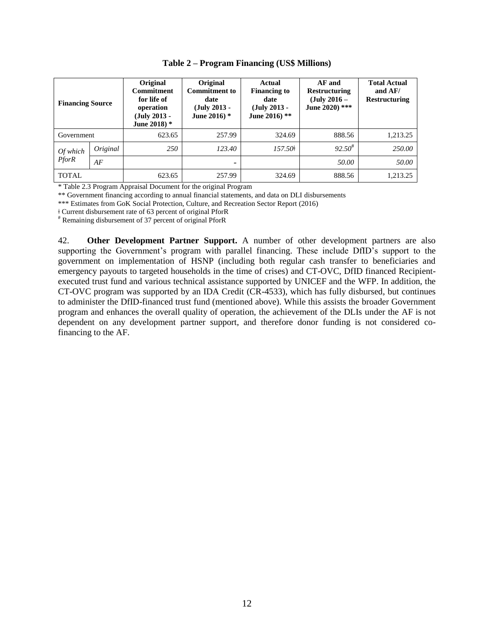| <b>Financing Source</b> |    | Original<br><b>Commitment</b><br>for life of<br>operation<br>$(July 2013 -$<br>June 2018) $*$ | Original<br><b>Commitment to</b><br>date<br>$(July 2013 -$<br>June 2016) * | Actual<br><b>Financing to</b><br>date<br>$(July 2013 -$<br>June 2016) ** | AF and<br><b>Restructuring</b><br>$(July 2016 -$<br>June 2020) *** | <b>Total Actual</b><br>and $AF/$<br><b>Restructuring</b> |
|-------------------------|----|-----------------------------------------------------------------------------------------------|----------------------------------------------------------------------------|--------------------------------------------------------------------------|--------------------------------------------------------------------|----------------------------------------------------------|
| Government              |    | 623.65                                                                                        | 257.99                                                                     | 324.69                                                                   | 888.56                                                             | 1,213.25                                                 |
| Original<br>$Of$ which  |    | 250                                                                                           | 123.40                                                                     | $157.50\dagger$                                                          | $92.50^{\#}$                                                       | 250.00                                                   |
| <b>PforR</b>            | AF |                                                                                               | -                                                                          |                                                                          | 50.00                                                              | 50.00                                                    |
| <b>TOTAL</b>            |    | 623.65                                                                                        | 257.99                                                                     | 324.69                                                                   | 888.56                                                             | 1,213.25                                                 |

**Table 2 – Program Financing (US\$ Millions)**

\* Table 2.3 Program Appraisal Document for the original Program

\*\* Government financing according to annual financial statements, and data on DLI disbursements

\*\*\* Estimates from GoK Social Protection, Culture, and Recreation Sector Report (2016)

ǂ Current disbursement rate of 63 percent of original PforR

# Remaining disbursement of 37 percent of original PforR

42. **Other Development Partner Support.** A number of other development partners are also supporting the Government's program with parallel financing. These include DfID's support to the government on implementation of HSNP (including both regular cash transfer to beneficiaries and emergency payouts to targeted households in the time of crises) and CT-OVC, DfID financed Recipientexecuted trust fund and various technical assistance supported by UNICEF and the WFP. In addition, the CT-OVC program was supported by an IDA Credit (CR-4533), which has fully disbursed, but continues to administer the DfID-financed trust fund (mentioned above). While this assists the broader Government program and enhances the overall quality of operation, the achievement of the DLIs under the AF is not dependent on any development partner support, and therefore donor funding is not considered cofinancing to the AF.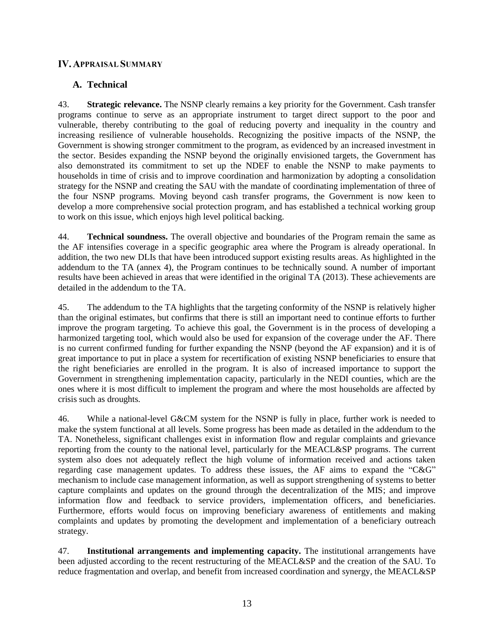## <span id="page-19-0"></span>**IV. APPRAISAL SUMMARY**

# **A. Technical**

43. **Strategic relevance.** The NSNP clearly remains a key priority for the Government. Cash transfer programs continue to serve as an appropriate instrument to target direct support to the poor and vulnerable, thereby contributing to the goal of reducing poverty and inequality in the country and increasing resilience of vulnerable households. Recognizing the positive impacts of the NSNP, the Government is showing stronger commitment to the program, as evidenced by an increased investment in the sector. Besides expanding the NSNP beyond the originally envisioned targets, the Government has also demonstrated its commitment to set up the NDEF to enable the NSNP to make payments to households in time of crisis and to improve coordination and harmonization by adopting a consolidation strategy for the NSNP and creating the SAU with the mandate of coordinating implementation of three of the four NSNP programs. Moving beyond cash transfer programs, the Government is now keen to develop a more comprehensive social protection program, and has established a technical working group to work on this issue, which enjoys high level political backing.

44. **Technical soundness.** The overall objective and boundaries of the Program remain the same as the AF intensifies coverage in a specific geographic area where the Program is already operational. In addition, the two new DLIs that have been introduced support existing results areas. As highlighted in the addendum to the TA (annex 4), the Program continues to be technically sound. A number of important results have been achieved in areas that were identified in the original TA (2013). These achievements are detailed in the addendum to the TA.

45. The addendum to the TA highlights that the targeting conformity of the NSNP is relatively higher than the original estimates, but confirms that there is still an important need to continue efforts to further improve the program targeting. To achieve this goal, the Government is in the process of developing a harmonized targeting tool, which would also be used for expansion of the coverage under the AF. There is no current confirmed funding for further expanding the NSNP (beyond the AF expansion) and it is of great importance to put in place a system for recertification of existing NSNP beneficiaries to ensure that the right beneficiaries are enrolled in the program. It is also of increased importance to support the Government in strengthening implementation capacity, particularly in the NEDI counties, which are the ones where it is most difficult to implement the program and where the most households are affected by crisis such as droughts.

46. While a national-level G&CM system for the NSNP is fully in place, further work is needed to make the system functional at all levels. Some progress has been made as detailed in the addendum to the TA. Nonetheless, significant challenges exist in information flow and regular complaints and grievance reporting from the county to the national level, particularly for the MEACL&SP programs. The current system also does not adequately reflect the high volume of information received and actions taken regarding case management updates. To address these issues, the AF aims to expand the "C&G" mechanism to include case management information, as well as support strengthening of systems to better capture complaints and updates on the ground through the decentralization of the MIS; and improve information flow and feedback to service providers, implementation officers, and beneficiaries. Furthermore, efforts would focus on improving beneficiary awareness of entitlements and making complaints and updates by promoting the development and implementation of a beneficiary outreach strategy.

47. **Institutional arrangements and implementing capacity.** The institutional arrangements have been adjusted according to the recent restructuring of the MEACL&SP and the creation of the SAU. To reduce fragmentation and overlap, and benefit from increased coordination and synergy, the MEACL&SP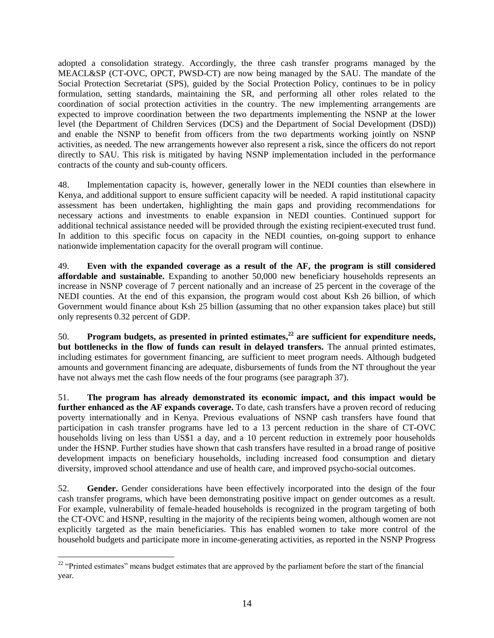adopted a consolidation strategy. Accordingly, the three cash transfer programs managed by the MEACL&SP (CT-OVC, OPCT, PWSD-CT) are now being managed by the SAU. The mandate of the Social Protection Secretariat (SPS), guided by the Social Protection Policy, continues to be in policy formulation, setting standards, maintaining the SR, and performing all other roles related to the coordination of social protection activities in the country. The new implementing arrangements are expected to improve coordination between the two departments implementing the NSNP at the lower level (the Department of Children Services (DCS) and the Department of Social Development (DSD)) and enable the NSNP to benefit from officers from the two departments working jointly on NSNP activities, as needed. The new arrangements however also represent a risk, since the officers do not report directly to SAU. This risk is mitigated by having NSNP implementation included in the performance contracts of the county and sub-county officers.

48. Implementation capacity is, however, generally lower in the NEDI counties than elsewhere in Kenya, and additional support to ensure sufficient capacity will be needed. A rapid institutional capacity assessment has been undertaken, highlighting the main gaps and providing recommendations for necessary actions and investments to enable expansion in NEDI counties. Continued support for additional technical assistance needed will be provided through the existing recipient-executed trust fund. In addition to this specific focus on capacity in the NEDI counties, on-going support to enhance nationwide implementation capacity for the overall program will continue.

49. **Even with the expanded coverage as a result of the AF, the program is still considered affordable and sustainable.** Expanding to another 50,000 new beneficiary households represents an increase in NSNP coverage of 7 percent nationally and an increase of 25 percent in the coverage of the NEDI counties. At the end of this expansion, the program would cost about Ksh 26 billion, of which Government would finance about Ksh 25 billion (assuming that no other expansion takes place) but still only represents 0.32 percent of GDP.

50. **Program budgets, as presented in printed estimates, <sup>22</sup> are sufficient for expenditure needs, but bottlenecks in the flow of funds can result in delayed transfers.** The annual printed estimates, including estimates for government financing, are sufficient to meet program needs. Although budgeted amounts and government financing are adequate, disbursements of funds from the NT throughout the year have not always met the cash flow needs of the four programs (see paragrap[h 37\)](#page-16-0).

51. **The program has already demonstrated its economic impact, and this impact would be further enhanced as the AF expands coverage.** To date, cash transfers have a proven record of reducing poverty internationally and in Kenya. Previous evaluations of NSNP cash transfers have found that participation in cash transfer programs have led to a 13 percent reduction in the share of CT-OVC households living on less than US\$1 a day, and a 10 percent reduction in extremely poor households under the HSNP. Further studies have shown that cash transfers have resulted in a broad range of positive development impacts on beneficiary households, including increased food consumption and dietary diversity, improved school attendance and use of health care, and improved psycho-social outcomes.

52. **Gender.** Gender considerations have been effectively incorporated into the design of the four cash transfer programs, which have been demonstrating positive impact on gender outcomes as a result. For example, vulnerability of female-headed households is recognized in the program targeting of both the CT-OVC and HSNP, resulting in the majority of the recipients being women, although women are not explicitly targeted as the main beneficiaries. This has enabled women to take more control of the household budgets and participate more in income-generating activities, as reported in the NSNP Progress

 $\overline{a}$  $22$  "Printed estimates" means budget estimates that are approved by the parliament before the start of the financial year.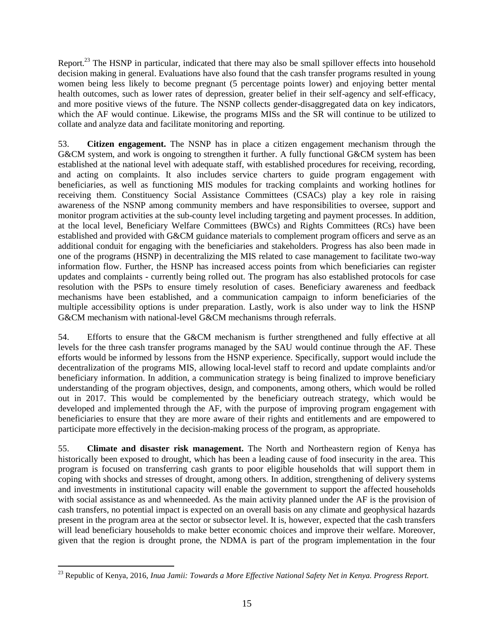Report.<sup>23</sup> The HSNP in particular, indicated that there may also be small spillover effects into household decision making in general. Evaluations have also found that the cash transfer programs resulted in young women being less likely to become pregnant (5 percentage points lower) and enjoying better mental health outcomes, such as lower rates of depression, greater belief in their self-agency and self-efficacy, and more positive views of the future. The NSNP collects gender-disaggregated data on key indicators, which the AF would continue. Likewise, the programs MISs and the SR will continue to be utilized to collate and analyze data and facilitate monitoring and reporting.

53. **Citizen engagement.** The NSNP has in place a citizen engagement mechanism through the G&CM system, and work is ongoing to strengthen it further. A fully functional G&CM system has been established at the national level with adequate staff, with established procedures for receiving, recording, and acting on complaints. It also includes service charters to guide program engagement with beneficiaries, as well as functioning MIS modules for tracking complaints and working hotlines for receiving them. Constituency Social Assistance Committees (CSACs) play a key role in raising awareness of the NSNP among community members and have responsibilities to oversee, support and monitor program activities at the sub-county level including targeting and payment processes. In addition, at the local level, Beneficiary Welfare Committees (BWCs) and Rights Committees (RCs) have been established and provided with G&CM guidance materials to complement program officers and serve as an additional conduit for engaging with the beneficiaries and stakeholders. Progress has also been made in one of the programs (HSNP) in decentralizing the MIS related to case management to facilitate two-way information flow. Further, the HSNP has increased access points from which beneficiaries can register updates and complaints - currently being rolled out. The program has also established protocols for case resolution with the PSPs to ensure timely resolution of cases. Beneficiary awareness and feedback mechanisms have been established, and a communication campaign to inform beneficiaries of the multiple accessibility options is under preparation. Lastly, work is also under way to link the HSNP G&CM mechanism with national-level G&CM mechanisms through referrals.

54. Efforts to ensure that the G&CM mechanism is further strengthened and fully effective at all levels for the three cash transfer programs managed by the SAU would continue through the AF. These efforts would be informed by lessons from the HSNP experience. Specifically, support would include the decentralization of the programs MIS, allowing local-level staff to record and update complaints and/or beneficiary information. In addition, a communication strategy is being finalized to improve beneficiary understanding of the program objectives, design, and components, among others, which would be rolled out in 2017. This would be complemented by the beneficiary outreach strategy, which would be developed and implemented through the AF, with the purpose of improving program engagement with beneficiaries to ensure that they are more aware of their rights and entitlements and are empowered to participate more effectively in the decision-making process of the program, as appropriate.

55. **Climate and disaster risk management.** The North and Northeastern region of Kenya has historically been exposed to drought, which has been a leading cause of food insecurity in the area. This program is focused on transferring cash grants to poor eligible households that will support them in coping with shocks and stresses of drought, among others. In addition, strengthening of delivery systems and investments in institutional capacity will enable the government to support the affected households with social assistance as and whenneeded. As the main activity planned under the AF is the provision of cash transfers, no potential impact is expected on an overall basis on any climate and geophysical hazards present in the program area at the sector or subsector level. It is, however, expected that the cash transfers will lead beneficiary households to make better economic choices and improve their welfare. Moreover, given that the region is drought prone, the NDMA is part of the program implementation in the four

<sup>23</sup> Republic of Kenya, 2016, *Inua Jamii: Towards a More Effective National Safety Net in Kenya. Progress Report.*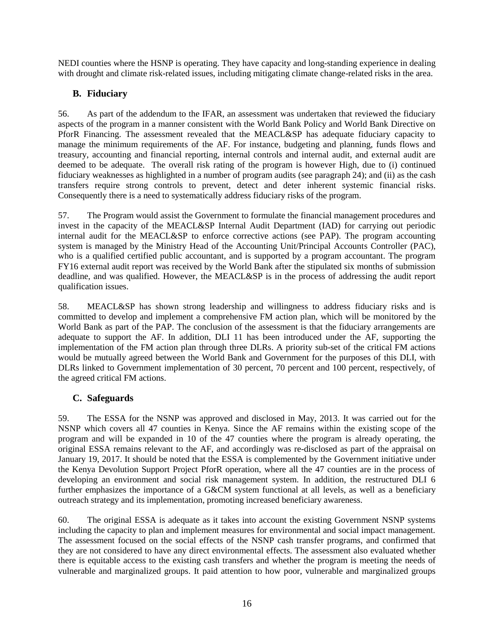NEDI counties where the HSNP is operating. They have capacity and long-standing experience in dealing with drought and climate risk-related issues, including mitigating climate change-related risks in the area.

# **B. Fiduciary**

56. As part of the addendum to the IFAR, an assessment was undertaken that reviewed the fiduciary aspects of the program in a manner consistent with the World Bank Policy and World Bank Directive on PforR Financing. The assessment revealed that the MEACL&SP has adequate fiduciary capacity to manage the minimum requirements of the AF. For instance, budgeting and planning, funds flows and treasury, accounting and financial reporting, internal controls and internal audit, and external audit are deemed to be adequate. The overall risk rating of the program is however High, due to (i) continued fiduciary weaknesses as highlighted in a number of program audits (see paragraph [24\)](#page-12-0); and (ii) as the cash transfers require strong controls to prevent, detect and deter inherent systemic financial risks. Consequently there is a need to systematically address fiduciary risks of the program.

57. The Program would assist the Government to formulate the financial management procedures and invest in the capacity of the MEACL&SP Internal Audit Department (IAD) for carrying out periodic internal audit for the MEACL&SP to enforce corrective actions (see PAP). The program accounting system is managed by the Ministry Head of the Accounting Unit/Principal Accounts Controller (PAC), who is a qualified certified public accountant, and is supported by a program accountant. The program FY16 external audit report was received by the World Bank after the stipulated six months of submission deadline, and was qualified. However, the MEACL&SP is in the process of addressing the audit report qualification issues.

58. MEACL&SP has shown strong leadership and willingness to address fiduciary risks and is committed to develop and implement a comprehensive FM action plan, which will be monitored by the World Bank as part of the PAP. The conclusion of the assessment is that the fiduciary arrangements are adequate to support the AF. In addition, DLI 11 has been introduced under the AF, supporting the implementation of the FM action plan through three DLRs. A priority sub-set of the critical FM actions would be mutually agreed between the World Bank and Government for the purposes of this DLI, with DLRs linked to Government implementation of 30 percent, 70 percent and 100 percent, respectively, of the agreed critical FM actions.

# **C. Safeguards**

59. The ESSA for the NSNP was approved and disclosed in May, 2013. It was carried out for the NSNP which covers all 47 counties in Kenya. Since the AF remains within the existing scope of the program and will be expanded in 10 of the 47 counties where the program is already operating, the original ESSA remains relevant to the AF, and accordingly was re-disclosed as part of the appraisal on January 19, 2017. It should be noted that the ESSA is complemented by the Government initiative under the Kenya Devolution Support Project PforR operation, where all the 47 counties are in the process of developing an environment and social risk management system. In addition, the restructured DLI 6 further emphasizes the importance of a G&CM system functional at all levels, as well as a beneficiary outreach strategy and its implementation, promoting increased beneficiary awareness.

60. The original ESSA is adequate as it takes into account the existing Government NSNP systems including the capacity to plan and implement measures for environmental and social impact management. The assessment focused on the social effects of the NSNP cash transfer programs, and confirmed that they are not considered to have any direct environmental effects. The assessment also evaluated whether there is equitable access to the existing cash transfers and whether the program is meeting the needs of vulnerable and marginalized groups. It paid attention to how poor, vulnerable and marginalized groups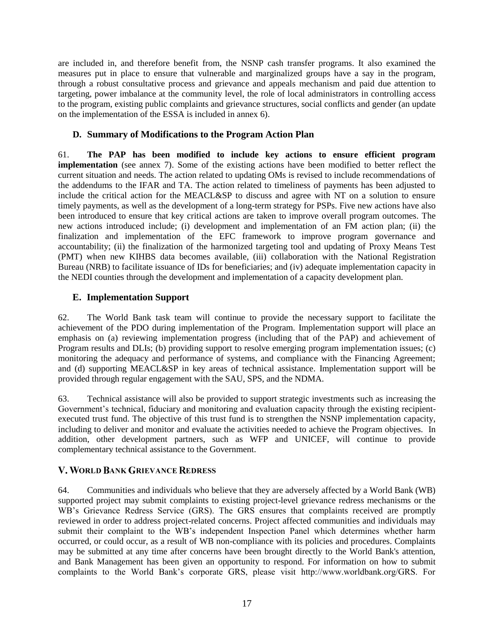are included in, and therefore benefit from, the NSNP cash transfer programs. It also examined the measures put in place to ensure that vulnerable and marginalized groups have a say in the program, through a robust consultative process and grievance and appeals mechanism and paid due attention to targeting, power imbalance at the community level, the role of local administrators in controlling access to the program, existing public complaints and grievance structures, social conflicts and gender (an update on the implementation of the ESSA is included in annex 6).

## **D. Summary of Modifications to the Program Action Plan**

61. **The PAP has been modified to include key actions to ensure efficient program implementation** (see annex 7). Some of the existing actions have been modified to better reflect the current situation and needs. The action related to updating OMs is revised to include recommendations of the addendums to the IFAR and TA. The action related to timeliness of payments has been adjusted to include the critical action for the MEACL&SP to discuss and agree with NT on a solution to ensure timely payments, as well as the development of a long-term strategy for PSPs. Five new actions have also been introduced to ensure that key critical actions are taken to improve overall program outcomes. The new actions introduced include; (i) development and implementation of an FM action plan; (ii) the finalization and implementation of the EFC framework to improve program governance and accountability; (ii) the finalization of the harmonized targeting tool and updating of Proxy Means Test (PMT) when new KIHBS data becomes available, (iii) collaboration with the National Registration Bureau (NRB) to facilitate issuance of IDs for beneficiaries; and (iv) adequate implementation capacity in the NEDI counties through the development and implementation of a capacity development plan.

# **E. Implementation Support**

62. The World Bank task team will continue to provide the necessary support to facilitate the achievement of the PDO during implementation of the Program. Implementation support will place an emphasis on (a) reviewing implementation progress (including that of the PAP) and achievement of Program results and DLIs; (b) providing support to resolve emerging program implementation issues; (c) monitoring the adequacy and performance of systems, and compliance with the Financing Agreement; and (d) supporting MEACL&SP in key areas of technical assistance. Implementation support will be provided through regular engagement with the SAU, SPS, and the NDMA.

63. Technical assistance will also be provided to support strategic investments such as increasing the Government's technical, fiduciary and monitoring and evaluation capacity through the existing recipientexecuted trust fund. The objective of this trust fund is to strengthen the NSNP implementation capacity, including to deliver and monitor and evaluate the activities needed to achieve the Program objectives. In addition, other development partners, such as WFP and UNICEF, will continue to provide complementary technical assistance to the Government.

# <span id="page-23-0"></span>V. WORLD BANK GRIEVANCE REDRESS

64. Communities and individuals who believe that they are adversely affected by a World Bank (WB) supported project may submit complaints to existing project-level grievance redress mechanisms or the WB's Grievance Redress Service (GRS). The GRS ensures that complaints received are promptly reviewed in order to address project-related concerns. Project affected communities and individuals may submit their complaint to the WB's independent Inspection Panel which determines whether harm occurred, or could occur, as a result of WB non-compliance with its policies and procedures. Complaints may be submitted at any time after concerns have been brought directly to the World Bank's attention, and Bank Management has been given an opportunity to respond. For information on how to submit complaints to the World Bank's corporate GRS, please visit http://www.worldbank.org/GRS. For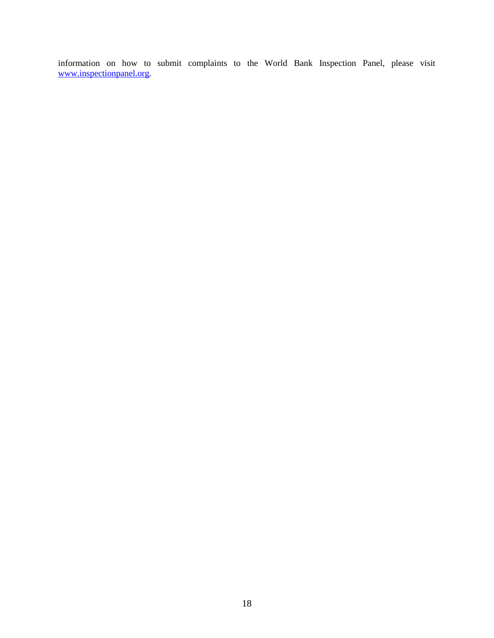information on how to submit complaints to the World Bank Inspection Panel, please visit [www.inspectionpanel.org.](http://www.inspectionpanel.org/)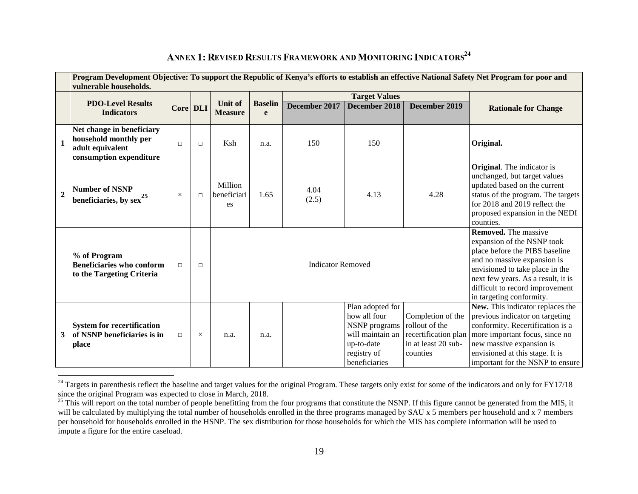<span id="page-25-0"></span>

|                | Program Development Objective: To support the Republic of Kenya's efforts to establish an effective National Safety Net Program for poor and<br>vulnerable households. |          |          |                              |                          |               |                                                                                                                     |                                                                                                |                                                                                                                                                                                                                                                                    |  |
|----------------|------------------------------------------------------------------------------------------------------------------------------------------------------------------------|----------|----------|------------------------------|--------------------------|---------------|---------------------------------------------------------------------------------------------------------------------|------------------------------------------------------------------------------------------------|--------------------------------------------------------------------------------------------------------------------------------------------------------------------------------------------------------------------------------------------------------------------|--|
|                |                                                                                                                                                                        |          |          |                              |                          |               | <b>Target Values</b>                                                                                                |                                                                                                |                                                                                                                                                                                                                                                                    |  |
|                | <b>PDO-Level Results</b><br><b>Indicators</b>                                                                                                                          | Core DLI |          | Unit of<br><b>Measure</b>    | <b>Baselin</b><br>e      | December 2017 | December 2018                                                                                                       | December 2019                                                                                  | <b>Rationale for Change</b>                                                                                                                                                                                                                                        |  |
|                | Net change in beneficiary<br>household monthly per<br>adult equivalent<br>consumption expenditure                                                                      | $\Box$   | $\Box$   | Ksh                          | n.a.                     | 150           | 150                                                                                                                 |                                                                                                | Original.                                                                                                                                                                                                                                                          |  |
| $\overline{2}$ | <b>Number of NSNP</b><br>beneficiaries, by $sex^{25}$                                                                                                                  | $\times$ | $\Box$   | Million<br>beneficiari<br>es | 1.65                     | 4.04<br>(2.5) | 4.13                                                                                                                | 4.28                                                                                           | <b>Original</b> . The indicator is<br>unchanged, but target values<br>updated based on the current<br>status of the program. The targets<br>for 2018 and 2019 reflect the<br>proposed expansion in the NEDI<br>counties.                                           |  |
|                | % of Program<br><b>Beneficiaries who conform</b><br>to the Targeting Criteria                                                                                          | $\Box$   | $\Box$   |                              | <b>Indicator Removed</b> |               |                                                                                                                     |                                                                                                | <b>Removed.</b> The massive<br>expansion of the NSNP took<br>place before the PIBS baseline<br>and no massive expansion is<br>envisioned to take place in the<br>next few years. As a result, it is<br>difficult to record improvement<br>in targeting conformity. |  |
| 3              | <b>System for recertification</b><br>of NSNP beneficiaries is in<br>place                                                                                              | $\Box$   | $\times$ | n.a.                         | n.a.                     |               | Plan adopted for<br>how all four<br>NSNP programs<br>will maintain an<br>up-to-date<br>registry of<br>beneficiaries | Completion of the<br>rollout of the<br>recertification plan<br>in at least 20 sub-<br>counties | New. This indicator replaces the<br>previous indicator on targeting<br>conformity. Recertification is a<br>more important focus, since no<br>new massive expansion is<br>envisioned at this stage. It is<br>important for the NSNP to ensure                       |  |

# ANNEX 1: REVISED RESULTS FRAMEWORK AND MONITORING INDICATORS<sup>24</sup>

 $^{24}$  Targets in parenthesis reflect the baseline and target values for the original Program. These targets only exist for some of the indicators and only for FY17/18 since the original Program was expected to close in March, 2018.

<sup>&</sup>lt;sup>25</sup> This will report on the total number of people benefitting from the four programs that constitute the NSNP. If this figure cannot be generated from the MIS, it will be calculated by multiplying the total number of households enrolled in the three programs managed by SAU x 5 members per household and x 7 members per household for households enrolled in the HSNP. The sex distribution for those households for which the MIS has complete information will be used to impute a figure for the entire caseload.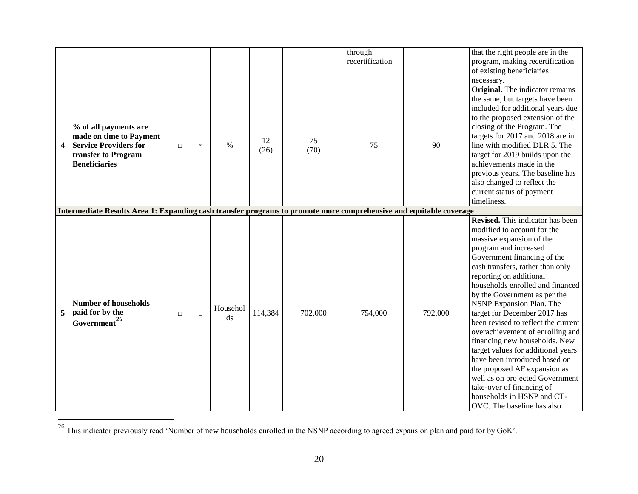|   |                                                                                                                                 |        |          |                                    |            |            | through<br>recertification |         | that the right people are in the<br>program, making recertification                                                                                                                                                                                                                                                                                                                                                                                                                                                                                                                                                                                                                               |
|---|---------------------------------------------------------------------------------------------------------------------------------|--------|----------|------------------------------------|------------|------------|----------------------------|---------|---------------------------------------------------------------------------------------------------------------------------------------------------------------------------------------------------------------------------------------------------------------------------------------------------------------------------------------------------------------------------------------------------------------------------------------------------------------------------------------------------------------------------------------------------------------------------------------------------------------------------------------------------------------------------------------------------|
|   |                                                                                                                                 |        |          |                                    |            |            |                            |         | of existing beneficiaries<br>necessary.                                                                                                                                                                                                                                                                                                                                                                                                                                                                                                                                                                                                                                                           |
| 4 | % of all payments are<br>made on time to Payment<br><b>Service Providers for</b><br>transfer to Program<br><b>Beneficiaries</b> | $\Box$ | $\times$ | $\frac{0}{0}$                      | 12<br>(26) | 75<br>(70) | 75                         | 90      | <b>Original.</b> The indicator remains<br>the same, but targets have been<br>included for additional years due<br>to the proposed extension of the<br>closing of the Program. The<br>targets for 2017 and 2018 are in<br>line with modified DLR 5. The<br>target for 2019 builds upon the<br>achievements made in the<br>previous years. The baseline has<br>also changed to reflect the<br>current status of payment<br>timeliness.                                                                                                                                                                                                                                                              |
|   | Intermediate Results Area 1: Expanding cash transfer programs to promote more comprehensive and equitable coverage              |        |          |                                    |            |            |                            |         |                                                                                                                                                                                                                                                                                                                                                                                                                                                                                                                                                                                                                                                                                                   |
| 5 | <b>Number of households</b><br>paid for by the<br>Government <sup>26</sup>                                                      | $\Box$ | $\Box$   | Househol<br>$\mathrm{d}\mathrm{s}$ | 114,384    | 702,000    | 754,000                    | 792,000 | Revised. This indicator has been<br>modified to account for the<br>massive expansion of the<br>program and increased<br>Government financing of the<br>cash transfers, rather than only<br>reporting on additional<br>households enrolled and financed<br>by the Government as per the<br>NSNP Expansion Plan. The<br>target for December 2017 has<br>been revised to reflect the current<br>overachievement of enrolling and<br>financing new households. New<br>target values for additional years<br>have been introduced based on<br>the proposed AF expansion as<br>well as on projected Government<br>take-over of financing of<br>households in HSNP and CT-<br>OVC. The baseline has also |

<sup>&</sup>lt;sup>26</sup> This indicator previously read 'Number of new households enrolled in the NSNP according to agreed expansion plan and paid for by GoK'.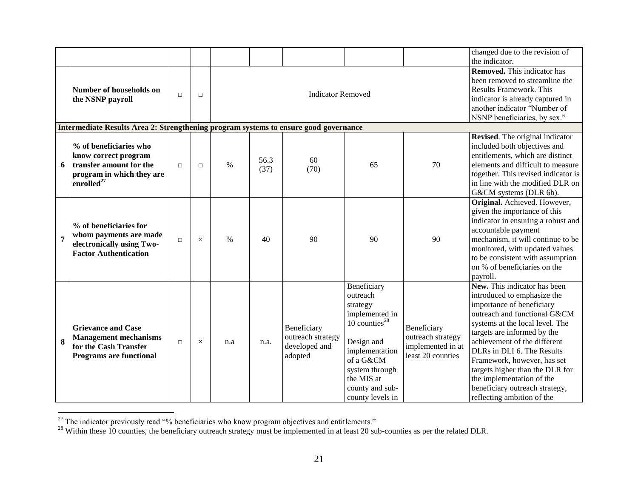|                |                                                                                                                                  |        |                                    |               |              |                                                              |                                                                                                                                                                                                  |                                                                            | changed due to the revision of                                                                                                                                                                                                                                                                                                                                                                                          |
|----------------|----------------------------------------------------------------------------------------------------------------------------------|--------|------------------------------------|---------------|--------------|--------------------------------------------------------------|--------------------------------------------------------------------------------------------------------------------------------------------------------------------------------------------------|----------------------------------------------------------------------------|-------------------------------------------------------------------------------------------------------------------------------------------------------------------------------------------------------------------------------------------------------------------------------------------------------------------------------------------------------------------------------------------------------------------------|
|                |                                                                                                                                  |        |                                    |               |              |                                                              |                                                                                                                                                                                                  |                                                                            | the indicator.                                                                                                                                                                                                                                                                                                                                                                                                          |
|                | Number of households on<br>the NSNP payroll                                                                                      | $\Box$ | <b>Indicator Removed</b><br>$\Box$ |               |              |                                                              |                                                                                                                                                                                                  |                                                                            | <b>Removed.</b> This indicator has<br>been removed to streamline the<br><b>Results Framework. This</b><br>indicator is already captured in                                                                                                                                                                                                                                                                              |
|                |                                                                                                                                  |        |                                    |               |              |                                                              |                                                                                                                                                                                                  |                                                                            | another indicator "Number of<br>NSNP beneficiaries, by sex."                                                                                                                                                                                                                                                                                                                                                            |
|                | Intermediate Results Area 2: Strengthening program systems to ensure good governance                                             |        |                                    |               |              |                                                              |                                                                                                                                                                                                  |                                                                            |                                                                                                                                                                                                                                                                                                                                                                                                                         |
| 6              | % of beneficiaries who<br>know correct program<br>transfer amount for the<br>program in which they are<br>enrolled <sup>27</sup> | $\Box$ | $\Box$                             | $\%$          | 56.3<br>(37) | 60<br>(70)                                                   | 65                                                                                                                                                                                               | 70                                                                         | Revised. The original indicator<br>included both objectives and<br>entitlements, which are distinct<br>elements and difficult to measure<br>together. This revised indicator is<br>in line with the modified DLR on<br>G&CM systems (DLR 6b).                                                                                                                                                                           |
| $\overline{7}$ | % of beneficiaries for<br>whom payments are made<br>electronically using Two-<br><b>Factor Authentication</b>                    | $\Box$ | $\times$                           | $\frac{0}{0}$ | 40           | 90                                                           | 90                                                                                                                                                                                               | 90                                                                         | Original. Achieved. However,<br>given the importance of this<br>indicator in ensuring a robust and<br>accountable payment<br>mechanism, it will continue to be<br>monitored, with updated values<br>to be consistent with assumption<br>on % of beneficiaries on the<br>payroll.                                                                                                                                        |
| 8              | <b>Grievance and Case</b><br><b>Management mechanisms</b><br>for the Cash Transfer<br><b>Programs are functional</b>             | $\Box$ | $\times$                           | n.a           | n.a.         | Beneficiary<br>outreach strategy<br>developed and<br>adopted | Beneficiary<br>outreach<br>strategy<br>implemented in<br>10 counties $^{28}$<br>Design and<br>implementation<br>of a G&CM<br>system through<br>the MIS at<br>county and sub-<br>county levels in | Beneficiary<br>outreach strategy<br>implemented in at<br>least 20 counties | New. This indicator has been<br>introduced to emphasize the<br>importance of beneficiary<br>outreach and functional G&CM<br>systems at the local level. The<br>targets are informed by the<br>achievement of the different<br>DLRs in DLI 6. The Results<br>Framework, however, has set<br>targets higher than the DLR for<br>the implementation of the<br>beneficiary outreach strategy,<br>reflecting ambition of the |

 $27$  The indicator previously read "% beneficiaries who know program objectives and entitlements."

 $^{28}$  Within these 10 counties, the beneficiary outreach strategy must be implemented in at least 20 sub-counties as per the related DLR.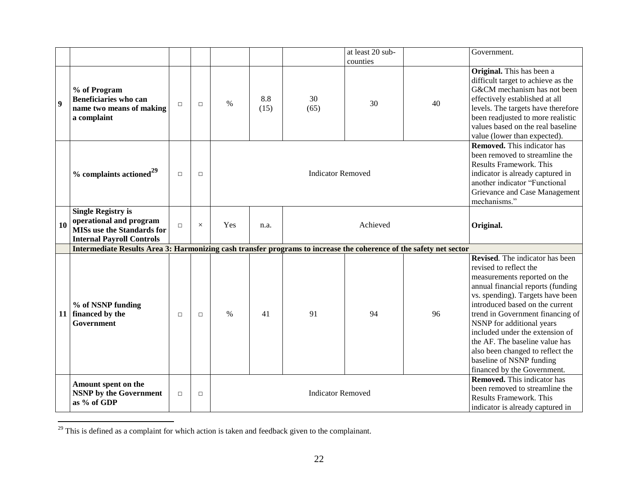|                  |                                                                                                                               |        |          |               |             |                          | at least 20 sub-                                                                                                                           |                                                                                                                                                                                                                              | Government.                                                                                                                                                                                                                                                                                                                                                                                                                                       |
|------------------|-------------------------------------------------------------------------------------------------------------------------------|--------|----------|---------------|-------------|--------------------------|--------------------------------------------------------------------------------------------------------------------------------------------|------------------------------------------------------------------------------------------------------------------------------------------------------------------------------------------------------------------------------|---------------------------------------------------------------------------------------------------------------------------------------------------------------------------------------------------------------------------------------------------------------------------------------------------------------------------------------------------------------------------------------------------------------------------------------------------|
|                  |                                                                                                                               |        |          |               |             |                          | counties                                                                                                                                   |                                                                                                                                                                                                                              |                                                                                                                                                                                                                                                                                                                                                                                                                                                   |
| $\boldsymbol{9}$ | % of Program<br>Beneficiaries who can<br>name two means of making<br>a complaint                                              | $\Box$ | $\Box$   | $\frac{0}{0}$ | 8.8<br>(15) | 30<br>(65)               | 30                                                                                                                                         | 40                                                                                                                                                                                                                           | Original. This has been a<br>difficult target to achieve as the<br>G&CM mechanism has not been<br>effectively established at all<br>levels. The targets have therefore<br>been readjusted to more realistic<br>values based on the real baseline<br>value (lower than expected).                                                                                                                                                                  |
|                  | $%$ complaints actioned <sup>29</sup>                                                                                         | $\Box$ | $\Box$   |               |             | <b>Indicator Removed</b> |                                                                                                                                            | <b>Removed.</b> This indicator has<br>been removed to streamline the<br><b>Results Framework. This</b><br>indicator is already captured in<br>another indicator "Functional<br>Grievance and Case Management<br>mechanisms." |                                                                                                                                                                                                                                                                                                                                                                                                                                                   |
| 10               | <b>Single Registry is</b><br>operational and program<br><b>MISs use the Standards for</b><br><b>Internal Payroll Controls</b> | $\Box$ | $\times$ | Yes           | n.a.        | Achieved                 |                                                                                                                                            |                                                                                                                                                                                                                              | Original.                                                                                                                                                                                                                                                                                                                                                                                                                                         |
|                  | Intermediate Results Area 3: Harmonizing cash transfer programs to increase the coherence of the safety net sector            |        |          |               |             |                          |                                                                                                                                            |                                                                                                                                                                                                                              |                                                                                                                                                                                                                                                                                                                                                                                                                                                   |
|                  | % of NSNP funding<br>11   financed by the<br>Government                                                                       | $\Box$ | $\Box$   | $\frac{0}{0}$ | 41          | 91                       | 94                                                                                                                                         | 96                                                                                                                                                                                                                           | <b>Revised.</b> The indicator has been<br>revised to reflect the<br>measurements reported on the<br>annual financial reports (funding<br>vs. spending). Targets have been<br>introduced based on the current<br>trend in Government financing of<br>NSNP for additional years<br>included under the extension of<br>the AF. The baseline value has<br>also been changed to reflect the<br>baseline of NSNP funding<br>financed by the Government. |
|                  | Amount spent on the<br><b>NSNP</b> by the Government<br>as % of GDP                                                           | $\Box$ | $\Box$   |               |             | <b>Indicator Removed</b> | <b>Removed.</b> This indicator has<br>been removed to streamline the<br><b>Results Framework. This</b><br>indicator is already captured in |                                                                                                                                                                                                                              |                                                                                                                                                                                                                                                                                                                                                                                                                                                   |

 $29$  This is defined as a complaint for which action is taken and feedback given to the complainant.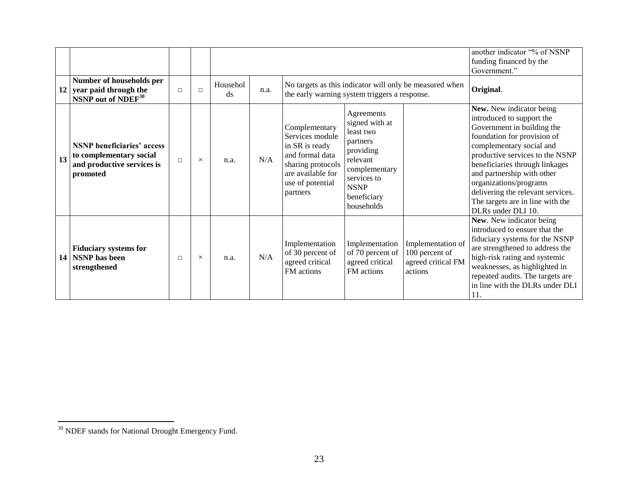|                                                                                                              |        |          |                |      |                                                                                                                                                 |                                                                                                                                                            |                                                                      | another indicator "% of NSNP<br>funding financed by the<br>Government."                                                                                                                                                                                                                                                                                                    |
|--------------------------------------------------------------------------------------------------------------|--------|----------|----------------|------|-------------------------------------------------------------------------------------------------------------------------------------------------|------------------------------------------------------------------------------------------------------------------------------------------------------------|----------------------------------------------------------------------|----------------------------------------------------------------------------------------------------------------------------------------------------------------------------------------------------------------------------------------------------------------------------------------------------------------------------------------------------------------------------|
| Number of households per<br>year paid through the<br>12<br>NSNP out of NDEF <sup>30</sup>                    | $\Box$ | $\Box$   | Househol<br>ds | n.a. | No targets as this indicator will only be measured when<br>the early warning system triggers a response.                                        |                                                                                                                                                            |                                                                      | Original.                                                                                                                                                                                                                                                                                                                                                                  |
| <b>NSNP</b> beneficiaries' access<br>to complementary social<br>13<br>and productive services is<br>promoted | $\Box$ | $\times$ | n.a.           | N/A  | Complementary<br>Services module<br>in SR is ready<br>and formal data<br>sharing protocols<br>are available for<br>use of potential<br>partners | Agreements<br>signed with at<br>least two<br>partners<br>providing<br>relevant<br>complementary<br>services to<br><b>NSNP</b><br>beneficiary<br>households |                                                                      | New. New indicator being<br>introduced to support the<br>Government in building the<br>foundation for provision of<br>complementary social and<br>productive services to the NSNP<br>beneficiaries through linkages<br>and partnership with other<br>organizations/programs<br>delivering the relevant services.<br>The targets are in line with the<br>DLRs under DLI 10. |
| <b>Fiduciary systems for</b><br>14   NSNP has been<br>strengthened                                           | $\Box$ | $\times$ | n.a.           | N/A  | Implementation<br>of 30 percent of<br>agreed critical<br>FM actions                                                                             | Implementation<br>of 70 percent of<br>agreed critical<br>FM actions                                                                                        | Implementation of<br>100 percent of<br>agreed critical FM<br>actions | New. New indicator being<br>introduced to ensure that the<br>fiduciary systems for the NSNP<br>are strengthened to address the<br>high-risk rating and systemic<br>weaknesses, as highlighted in<br>repeated audits. The targets are<br>in line with the DLRs under DLI<br>11.                                                                                             |

 $30$  NDEF stands for National Drought Emergency Fund.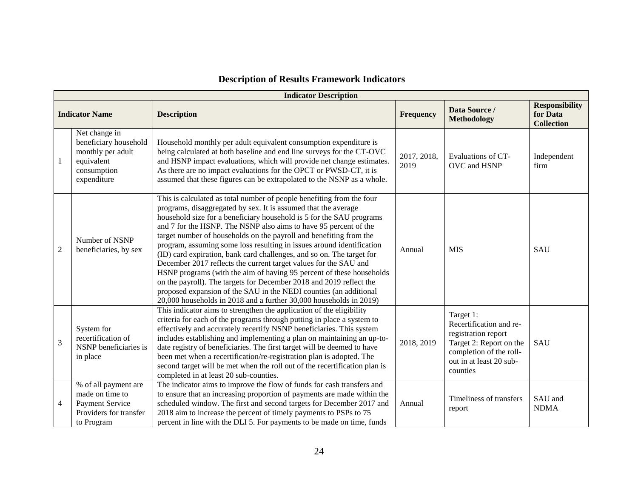|                | <b>Indicator Description</b>                                                                              |                                                                                                                                                                                                                                                                                                                                                                                                                                                                                                                                                                                                                                                                                                                                                                                                                                                                           |                     |                                                                                                                                                          |                                                        |  |  |  |  |  |  |  |
|----------------|-----------------------------------------------------------------------------------------------------------|---------------------------------------------------------------------------------------------------------------------------------------------------------------------------------------------------------------------------------------------------------------------------------------------------------------------------------------------------------------------------------------------------------------------------------------------------------------------------------------------------------------------------------------------------------------------------------------------------------------------------------------------------------------------------------------------------------------------------------------------------------------------------------------------------------------------------------------------------------------------------|---------------------|----------------------------------------------------------------------------------------------------------------------------------------------------------|--------------------------------------------------------|--|--|--|--|--|--|--|
|                | <b>Indicator Name</b>                                                                                     | <b>Description</b>                                                                                                                                                                                                                                                                                                                                                                                                                                                                                                                                                                                                                                                                                                                                                                                                                                                        | <b>Frequency</b>    | Data Source /<br><b>Methodology</b>                                                                                                                      | <b>Responsibility</b><br>for Data<br><b>Collection</b> |  |  |  |  |  |  |  |
| 1              | Net change in<br>beneficiary household<br>monthly per adult<br>equivalent<br>consumption<br>expenditure   | Household monthly per adult equivalent consumption expenditure is<br>being calculated at both baseline and end line surveys for the CT-OVC<br>and HSNP impact evaluations, which will provide net change estimates.<br>As there are no impact evaluations for the OPCT or PWSD-CT, it is<br>assumed that these figures can be extrapolated to the NSNP as a whole.                                                                                                                                                                                                                                                                                                                                                                                                                                                                                                        | 2017, 2018,<br>2019 | Evaluations of CT-<br>OVC and HSNP                                                                                                                       | Independent<br>firm                                    |  |  |  |  |  |  |  |
| $\mathfrak{2}$ | Number of NSNP<br>beneficiaries, by sex                                                                   | This is calculated as total number of people benefiting from the four<br>programs, disaggregated by sex. It is assumed that the average<br>household size for a beneficiary household is 5 for the SAU programs<br>and 7 for the HSNP. The NSNP also aims to have 95 percent of the<br>target number of households on the payroll and benefiting from the<br>program, assuming some loss resulting in issues around identification<br>(ID) card expiration, bank card challenges, and so on. The target for<br>December 2017 reflects the current target values for the SAU and<br>HSNP programs (with the aim of having 95 percent of these households<br>on the payroll). The targets for December 2018 and 2019 reflect the<br>proposed expansion of the SAU in the NEDI counties (an additional<br>20,000 households in 2018 and a further 30,000 households in 2019) | Annual              | <b>MIS</b>                                                                                                                                               | SAU                                                    |  |  |  |  |  |  |  |
| 3              | System for<br>recertification of<br>NSNP beneficiaries is<br>in place                                     | This indicator aims to strengthen the application of the eligibility<br>criteria for each of the programs through putting in place a system to<br>effectively and accurately recertify NSNP beneficiaries. This system<br>includes establishing and implementing a plan on maintaining an up-to-<br>date registry of beneficiaries. The first target will be deemed to have<br>been met when a recertification/re-registration plan is adopted. The<br>second target will be met when the roll out of the recertification plan is<br>completed in at least 20 sub-counties.                                                                                                                                                                                                                                                                                               | 2018, 2019          | Target 1:<br>Recertification and re-<br>registration report<br>Target 2: Report on the<br>completion of the roll-<br>out in at least 20 sub-<br>counties | SAU                                                    |  |  |  |  |  |  |  |
| $\overline{4}$ | % of all payment are<br>made on time to<br><b>Payment Service</b><br>Providers for transfer<br>to Program | The indicator aims to improve the flow of funds for cash transfers and<br>to ensure that an increasing proportion of payments are made within the<br>scheduled window. The first and second targets for December 2017 and<br>2018 aim to increase the percent of timely payments to PSPs to 75<br>percent in line with the DLI 5. For payments to be made on time, funds                                                                                                                                                                                                                                                                                                                                                                                                                                                                                                  | Annual              | Timeliness of transfers<br>report                                                                                                                        | SAU and<br><b>NDMA</b>                                 |  |  |  |  |  |  |  |

# **Description of Results Framework Indicators**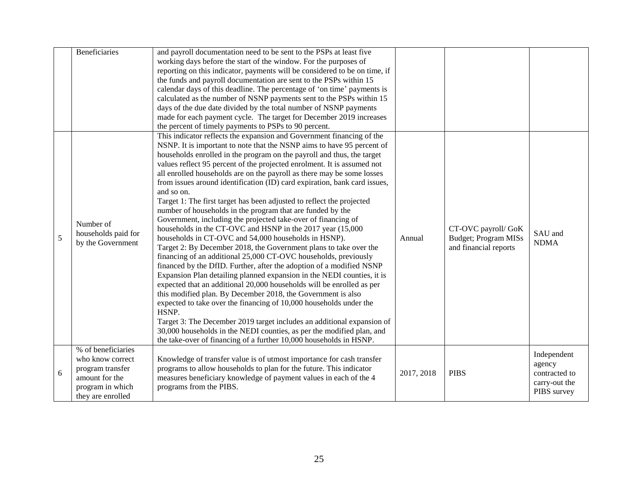|   | <b>Beneficiaries</b>                                                                                                  | and payroll documentation need to be sent to the PSPs at least five<br>working days before the start of the window. For the purposes of<br>reporting on this indicator, payments will be considered to be on time, if<br>the funds and payroll documentation are sent to the PSPs within 15<br>calendar days of this deadline. The percentage of 'on time' payments is<br>calculated as the number of NSNP payments sent to the PSPs within 15<br>days of the due date divided by the total number of NSNP payments<br>made for each payment cycle. The target for December 2019 increases<br>the percent of timely payments to PSPs to 90 percent.                                                                                                                                                                                                                                                                                                                                                                                                                                                                                                                                                                                                                                                                                                                                                                                                                                                                                                |            |                                                                              |                                                                        |
|---|-----------------------------------------------------------------------------------------------------------------------|----------------------------------------------------------------------------------------------------------------------------------------------------------------------------------------------------------------------------------------------------------------------------------------------------------------------------------------------------------------------------------------------------------------------------------------------------------------------------------------------------------------------------------------------------------------------------------------------------------------------------------------------------------------------------------------------------------------------------------------------------------------------------------------------------------------------------------------------------------------------------------------------------------------------------------------------------------------------------------------------------------------------------------------------------------------------------------------------------------------------------------------------------------------------------------------------------------------------------------------------------------------------------------------------------------------------------------------------------------------------------------------------------------------------------------------------------------------------------------------------------------------------------------------------------|------------|------------------------------------------------------------------------------|------------------------------------------------------------------------|
| 5 | Number of<br>households paid for<br>by the Government                                                                 | This indicator reflects the expansion and Government financing of the<br>NSNP. It is important to note that the NSNP aims to have 95 percent of<br>households enrolled in the program on the payroll and thus, the target<br>values reflect 95 percent of the projected enrolment. It is assumed not<br>all enrolled households are on the payroll as there may be some losses<br>from issues around identification (ID) card expiration, bank card issues,<br>and so on.<br>Target 1: The first target has been adjusted to reflect the projected<br>number of households in the program that are funded by the<br>Government, including the projected take-over of financing of<br>households in the CT-OVC and HSNP in the 2017 year (15,000<br>households in CT-OVC and 54,000 households in HSNP).<br>Target 2: By December 2018, the Government plans to take over the<br>financing of an additional 25,000 CT-OVC households, previously<br>financed by the DfID. Further, after the adoption of a modified NSNP<br>Expansion Plan detailing planned expansion in the NEDI counties, it is<br>expected that an additional 20,000 households will be enrolled as per<br>this modified plan. By December 2018, the Government is also<br>expected to take over the financing of 10,000 households under the<br>HSNP.<br>Target 3: The December 2019 target includes an additional expansion of<br>30,000 households in the NEDI counties, as per the modified plan, and<br>the take-over of financing of a further 10,000 households in HSNP. | Annual     | CT-OVC payroll/ GoK<br><b>Budget</b> ; Program MISs<br>and financial reports | SAU and<br><b>NDMA</b>                                                 |
| 6 | % of beneficiaries<br>who know correct<br>program transfer<br>amount for the<br>program in which<br>they are enrolled | Knowledge of transfer value is of utmost importance for cash transfer<br>programs to allow households to plan for the future. This indicator<br>measures beneficiary knowledge of payment values in each of the 4<br>programs from the PIBS.                                                                                                                                                                                                                                                                                                                                                                                                                                                                                                                                                                                                                                                                                                                                                                                                                                                                                                                                                                                                                                                                                                                                                                                                                                                                                                       | 2017, 2018 | <b>PIBS</b>                                                                  | Independent<br>agency<br>contracted to<br>carry-out the<br>PIBS survey |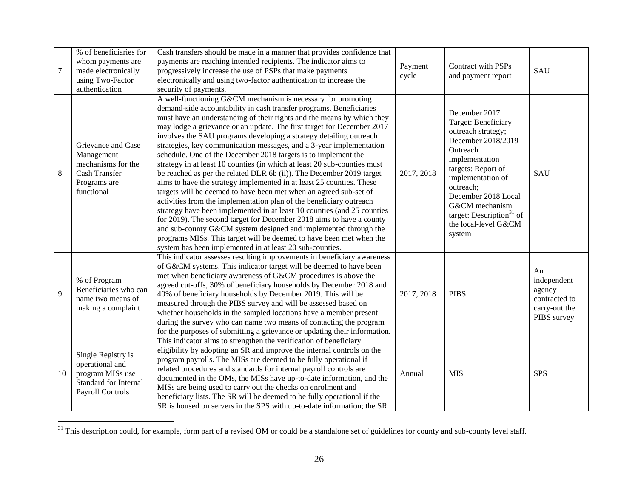| $\tau$ | % of beneficiaries for<br>whom payments are<br>made electronically<br>using Two-Factor<br>authentication      | Cash transfers should be made in a manner that provides confidence that<br>payments are reaching intended recipients. The indicator aims to<br>progressively increase the use of PSPs that make payments<br>electronically and using two-factor authentication to increase the<br>security of payments.                                                                                                                                                                                                                                                                                                                                                                                                                                                                                                                                                                                                                                                                                                                                                                                                                                                                                                                                 | Payment<br>cycle | <b>Contract with PSPs</b><br>and payment report                                                                                                                                                                                                                                           | <b>SAU</b>                                                                   |
|--------|---------------------------------------------------------------------------------------------------------------|-----------------------------------------------------------------------------------------------------------------------------------------------------------------------------------------------------------------------------------------------------------------------------------------------------------------------------------------------------------------------------------------------------------------------------------------------------------------------------------------------------------------------------------------------------------------------------------------------------------------------------------------------------------------------------------------------------------------------------------------------------------------------------------------------------------------------------------------------------------------------------------------------------------------------------------------------------------------------------------------------------------------------------------------------------------------------------------------------------------------------------------------------------------------------------------------------------------------------------------------|------------------|-------------------------------------------------------------------------------------------------------------------------------------------------------------------------------------------------------------------------------------------------------------------------------------------|------------------------------------------------------------------------------|
| 8      | Grievance and Case<br>Management<br>mechanisms for the<br><b>Cash Transfer</b><br>Programs are<br>functional  | A well-functioning G&CM mechanism is necessary for promoting<br>demand-side accountability in cash transfer programs. Beneficiaries<br>must have an understanding of their rights and the means by which they<br>may lodge a grievance or an update. The first target for December 2017<br>involves the SAU programs developing a strategy detailing outreach<br>strategies, key communication messages, and a 3-year implementation<br>schedule. One of the December 2018 targets is to implement the<br>strategy in at least 10 counties (in which at least 20 sub-counties must<br>be reached as per the related DLR 6b (ii)). The December 2019 target<br>aims to have the strategy implemented in at least 25 counties. These<br>targets will be deemed to have been met when an agreed sub-set of<br>activities from the implementation plan of the beneficiary outreach<br>strategy have been implemented in at least 10 counties (and 25 counties<br>for 2019). The second target for December 2018 aims to have a county<br>and sub-county G&CM system designed and implemented through the<br>programs MISs. This target will be deemed to have been met when the<br>system has been implemented in at least 20 sub-counties. | 2017, 2018       | December 2017<br>Target: Beneficiary<br>outreach strategy;<br>December 2018/2019<br>Outreach<br>implementation<br>targets: Report of<br>implementation of<br>outreach;<br>December 2018 Local<br>G&CM mechanism<br>target: Description <sup>31</sup> of<br>the local-level G&CM<br>system | SAU                                                                          |
| 9      | % of Program<br>Beneficiaries who can<br>name two means of<br>making a complaint                              | This indicator assesses resulting improvements in beneficiary awareness<br>of G&CM systems. This indicator target will be deemed to have been<br>met when beneficiary awareness of G&CM procedures is above the<br>agreed cut-offs, 30% of beneficiary households by December 2018 and<br>40% of beneficiary households by December 2019. This will be<br>measured through the PIBS survey and will be assessed based on<br>whether households in the sampled locations have a member present<br>during the survey who can name two means of contacting the program<br>for the purposes of submitting a grievance or updating their information.                                                                                                                                                                                                                                                                                                                                                                                                                                                                                                                                                                                        | 2017, 2018       | <b>PIBS</b>                                                                                                                                                                                                                                                                               | An<br>independent<br>agency<br>contracted to<br>carry-out the<br>PIBS survey |
| 10     | Single Registry is<br>operational and<br>program MISs use<br><b>Standard for Internal</b><br>Payroll Controls | This indicator aims to strengthen the verification of beneficiary<br>eligibility by adopting an SR and improve the internal controls on the<br>program payrolls. The MISs are deemed to be fully operational if<br>related procedures and standards for internal payroll controls are<br>documented in the OMs, the MISs have up-to-date information, and the<br>MISs are being used to carry out the checks on enrolment and<br>beneficiary lists. The SR will be deemed to be fully operational if the<br>SR is housed on servers in the SPS with up-to-date information; the SR                                                                                                                                                                                                                                                                                                                                                                                                                                                                                                                                                                                                                                                      | Annual           | <b>MIS</b>                                                                                                                                                                                                                                                                                | <b>SPS</b>                                                                   |

 $31$  This description could, for example, form part of a revised OM or could be a standalone set of guidelines for county and sub-county level staff.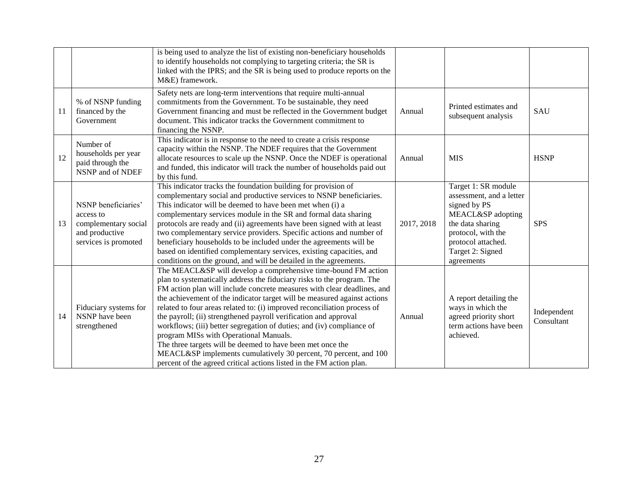|    |                                                                                                    | is being used to analyze the list of existing non-beneficiary households<br>to identify households not complying to targeting criteria; the SR is<br>linked with the IPRS; and the SR is being used to produce reports on the<br>M&E) framework.                                                                                                                                                                                                                                                                                                                                                                                                                                                                                                                             |            |                                                                                                                                                                                        |                           |
|----|----------------------------------------------------------------------------------------------------|------------------------------------------------------------------------------------------------------------------------------------------------------------------------------------------------------------------------------------------------------------------------------------------------------------------------------------------------------------------------------------------------------------------------------------------------------------------------------------------------------------------------------------------------------------------------------------------------------------------------------------------------------------------------------------------------------------------------------------------------------------------------------|------------|----------------------------------------------------------------------------------------------------------------------------------------------------------------------------------------|---------------------------|
| 11 | % of NSNP funding<br>financed by the<br>Government                                                 | Safety nets are long-term interventions that require multi-annual<br>commitments from the Government. To be sustainable, they need<br>Government financing and must be reflected in the Government budget<br>document. This indicator tracks the Government commitment to<br>financing the NSNP.                                                                                                                                                                                                                                                                                                                                                                                                                                                                             | Annual     | Printed estimates and<br>subsequent analysis                                                                                                                                           | SAU                       |
| 12 | Number of<br>households per year<br>paid through the<br>NSNP and of NDEF                           | This indicator is in response to the need to create a crisis response<br>capacity within the NSNP. The NDEF requires that the Government<br>allocate resources to scale up the NSNP. Once the NDEF is operational<br>and funded, this indicator will track the number of households paid out<br>by this fund.                                                                                                                                                                                                                                                                                                                                                                                                                                                                | Annual     | <b>MIS</b>                                                                                                                                                                             | <b>HSNP</b>               |
| 13 | NSNP beneficiaries'<br>access to<br>complementary social<br>and productive<br>services is promoted | This indicator tracks the foundation building for provision of<br>complementary social and productive services to NSNP beneficiaries.<br>This indicator will be deemed to have been met when (i) a<br>complementary services module in the SR and formal data sharing<br>protocols are ready and (ii) agreements have been signed with at least<br>two complementary service providers. Specific actions and number of<br>beneficiary households to be included under the agreements will be<br>based on identified complementary services, existing capacities, and<br>conditions on the ground, and will be detailed in the agreements.                                                                                                                                    | 2017, 2018 | Target 1: SR module<br>assessment, and a letter<br>signed by PS<br>MEACL&SP adopting<br>the data sharing<br>protocol, with the<br>protocol attached.<br>Target 2: Signed<br>agreements | <b>SPS</b>                |
| 14 | Fiduciary systems for<br>NSNP have been<br>strengthened                                            | The MEACL&SP will develop a comprehensive time-bound FM action<br>plan to systematically address the fiduciary risks to the program. The<br>FM action plan will include concrete measures with clear deadlines, and<br>the achievement of the indicator target will be measured against actions<br>related to four areas related to: (i) improved reconciliation process of<br>the payroll; (ii) strengthened payroll verification and approval<br>workflows; (iii) better segregation of duties; and (iv) compliance of<br>program MISs with Operational Manuals.<br>The three targets will be deemed to have been met once the<br>MEACL&SP implements cumulatively 30 percent, 70 percent, and 100<br>percent of the agreed critical actions listed in the FM action plan. | Annual     | A report detailing the<br>ways in which the<br>agreed priority short<br>term actions have been<br>achieved.                                                                            | Independent<br>Consultant |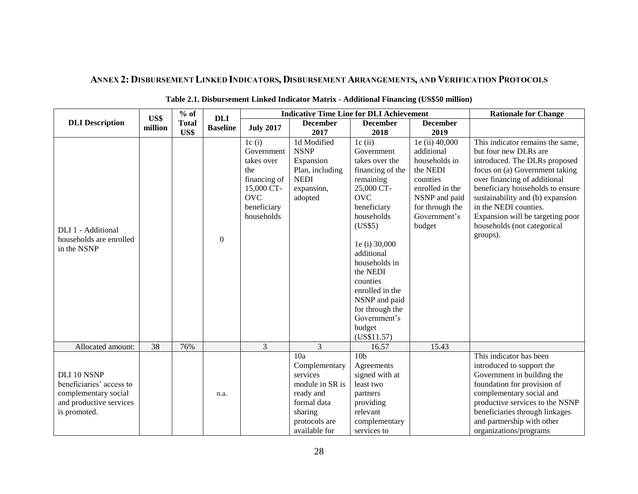# ANNEX 2: DISBURSEMENT LINKED INDICATORS, DISBURSEMENT ARRANGEMENTS, AND VERIFICATION PROTOCOLS

<span id="page-34-0"></span>

|                                                                                                            | $%$ of<br>US\$ |                      | <b>DLI</b>      |                                                                                                                   | <b>Indicative Time Line for DLI Achievement</b>                                                    | <b>Rationale for Change</b>                                                                                                                                                                                                                                                                                        |                                                                                                                                                        |                                                                                                                                                                                                                                                                                                                                              |
|------------------------------------------------------------------------------------------------------------|----------------|----------------------|-----------------|-------------------------------------------------------------------------------------------------------------------|----------------------------------------------------------------------------------------------------|--------------------------------------------------------------------------------------------------------------------------------------------------------------------------------------------------------------------------------------------------------------------------------------------------------------------|--------------------------------------------------------------------------------------------------------------------------------------------------------|----------------------------------------------------------------------------------------------------------------------------------------------------------------------------------------------------------------------------------------------------------------------------------------------------------------------------------------------|
| <b>DLI</b> Description                                                                                     | million        | <b>Total</b><br>US\$ | <b>Baseline</b> | <b>July 2017</b>                                                                                                  | <b>December</b><br>2017                                                                            | <b>December</b><br>2018                                                                                                                                                                                                                                                                                            | <b>December</b><br>2019                                                                                                                                |                                                                                                                                                                                                                                                                                                                                              |
| DLI 1 - Additional<br>households are enrolled<br>in the NSNP                                               |                |                      | $\Omega$        | 1c(i)<br>Government<br>takes over<br>the<br>financing of<br>15,000 CT-<br><b>OVC</b><br>beneficiary<br>households | 1d Modified<br><b>NSNP</b><br>Expansion<br>Plan, including<br><b>NEDI</b><br>expansion,<br>adopted | 1c(i)<br>Government<br>takes over the<br>financing of the<br>remaining<br>25,000 CT-<br><b>OVC</b><br>beneficiary<br>households<br>(US\$5)<br>1e (i) 30,000<br>additional<br>households in<br>the NEDI<br>counties<br>enrolled in the<br>NSNP and paid<br>for through the<br>Government's<br>budget<br>(US\$11.57) | 1e (ii) 40,000<br>additional<br>households in<br>the NEDI<br>counties<br>enrolled in the<br>NSNP and paid<br>for through the<br>Government's<br>budget | This indicator remains the same,<br>but four new DLRs are<br>introduced. The DLRs proposed<br>focus on (a) Government taking<br>over financing of additional<br>beneficiary households to ensure<br>sustainability and (b) expansion<br>in the NEDI counties.<br>Expansion will be targeting poor<br>households (not categorical<br>groups). |
| Allocated amount:                                                                                          | 38             | 76%                  |                 | 3                                                                                                                 | 3                                                                                                  | 16.57                                                                                                                                                                                                                                                                                                              | 15.43                                                                                                                                                  |                                                                                                                                                                                                                                                                                                                                              |
| DLI 10 NSNP<br>beneficiaries' access to<br>complementary social<br>and productive services<br>is promoted. |                |                      | n.a.            |                                                                                                                   | 10a<br>Complementary<br>services<br>module in SR is<br>ready and<br>formal data<br>sharing         | 10 <sub>b</sub><br>Agreements<br>signed with at<br>least two<br>partners<br>providing<br>relevant                                                                                                                                                                                                                  |                                                                                                                                                        | This indicator has been<br>introduced to support the<br>Government in building the<br>foundation for provision of<br>complementary social and<br>productive services to the NSNP<br>beneficiaries through linkages                                                                                                                           |
|                                                                                                            |                |                      |                 |                                                                                                                   | protocols are<br>available for                                                                     | complementary<br>services to                                                                                                                                                                                                                                                                                       |                                                                                                                                                        | and partnership with other<br>organizations/programs                                                                                                                                                                                                                                                                                         |

### **Table 2.1. Disbursement Linked Indicator Matrix - Additional Financing (US\$50 million)**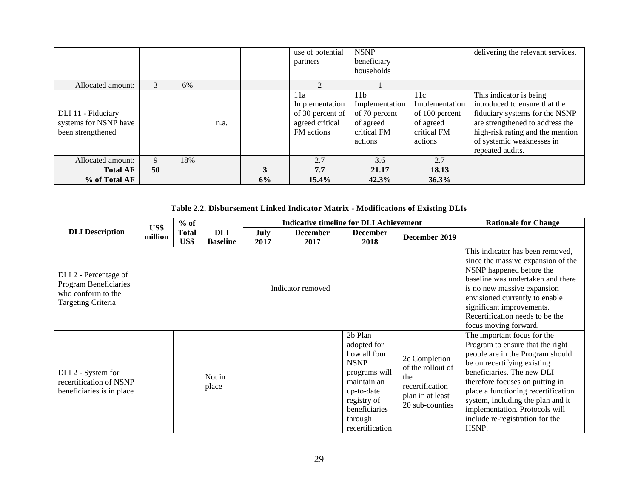|                                                                  |    |     |      |    | use of potential<br>partners                                               | <b>NSNP</b><br>beneficiary<br>households                                                  |                                                                                | delivering the relevant services.                                                                                                                                                                                  |
|------------------------------------------------------------------|----|-----|------|----|----------------------------------------------------------------------------|-------------------------------------------------------------------------------------------|--------------------------------------------------------------------------------|--------------------------------------------------------------------------------------------------------------------------------------------------------------------------------------------------------------------|
| Allocated amount:                                                | 3  | 6%  |      |    |                                                                            |                                                                                           |                                                                                |                                                                                                                                                                                                                    |
| DLI 11 - Fiduciary<br>systems for NSNP have<br>been strengthened |    |     | n.a. |    | 11a<br>Implementation<br>of 30 percent of<br>agreed critical<br>FM actions | 11 <sub>b</sub><br>Implementation<br>of 70 percent<br>of agreed<br>critical FM<br>actions | 11c<br>Implementation<br>of 100 percent<br>of agreed<br>critical FM<br>actions | This indicator is being<br>introduced to ensure that the<br>fiduciary systems for the NSNP<br>are strengthened to address the<br>high-risk rating and the mention<br>of systemic weaknesses in<br>repeated audits. |
| Allocated amount:                                                | 9  | 18% |      |    | 2.7                                                                        | 3.6                                                                                       | 2.7                                                                            |                                                                                                                                                                                                                    |
| <b>Total AF</b>                                                  | 50 |     |      | 3  | 7.7                                                                        | 21.17                                                                                     | 18.13                                                                          |                                                                                                                                                                                                                    |
| % of Total AF                                                    |    |     |      | 6% | $15.4\%$                                                                   | 42.3%                                                                                     | 36.3%                                                                          |                                                                                                                                                                                                                    |

### **Table 2.2. Disbursement Linked Indicator Matrix - Modifications of Existing DLIs**

|                                                                                            | US\$    | $%$ of               |                               |              | <b>Indicative timeline for DLI Achievement</b> |                                                                                                                                                                               |                                                                                                     | <b>Rationale for Change</b>                                                                                                                                                                                                                                                                                                                                   |
|--------------------------------------------------------------------------------------------|---------|----------------------|-------------------------------|--------------|------------------------------------------------|-------------------------------------------------------------------------------------------------------------------------------------------------------------------------------|-----------------------------------------------------------------------------------------------------|---------------------------------------------------------------------------------------------------------------------------------------------------------------------------------------------------------------------------------------------------------------------------------------------------------------------------------------------------------------|
| <b>DLI</b> Description                                                                     | million | <b>Total</b><br>US\$ | <b>DLI</b><br><b>Baseline</b> | July<br>2017 | <b>December</b><br>2017                        | <b>December</b><br>2018                                                                                                                                                       | December 2019                                                                                       |                                                                                                                                                                                                                                                                                                                                                               |
| DLI 2 - Percentage of<br>Program Beneficiaries<br>who conform to the<br>Targeting Criteria |         |                      |                               |              | Indicator removed                              |                                                                                                                                                                               |                                                                                                     | This indicator has been removed,<br>since the massive expansion of the<br>NSNP happened before the<br>baseline was undertaken and there<br>is no new massive expansion<br>envisioned currently to enable<br>significant improvements.<br>Recertification needs to be the<br>focus moving forward.                                                             |
| DLI 2 - System for<br>recertification of NSNP<br>beneficiaries is in place                 |         |                      | Not in<br>place               |              |                                                | 2 <sub>b</sub> Plan<br>adopted for<br>how all four<br><b>NSNP</b><br>programs will<br>maintain an<br>up-to-date<br>registry of<br>beneficiaries<br>through<br>recertification | 2c Completion<br>of the rollout of<br>the<br>recertification<br>plan in at least<br>20 sub-counties | The important focus for the<br>Program to ensure that the right<br>people are in the Program should<br>be on recertifying existing<br>beneficiaries. The new DLI<br>therefore focuses on putting in<br>place a functioning recertification<br>system, including the plan and it<br>implementation. Protocols will<br>include re-registration for the<br>HSNP. |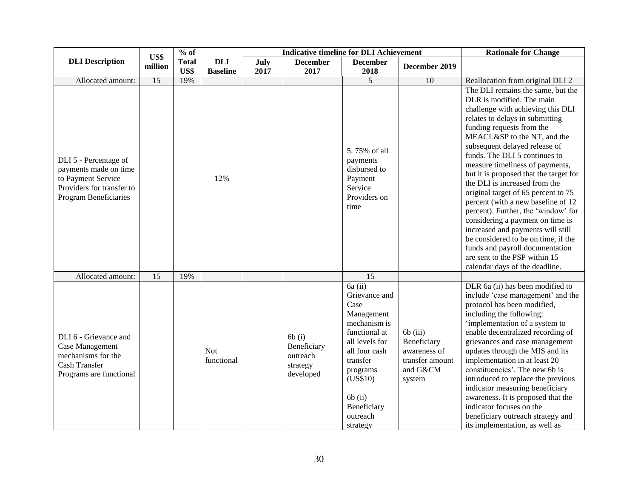|                                                                                                                            | US\$            | $%$ of               |                               |              | <b>Indicative timeline for DLI Achievement</b>            |                                                                                                                                                                                                              |                                                                                    | <b>Rationale for Change</b>                                                                                                                                                                                                                                                                                                                                                                                                                                                                                                                                                                                                                                                                                                  |
|----------------------------------------------------------------------------------------------------------------------------|-----------------|----------------------|-------------------------------|--------------|-----------------------------------------------------------|--------------------------------------------------------------------------------------------------------------------------------------------------------------------------------------------------------------|------------------------------------------------------------------------------------|------------------------------------------------------------------------------------------------------------------------------------------------------------------------------------------------------------------------------------------------------------------------------------------------------------------------------------------------------------------------------------------------------------------------------------------------------------------------------------------------------------------------------------------------------------------------------------------------------------------------------------------------------------------------------------------------------------------------------|
| <b>DLI</b> Description                                                                                                     | million         | <b>Total</b><br>US\$ | <b>DLI</b><br><b>Baseline</b> | July<br>2017 | <b>December</b><br>2017                                   | <b>December</b><br>2018                                                                                                                                                                                      | December 2019                                                                      |                                                                                                                                                                                                                                                                                                                                                                                                                                                                                                                                                                                                                                                                                                                              |
| Allocated amount:                                                                                                          | $\overline{15}$ | 19%                  |                               |              |                                                           | 5                                                                                                                                                                                                            | 10                                                                                 | Reallocation from original DLI 2                                                                                                                                                                                                                                                                                                                                                                                                                                                                                                                                                                                                                                                                                             |
| DLI 5 - Percentage of<br>payments made on time<br>to Payment Service<br>Providers for transfer to<br>Program Beneficiaries |                 |                      | 12%                           |              |                                                           | 5.75% of all<br>payments<br>disbursed to<br>Payment<br>Service<br>Providers on<br>time                                                                                                                       |                                                                                    | The DLI remains the same, but the<br>DLR is modified. The main<br>challenge with achieving this DLI<br>relates to delays in submitting<br>funding requests from the<br>MEACL&SP to the NT, and the<br>subsequent delayed release of<br>funds. The DLI 5 continues to<br>measure timeliness of payments,<br>but it is proposed that the target for<br>the DLI is increased from the<br>original target of 65 percent to 75<br>percent (with a new baseline of 12<br>percent). Further, the 'window' for<br>considering a payment on time is<br>increased and payments will still<br>be considered to be on time, if the<br>funds and payroll documentation<br>are sent to the PSP within 15<br>calendar days of the deadline. |
| Allocated amount:                                                                                                          | 15              | 19%                  |                               |              |                                                           | 15                                                                                                                                                                                                           |                                                                                    |                                                                                                                                                                                                                                                                                                                                                                                                                                                                                                                                                                                                                                                                                                                              |
| DLI 6 - Grievance and<br>Case Management<br>mechanisms for the<br>Cash Transfer<br>Programs are functional                 |                 |                      | <b>Not</b><br>functional      |              | 6b(i)<br>Beneficiary<br>outreach<br>strategy<br>developed | $6a$ (ii)<br>Grievance and<br>Case<br>Management<br>mechanism is<br>functional at<br>all levels for<br>all four cash<br>transfer<br>programs<br>(US\$10)<br>$6b$ (ii)<br>Beneficiary<br>outreach<br>strategy | $6b$ (iii)<br>Beneficiary<br>awareness of<br>transfer amount<br>and G&CM<br>system | $\overline{\text{DLR}}$ 6a (ii) has been modified to<br>include 'case management' and the<br>protocol has been modified,<br>including the following:<br>implementation of a system to<br>enable decentralized recording of<br>grievances and case management<br>updates through the MIS and its<br>implementation in at least 20<br>constituencies'. The new 6b is<br>introduced to replace the previous<br>indicator measuring beneficiary<br>awareness. It is proposed that the<br>indicator focuses on the<br>beneficiary outreach strategy and<br>its implementation, as well as                                                                                                                                         |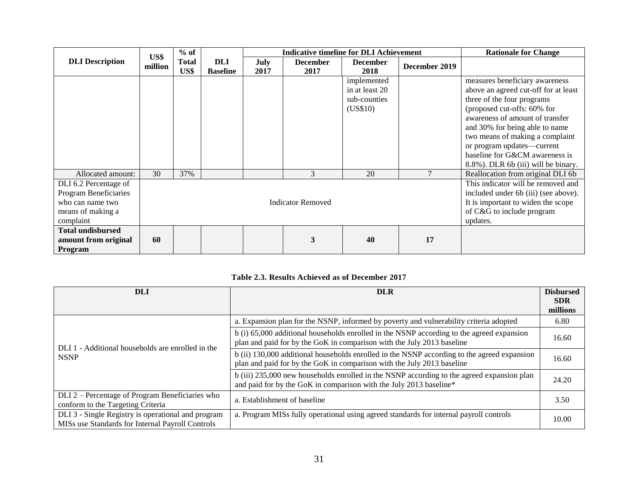|                          | US\$    | $%$ of       |                 |      | <b>Indicative timeline for DLI Achievement</b> |                 |               | <b>Rationale for Change</b>          |
|--------------------------|---------|--------------|-----------------|------|------------------------------------------------|-----------------|---------------|--------------------------------------|
| <b>DLI</b> Description   | million | <b>Total</b> | DLI             | July | <b>December</b>                                | <b>December</b> | December 2019 |                                      |
|                          |         | US\$         | <b>Baseline</b> | 2017 | 2017                                           | 2018            |               |                                      |
|                          |         |              |                 |      |                                                | implemented     |               | measures beneficiary awareness       |
|                          |         |              |                 |      |                                                | in at least 20  |               | above an agreed cut-off for at least |
|                          |         |              |                 |      |                                                | sub-counties    |               | three of the four programs           |
|                          |         |              |                 |      |                                                | (US\$10)        |               | (proposed cut-offs: 60% for          |
|                          |         |              |                 |      |                                                |                 |               | awareness of amount of transfer      |
|                          |         |              |                 |      |                                                |                 |               | and 30% for being able to name       |
|                          |         |              |                 |      |                                                |                 |               | two means of making a complaint      |
|                          |         |              |                 |      |                                                |                 |               | or program updates-current           |
|                          |         |              |                 |      |                                                |                 |               | baseline for G&CM awareness is       |
|                          |         |              |                 |      |                                                |                 |               | 8.8%). DLR 6b (iii) will be binary.  |
| Allocated amount:        | 30      | 37%          |                 |      | 3                                              | 20              | $\tau$        | Reallocation from original DLI 6b    |
| DLI 6.2 Percentage of    |         |              |                 |      |                                                |                 |               | This indicator will be removed and   |
| Program Beneficiaries    |         |              |                 |      |                                                |                 |               | included under 6b (iii) (see above). |
| who can name two         |         |              |                 |      | <b>Indicator Removed</b>                       |                 |               | It is important to widen the scope   |
| means of making a        |         |              |                 |      |                                                |                 |               | of C&G to include program            |
| complaint                |         |              |                 |      |                                                | updates.        |               |                                      |
| <b>Total undisbursed</b> |         |              |                 |      |                                                |                 |               |                                      |
| amount from original     | 60      |              |                 |      | 3                                              | 40              | 17            |                                      |
| Program                  |         |              |                 |      |                                                |                 |               |                                      |

#### **Table 2.3. Results Achieved as of December 2017**

| <b>DLI</b>                                                                                             | <b>DLR</b>                                                                                                                                                            | <b>Disbursed</b><br><b>SDR</b><br>millions |
|--------------------------------------------------------------------------------------------------------|-----------------------------------------------------------------------------------------------------------------------------------------------------------------------|--------------------------------------------|
|                                                                                                        | a. Expansion plan for the NSNP, informed by poverty and vulnerability criteria adopted                                                                                | 6.80                                       |
| DLI 1 - Additional households are enrolled in the                                                      | b (i) 65,000 additional households enrolled in the NSNP according to the agreed expansion<br>plan and paid for by the GoK in comparison with the July 2013 baseline   | 16.60                                      |
| <b>NSNP</b>                                                                                            | b (ii) 130,000 additional households enrolled in the NSNP according to the agreed expansion<br>plan and paid for by the GoK in comparison with the July 2013 baseline | 16.60                                      |
|                                                                                                        | b (iii) 235,000 new households enrolled in the NSNP according to the agreed expansion plan<br>and paid for by the GoK in comparison with the July 2013 baseline*      | 24.20                                      |
| DLI 2 - Percentage of Program Beneficiaries who<br>conform to the Targeting Criteria                   | a. Establishment of baseline                                                                                                                                          | 3.50                                       |
| DLI 3 - Single Registry is operational and program<br>MISs use Standards for Internal Payroll Controls | a. Program MISs fully operational using agreed standards for internal payroll controls                                                                                | 10.00                                      |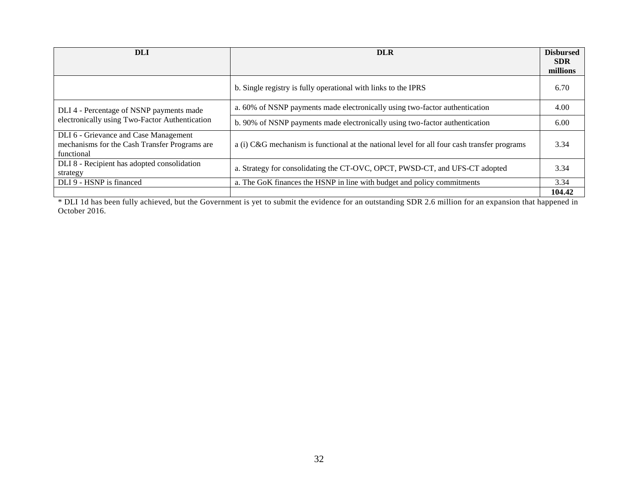| <b>DLI</b>                                                                                           | <b>DLR</b>                                                                                  | <b>Disbursed</b><br><b>SDR</b><br>millions |
|------------------------------------------------------------------------------------------------------|---------------------------------------------------------------------------------------------|--------------------------------------------|
|                                                                                                      | b. Single registry is fully operational with links to the IPRS                              | 6.70                                       |
| DLI 4 - Percentage of NSNP payments made                                                             | a. 60% of NSNP payments made electronically using two-factor authentication                 | 4.00                                       |
| electronically using Two-Factor Authentication                                                       | b. 90% of NSNP payments made electronically using two-factor authentication                 | 6.00                                       |
| DLI 6 - Grievance and Case Management<br>mechanisms for the Cash Transfer Programs are<br>functional | a (i) C&G mechanism is functional at the national level for all four cash transfer programs | 3.34                                       |
| DLI 8 - Recipient has adopted consolidation<br>strategy                                              | a. Strategy for consolidating the CT-OVC, OPCT, PWSD-CT, and UFS-CT adopted                 | 3.34                                       |
| DLI 9 - HSNP is financed                                                                             | a. The GoK finances the HSNP in line with budget and policy commitments                     | 3.34                                       |
|                                                                                                      |                                                                                             | 104.42                                     |

\* DLI 1d has been fully achieved, but the Government is yet to submit the evidence for an outstanding SDR 2.6 million for an expansion that happened in October 2016.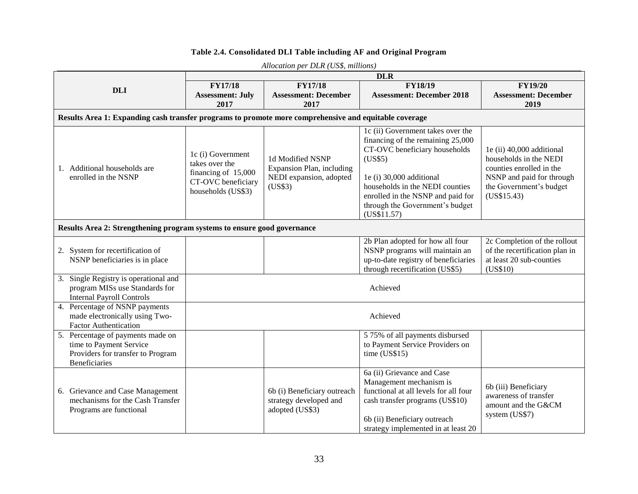#### **Table 2.4. Consolidated DLI Table including AF and Original Program**

|                                                                                                                           |                                                                                                                                                                                               | Allocation per DLR (USS, millions)                                       | <b>DLR</b>                                                                                                                                                                                                                                                               |                                                                                                                                                        |  |  |  |  |  |
|---------------------------------------------------------------------------------------------------------------------------|-----------------------------------------------------------------------------------------------------------------------------------------------------------------------------------------------|--------------------------------------------------------------------------|--------------------------------------------------------------------------------------------------------------------------------------------------------------------------------------------------------------------------------------------------------------------------|--------------------------------------------------------------------------------------------------------------------------------------------------------|--|--|--|--|--|
| <b>DLI</b>                                                                                                                | <b>FY17/18</b><br><b>Assessment: July</b><br>2017                                                                                                                                             | <b>FY17/18</b><br><b>Assessment: December</b><br>2017                    | FY18/19<br><b>Assessment: December 2018</b>                                                                                                                                                                                                                              | <b>FY19/20</b><br><b>Assessment: December</b><br>2019                                                                                                  |  |  |  |  |  |
| Results Area 1: Expanding cash transfer programs to promote more comprehensive and equitable coverage                     |                                                                                                                                                                                               |                                                                          |                                                                                                                                                                                                                                                                          |                                                                                                                                                        |  |  |  |  |  |
| 1. Additional households are<br>enrolled in the NSNP                                                                      | 1c (i) Government<br>1d Modified NSNP<br>takes over the<br>Expansion Plan, including<br>financing of 15,000<br>NEDI expansion, adopted<br>CT-OVC beneficiary<br>(US\$3)<br>households (US\$3) |                                                                          | 1c (ii) Government takes over the<br>financing of the remaining 25,000<br>CT-OVC beneficiary households<br>(US\$5)<br>1e (i) 30,000 additional<br>households in the NEDI counties<br>enrolled in the NSNP and paid for<br>through the Government's budget<br>(US\$11.57) | 1e (ii) 40,000 additional<br>households in the NEDI<br>counties enrolled in the<br>NSNP and paid for through<br>the Government's budget<br>(US\$15.43) |  |  |  |  |  |
| Results Area 2: Strengthening program systems to ensure good governance                                                   |                                                                                                                                                                                               |                                                                          |                                                                                                                                                                                                                                                                          |                                                                                                                                                        |  |  |  |  |  |
| 2. System for recertification of<br>NSNP beneficiaries is in place                                                        |                                                                                                                                                                                               |                                                                          | 2b Plan adopted for how all four<br>NSNP programs will maintain an<br>up-to-date registry of beneficiaries<br>through recertification (US\$5)                                                                                                                            | 2c Completion of the rollout<br>of the recertification plan in<br>at least 20 sub-counties<br>(US\$10)                                                 |  |  |  |  |  |
| 3. Single Registry is operational and<br>program MISs use Standards for<br><b>Internal Payroll Controls</b>               |                                                                                                                                                                                               |                                                                          | Achieved                                                                                                                                                                                                                                                                 |                                                                                                                                                        |  |  |  |  |  |
| 4. Percentage of NSNP payments<br>made electronically using Two-<br><b>Factor Authentication</b>                          |                                                                                                                                                                                               |                                                                          | Achieved                                                                                                                                                                                                                                                                 |                                                                                                                                                        |  |  |  |  |  |
| 5. Percentage of payments made on<br>time to Payment Service<br>Providers for transfer to Program<br><b>Beneficiaries</b> |                                                                                                                                                                                               |                                                                          | 5 75% of all payments disbursed<br>to Payment Service Providers on<br>time (US\$15)                                                                                                                                                                                      |                                                                                                                                                        |  |  |  |  |  |
| 6. Grievance and Case Management<br>mechanisms for the Cash Transfer<br>Programs are functional                           |                                                                                                                                                                                               | 6b (i) Beneficiary outreach<br>strategy developed and<br>adopted (US\$3) | 6a (ii) Grievance and Case<br>Management mechanism is<br>functional at all levels for all four<br>cash transfer programs (US\$10)<br>6b (ii) Beneficiary outreach<br>strategy implemented in at least 20                                                                 | 6b (iii) Beneficiary<br>awareness of transfer<br>amount and the G&CM<br>system (US\$7)                                                                 |  |  |  |  |  |

*Allocation per DLR (US\$, millions)*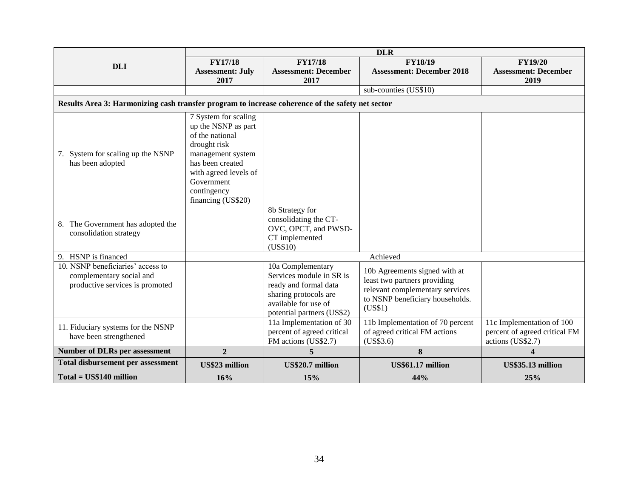|                                                                                                  | <b>DLR</b>                      |                                     |                                  |                                     |  |  |  |  |
|--------------------------------------------------------------------------------------------------|---------------------------------|-------------------------------------|----------------------------------|-------------------------------------|--|--|--|--|
| <b>DLI</b>                                                                                       | <b>FY17/18</b>                  | <b>FY17/18</b>                      | <b>FY18/19</b>                   | <b>FY19/20</b>                      |  |  |  |  |
|                                                                                                  | <b>Assessment: July</b><br>2017 | <b>Assessment: December</b><br>2017 | <b>Assessment: December 2018</b> | <b>Assessment: December</b><br>2019 |  |  |  |  |
|                                                                                                  |                                 |                                     | sub-counties (US\$10)            |                                     |  |  |  |  |
| Results Area 3: Harmonizing cash transfer program to increase coherence of the safety net sector |                                 |                                     |                                  |                                     |  |  |  |  |
|                                                                                                  |                                 |                                     |                                  |                                     |  |  |  |  |
|                                                                                                  | 7 System for scaling            |                                     |                                  |                                     |  |  |  |  |
|                                                                                                  | up the NSNP as part             |                                     |                                  |                                     |  |  |  |  |
|                                                                                                  | of the national                 |                                     |                                  |                                     |  |  |  |  |
|                                                                                                  | drought risk                    |                                     |                                  |                                     |  |  |  |  |
| 7. System for scaling up the NSNP                                                                | management system               |                                     |                                  |                                     |  |  |  |  |
| has been adopted                                                                                 | has been created                |                                     |                                  |                                     |  |  |  |  |
|                                                                                                  | with agreed levels of           |                                     |                                  |                                     |  |  |  |  |
|                                                                                                  | Government                      |                                     |                                  |                                     |  |  |  |  |
|                                                                                                  | contingency                     |                                     |                                  |                                     |  |  |  |  |
|                                                                                                  | financing (US\$20)              |                                     |                                  |                                     |  |  |  |  |
|                                                                                                  |                                 | 8b Strategy for                     |                                  |                                     |  |  |  |  |
| 8. The Government has adopted the                                                                |                                 | consolidating the CT-               |                                  |                                     |  |  |  |  |
| consolidation strategy                                                                           |                                 | OVC, OPCT, and PWSD-                |                                  |                                     |  |  |  |  |
|                                                                                                  |                                 | CT implemented                      |                                  |                                     |  |  |  |  |
|                                                                                                  |                                 | (US\$10)                            |                                  |                                     |  |  |  |  |
| 9. HSNP is financed                                                                              |                                 |                                     | Achieved                         |                                     |  |  |  |  |
| 10. NSNP beneficiaries' access to                                                                |                                 | 10a Complementary                   | 10b Agreements signed with at    |                                     |  |  |  |  |
| complementary social and                                                                         |                                 | Services module in SR is            | least two partners providing     |                                     |  |  |  |  |
| productive services is promoted                                                                  |                                 | ready and formal data               | relevant complementary services  |                                     |  |  |  |  |
|                                                                                                  |                                 | sharing protocols are               | to NSNP beneficiary households.  |                                     |  |  |  |  |
|                                                                                                  |                                 | available for use of                | (US\$1)                          |                                     |  |  |  |  |
|                                                                                                  |                                 | potential partners (US\$2)          |                                  |                                     |  |  |  |  |
| 11. Fiduciary systems for the NSNP                                                               |                                 | 11a Implementation of 30            | 11b Implementation of 70 percent | 11c Implementation of 100           |  |  |  |  |
| have been strengthened                                                                           |                                 | percent of agreed critical          | of agreed critical FM actions    | percent of agreed critical FM       |  |  |  |  |
|                                                                                                  |                                 | FM actions (US\$2.7)                | (US\$3.6)                        | actions (US\$2.7)                   |  |  |  |  |
| <b>Number of DLRs per assessment</b>                                                             | $\overline{2}$                  | 5                                   | 8                                | $\overline{\mathbf{4}}$             |  |  |  |  |
| Total disbursement per assessment                                                                | <b>US\$23 million</b>           | US\$20.7 million                    | US\$61.17 million                | US\$35.13 million                   |  |  |  |  |
| Total = US\$140 million                                                                          | 16%                             | 15%                                 | 44%                              | 25%                                 |  |  |  |  |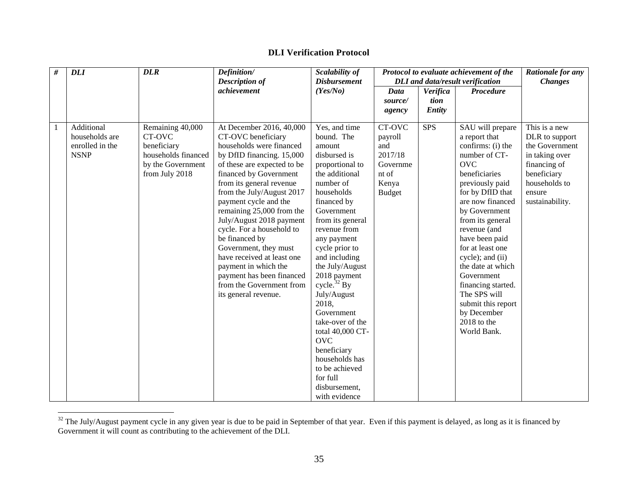# **DLI Verification Protocol**

| $\#$ | <b>DLI</b>                                                     | <b>DLR</b>                                                                                              | Definition/                                                                                                                                                                                                                                                                                                                                                                                                                                                            | Scalability of                                                                                                                                                                                                                                                              | Protocol to evaluate achievement of the<br><b>DLI</b> and data/result verification |            | Rationale for any                                                                                                                                                                                                                                                                                                   |                                                                                                                                                  |
|------|----------------------------------------------------------------|---------------------------------------------------------------------------------------------------------|------------------------------------------------------------------------------------------------------------------------------------------------------------------------------------------------------------------------------------------------------------------------------------------------------------------------------------------------------------------------------------------------------------------------------------------------------------------------|-----------------------------------------------------------------------------------------------------------------------------------------------------------------------------------------------------------------------------------------------------------------------------|------------------------------------------------------------------------------------|------------|---------------------------------------------------------------------------------------------------------------------------------------------------------------------------------------------------------------------------------------------------------------------------------------------------------------------|--------------------------------------------------------------------------------------------------------------------------------------------------|
|      |                                                                |                                                                                                         | <b>Description of</b>                                                                                                                                                                                                                                                                                                                                                                                                                                                  | <b>Disbursement</b>                                                                                                                                                                                                                                                         |                                                                                    |            |                                                                                                                                                                                                                                                                                                                     | <b>Changes</b>                                                                                                                                   |
|      |                                                                |                                                                                                         | achievement                                                                                                                                                                                                                                                                                                                                                                                                                                                            | (Yes/No)                                                                                                                                                                                                                                                                    | Data                                                                               | Verifica   | <b>Procedure</b>                                                                                                                                                                                                                                                                                                    |                                                                                                                                                  |
|      |                                                                |                                                                                                         |                                                                                                                                                                                                                                                                                                                                                                                                                                                                        |                                                                                                                                                                                                                                                                             | source/                                                                            | tion       |                                                                                                                                                                                                                                                                                                                     |                                                                                                                                                  |
|      |                                                                |                                                                                                         |                                                                                                                                                                                                                                                                                                                                                                                                                                                                        |                                                                                                                                                                                                                                                                             | agency                                                                             | Entity     |                                                                                                                                                                                                                                                                                                                     |                                                                                                                                                  |
| 1    | Additional<br>households are<br>enrolled in the<br><b>NSNP</b> | Remaining 40,000<br>CT-OVC<br>beneficiary<br>households financed<br>by the Government<br>from July 2018 | At December 2016, 40,000<br>CT-OVC beneficiary<br>households were financed<br>by DfID financing. 15,000<br>of these are expected to be<br>financed by Government<br>from its general revenue<br>from the July/August 2017<br>payment cycle and the<br>remaining 25,000 from the<br>July/August 2018 payment<br>cycle. For a household to<br>be financed by<br>Government, they must<br>have received at least one<br>payment in which the<br>payment has been financed | Yes, and time<br>bound. The<br>amount<br>disbursed is<br>proportional to<br>the additional<br>number of<br>households<br>financed by<br>Government<br>from its general<br>revenue from<br>any payment<br>cycle prior to<br>and including<br>the July/August<br>2018 payment | CT-OVC<br>payroll<br>and<br>2017/18<br>Governme<br>nt of<br>Kenya<br><b>Budget</b> | <b>SPS</b> | SAU will prepare<br>a report that<br>confirms: (i) the<br>number of CT-<br><b>OVC</b><br>beneficiaries<br>previously paid<br>for by DfID that<br>are now financed<br>by Government<br>from its general<br>revenue (and<br>have been paid<br>for at least one<br>cycle); and (ii)<br>the date at which<br>Government | This is a new<br>DLR to support<br>the Government<br>in taking over<br>financing of<br>beneficiary<br>households to<br>ensure<br>sustainability. |
|      |                                                                |                                                                                                         | from the Government from<br>its general revenue.                                                                                                                                                                                                                                                                                                                                                                                                                       | cycle. $32$ By<br>July/August<br>2018,<br>Government<br>take-over of the<br>total 40,000 CT-<br><b>OVC</b><br>beneficiary<br>households has<br>to be achieved<br>for full<br>disbursement,<br>with evidence                                                                 |                                                                                    |            | financing started.<br>The SPS will<br>submit this report<br>by December<br>$2018$ to the<br>World Bank.                                                                                                                                                                                                             |                                                                                                                                                  |

 $32$  The July/August payment cycle in any given year is due to be paid in September of that year. Even if this payment is delayed, as long as it is financed by Government it will count as contributing to the achievement of the DLI.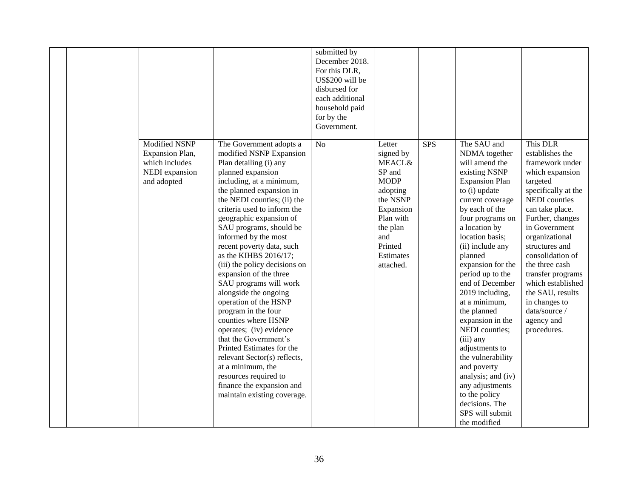|  |                                                                                            |                                                                                                                                                                                                                                                                                                                                                                                                                                                                                                                                                                                                                                                                                                                                                                             | submitted by<br>December 2018.<br>For this DLR,<br>US\$200 will be<br>disbursed for<br>each additional<br>household paid<br>for by the<br>Government. |                                                                                                                                                                             |     |                                                                                                                                                                                                                                                                                                                                                                                                                                                                                                                                                                               |                                                                                                                                                                                                                                                                                                                                                                                             |
|--|--------------------------------------------------------------------------------------------|-----------------------------------------------------------------------------------------------------------------------------------------------------------------------------------------------------------------------------------------------------------------------------------------------------------------------------------------------------------------------------------------------------------------------------------------------------------------------------------------------------------------------------------------------------------------------------------------------------------------------------------------------------------------------------------------------------------------------------------------------------------------------------|-------------------------------------------------------------------------------------------------------------------------------------------------------|-----------------------------------------------------------------------------------------------------------------------------------------------------------------------------|-----|-------------------------------------------------------------------------------------------------------------------------------------------------------------------------------------------------------------------------------------------------------------------------------------------------------------------------------------------------------------------------------------------------------------------------------------------------------------------------------------------------------------------------------------------------------------------------------|---------------------------------------------------------------------------------------------------------------------------------------------------------------------------------------------------------------------------------------------------------------------------------------------------------------------------------------------------------------------------------------------|
|  | <b>Modified NSNP</b><br>Expansion Plan,<br>which includes<br>NEDI expansion<br>and adopted | The Government adopts a<br>modified NSNP Expansion<br>Plan detailing (i) any<br>planned expansion<br>including, at a minimum,<br>the planned expansion in<br>the NEDI counties; (ii) the<br>criteria used to inform the<br>geographic expansion of<br>SAU programs, should be<br>informed by the most<br>recent poverty data, such<br>as the KIHBS 2016/17;<br>(iii) the policy decisions on<br>expansion of the three<br>SAU programs will work<br>alongside the ongoing<br>operation of the HSNP<br>program in the four<br>counties where HSNP<br>operates; (iv) evidence<br>that the Government's<br>Printed Estimates for the<br>relevant Sector(s) reflects,<br>at a minimum, the<br>resources required to<br>finance the expansion and<br>maintain existing coverage. | N <sub>o</sub>                                                                                                                                        | Letter<br>signed by<br><b>MEACL&amp;</b><br>SP and<br><b>MODP</b><br>adopting<br>the NSNP<br>Expansion<br>Plan with<br>the plan<br>and<br>Printed<br>Estimates<br>attached. | SPS | The SAU and<br>NDMA together<br>will amend the<br>existing NSNP<br><b>Expansion Plan</b><br>to (i) update<br>current coverage<br>by each of the<br>four programs on<br>a location by<br>location basis;<br>(ii) include any<br>planned<br>expansion for the<br>period up to the<br>end of December<br>2019 including,<br>at a minimum,<br>the planned<br>expansion in the<br>NEDI counties;<br>(iii) any<br>adjustments to<br>the vulnerability<br>and poverty<br>analysis; and (iv)<br>any adjustments<br>to the policy<br>decisions. The<br>SPS will submit<br>the modified | This DLR<br>establishes the<br>framework under<br>which expansion<br>targeted<br>specifically at the<br><b>NEDI</b> counties<br>can take place.<br>Further, changes<br>in Government<br>organizational<br>structures and<br>consolidation of<br>the three cash<br>transfer programs<br>which established<br>the SAU, results<br>in changes to<br>data/source /<br>agency and<br>procedures. |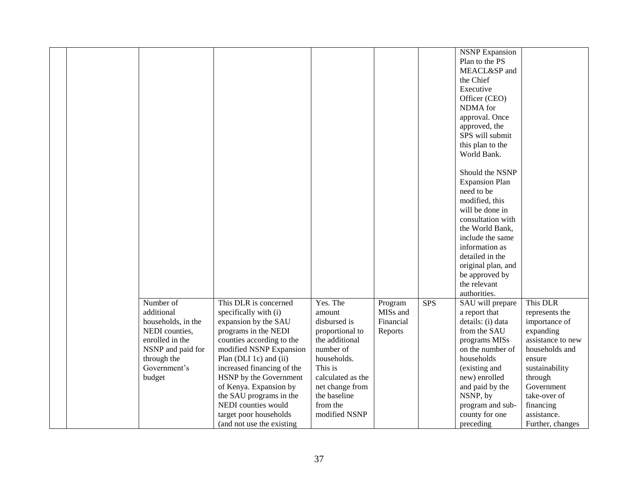|  |                    |                            |                   |           |            | <b>NSNP</b> Expansion |                   |
|--|--------------------|----------------------------|-------------------|-----------|------------|-----------------------|-------------------|
|  |                    |                            |                   |           |            | Plan to the PS        |                   |
|  |                    |                            |                   |           |            |                       |                   |
|  |                    |                            |                   |           |            | MEACL&SP and          |                   |
|  |                    |                            |                   |           |            | the Chief             |                   |
|  |                    |                            |                   |           |            | Executive             |                   |
|  |                    |                            |                   |           |            | Officer (CEO)         |                   |
|  |                    |                            |                   |           |            | NDMA for              |                   |
|  |                    |                            |                   |           |            | approval. Once        |                   |
|  |                    |                            |                   |           |            | approved, the         |                   |
|  |                    |                            |                   |           |            | SPS will submit       |                   |
|  |                    |                            |                   |           |            | this plan to the      |                   |
|  |                    |                            |                   |           |            | World Bank.           |                   |
|  |                    |                            |                   |           |            |                       |                   |
|  |                    |                            |                   |           |            | Should the NSNP       |                   |
|  |                    |                            |                   |           |            | <b>Expansion Plan</b> |                   |
|  |                    |                            |                   |           |            | need to be            |                   |
|  |                    |                            |                   |           |            |                       |                   |
|  |                    |                            |                   |           |            | modified, this        |                   |
|  |                    |                            |                   |           |            | will be done in       |                   |
|  |                    |                            |                   |           |            | consultation with     |                   |
|  |                    |                            |                   |           |            | the World Bank,       |                   |
|  |                    |                            |                   |           |            | include the same      |                   |
|  |                    |                            |                   |           |            | information as        |                   |
|  |                    |                            |                   |           |            | detailed in the       |                   |
|  |                    |                            |                   |           |            | original plan, and    |                   |
|  |                    |                            |                   |           |            | be approved by        |                   |
|  |                    |                            |                   |           |            | the relevant          |                   |
|  |                    |                            |                   |           |            | authorities.          |                   |
|  | Number of          | This DLR is concerned      | Yes. The          | Program   | <b>SPS</b> | SAU will prepare      | This DLR          |
|  | additional         | specifically with (i)      | amount            | MISs and  |            | a report that         | represents the    |
|  | households, in the | expansion by the SAU       | disbursed is      | Financial |            | details: (i) data     | importance of     |
|  | NEDI counties,     | programs in the NEDI       | proportional to   | Reports   |            | from the SAU          | expanding         |
|  | enrolled in the    | counties according to the  | the additional    |           |            | programs MISs         | assistance to new |
|  | NSNP and paid for  | modified NSNP Expansion    | number of         |           |            | on the number of      | households and    |
|  |                    |                            | households.       |           |            | households            |                   |
|  | through the        | Plan (DLI 1c) and (ii)     | This is           |           |            |                       | ensure            |
|  | Government's       | increased financing of the |                   |           |            | (existing and         | sustainability    |
|  | budget             | HSNP by the Government     | calculated as the |           |            | new) enrolled         | through           |
|  |                    | of Kenya. Expansion by     | net change from   |           |            | and paid by the       | Government        |
|  |                    | the SAU programs in the    | the baseline      |           |            | NSNP, by              | take-over of      |
|  |                    | NEDI counties would        | from the          |           |            | program and sub-      | financing         |
|  |                    | target poor households     | modified NSNP     |           |            | county for one        | assistance.       |
|  |                    | (and not use the existing  |                   |           |            | preceding             | Further, changes  |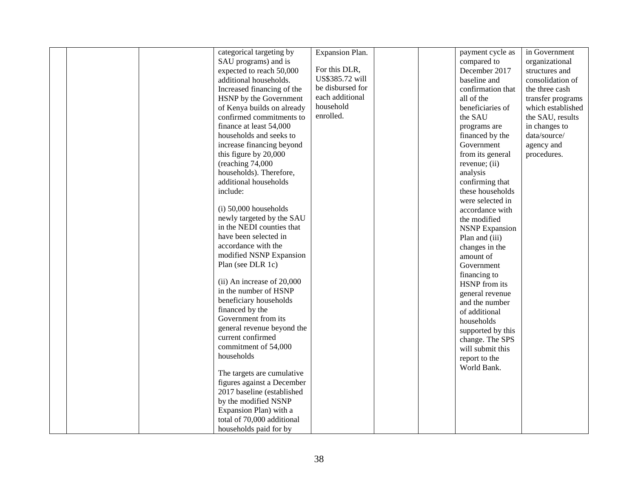|  | categorical targeting by     | Expansion Plan.  |  | payment cycle as      | in Government     |
|--|------------------------------|------------------|--|-----------------------|-------------------|
|  | SAU programs) and is         |                  |  | compared to           | organizational    |
|  | expected to reach 50,000     | For this DLR,    |  | December 2017         |                   |
|  |                              | US\$385.72 will  |  |                       | structures and    |
|  | additional households.       |                  |  | baseline and          | consolidation of  |
|  | Increased financing of the   | be disbursed for |  | confirmation that     | the three cash    |
|  | HSNP by the Government       | each additional  |  | all of the            | transfer programs |
|  | of Kenya builds on already   | household        |  | beneficiaries of      | which established |
|  | confirmed commitments to     | enrolled.        |  | the SAU               | the SAU, results  |
|  | finance at least 54,000      |                  |  | programs are          | in changes to     |
|  | households and seeks to      |                  |  | financed by the       | data/source/      |
|  | increase financing beyond    |                  |  | Government            | agency and        |
|  | this figure by 20,000        |                  |  | from its general      | procedures.       |
|  | (reaching 74,000             |                  |  | revenue; (ii)         |                   |
|  | households). Therefore,      |                  |  | analysis              |                   |
|  | additional households        |                  |  | confirming that       |                   |
|  | include:                     |                  |  | these households      |                   |
|  |                              |                  |  | were selected in      |                   |
|  | $(i)$ 50,000 households      |                  |  | accordance with       |                   |
|  | newly targeted by the SAU    |                  |  |                       |                   |
|  | in the NEDI counties that    |                  |  | the modified          |                   |
|  |                              |                  |  | <b>NSNP</b> Expansion |                   |
|  | have been selected in        |                  |  | Plan and (iii)        |                   |
|  | accordance with the          |                  |  | changes in the        |                   |
|  | modified NSNP Expansion      |                  |  | amount of             |                   |
|  | Plan (see DLR 1c)            |                  |  | Government            |                   |
|  |                              |                  |  | financing to          |                   |
|  | $(ii)$ An increase of 20,000 |                  |  | HSNP from its         |                   |
|  | in the number of HSNP        |                  |  | general revenue       |                   |
|  | beneficiary households       |                  |  | and the number        |                   |
|  | financed by the              |                  |  | of additional         |                   |
|  | Government from its          |                  |  | households            |                   |
|  | general revenue beyond the   |                  |  | supported by this     |                   |
|  | current confirmed            |                  |  | change. The SPS       |                   |
|  | commitment of 54,000         |                  |  | will submit this      |                   |
|  | households                   |                  |  | report to the         |                   |
|  |                              |                  |  |                       |                   |
|  | The targets are cumulative   |                  |  | World Bank.           |                   |
|  | figures against a December   |                  |  |                       |                   |
|  | 2017 baseline (established   |                  |  |                       |                   |
|  | by the modified NSNP         |                  |  |                       |                   |
|  | Expansion Plan) with a       |                  |  |                       |                   |
|  |                              |                  |  |                       |                   |
|  | total of 70,000 additional   |                  |  |                       |                   |
|  | households paid for by       |                  |  |                       |                   |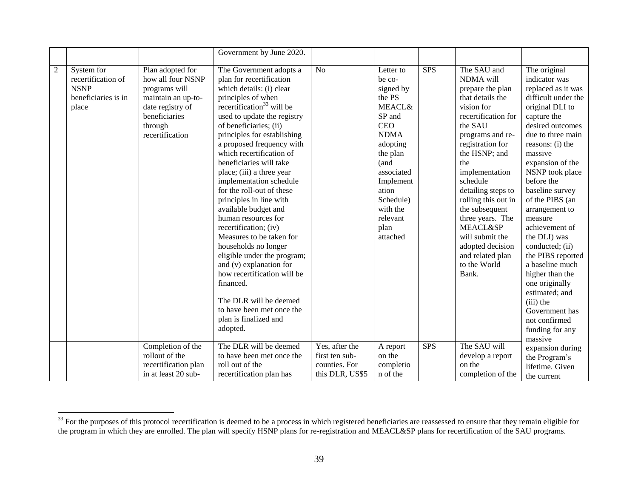|                |                                                                                 |                                                                                                                                                 | Government by June 2020.                                                                                                                                                                                                                                                                                                                                                                                                                                                                                                                                                                                                                                                                                                                                                 |                                                                      |                                                                                                                                                                                                                                     |            |                                                                                                                                                                                                                                                                                                                                                                                                              |                                                                                                                                                                                                                                                                                                                                                                                                                                                                                                                                                  |
|----------------|---------------------------------------------------------------------------------|-------------------------------------------------------------------------------------------------------------------------------------------------|--------------------------------------------------------------------------------------------------------------------------------------------------------------------------------------------------------------------------------------------------------------------------------------------------------------------------------------------------------------------------------------------------------------------------------------------------------------------------------------------------------------------------------------------------------------------------------------------------------------------------------------------------------------------------------------------------------------------------------------------------------------------------|----------------------------------------------------------------------|-------------------------------------------------------------------------------------------------------------------------------------------------------------------------------------------------------------------------------------|------------|--------------------------------------------------------------------------------------------------------------------------------------------------------------------------------------------------------------------------------------------------------------------------------------------------------------------------------------------------------------------------------------------------------------|--------------------------------------------------------------------------------------------------------------------------------------------------------------------------------------------------------------------------------------------------------------------------------------------------------------------------------------------------------------------------------------------------------------------------------------------------------------------------------------------------------------------------------------------------|
| $\overline{2}$ | System for<br>recertification of<br><b>NSNP</b><br>beneficiaries is in<br>place | Plan adopted for<br>how all four NSNP<br>programs will<br>maintain an up-to-<br>date registry of<br>beneficiaries<br>through<br>recertification | The Government adopts a<br>plan for recertification<br>which details: (i) clear<br>principles of when<br>recertification <sup>33</sup> will be<br>used to update the registry<br>of beneficiaries; (ii)<br>principles for establishing<br>a proposed frequency with<br>which recertification of<br>beneficiaries will take<br>place; (iii) a three year<br>implementation schedule<br>for the roll-out of these<br>principles in line with<br>available budget and<br>human resources for<br>recertification; (iv)<br>Measures to be taken for<br>households no longer<br>eligible under the program;<br>and (v) explanation for<br>how recertification will be<br>financed.<br>The DLR will be deemed<br>to have been met once the<br>plan is finalized and<br>adopted. | N <sub>o</sub>                                                       | Letter to<br>be co-<br>signed by<br>the PS<br><b>MEACL&amp;</b><br>SP and<br><b>CEO</b><br><b>NDMA</b><br>adopting<br>the plan<br>(and<br>associated<br>Implement<br>ation<br>Schedule)<br>with the<br>relevant<br>plan<br>attached | <b>SPS</b> | The SAU and<br>NDMA will<br>prepare the plan<br>that details the<br>vision for<br>recertification for<br>the SAU<br>programs and re-<br>registration for<br>the HSNP; and<br>the<br>implementation<br>schedule<br>detailing steps to<br>rolling this out in<br>the subsequent<br>three years. The<br><b>MEACL&amp;SP</b><br>will submit the<br>adopted decision<br>and related plan<br>to the World<br>Bank. | The original<br>indicator was<br>replaced as it was<br>difficult under the<br>original DLI to<br>capture the<br>desired outcomes<br>due to three main<br>reasons: (i) the<br>massive<br>expansion of the<br>NSNP took place<br>before the<br>baseline survey<br>of the PIBS (an<br>arrangement to<br>measure<br>achievement of<br>the DLI) was<br>conducted; (ii)<br>the PIBS reported<br>a baseline much<br>higher than the<br>one originally<br>estimated; and<br>$(iii)$ the<br>Government has<br>not confirmed<br>funding for any<br>massive |
|                |                                                                                 | Completion of the<br>rollout of the<br>recertification plan<br>in at least 20 sub-                                                              | The DLR will be deemed<br>to have been met once the<br>roll out of the<br>recertification plan has                                                                                                                                                                                                                                                                                                                                                                                                                                                                                                                                                                                                                                                                       | Yes, after the<br>first ten sub-<br>counties. For<br>this DLR, US\$5 | A report<br>on the<br>completio<br>n of the                                                                                                                                                                                         | <b>SPS</b> | The SAU will<br>develop a report<br>on the<br>completion of the                                                                                                                                                                                                                                                                                                                                              | expansion during<br>the Program's<br>lifetime. Given<br>the current                                                                                                                                                                                                                                                                                                                                                                                                                                                                              |

 $33$  For the purposes of this protocol recertification is deemed to be a process in which registered beneficiaries are reassessed to ensure that they remain eligible for the program in which they are enrolled. The plan will specify HSNP plans for re-registration and MEACL&SP plans for recertification of the SAU programs.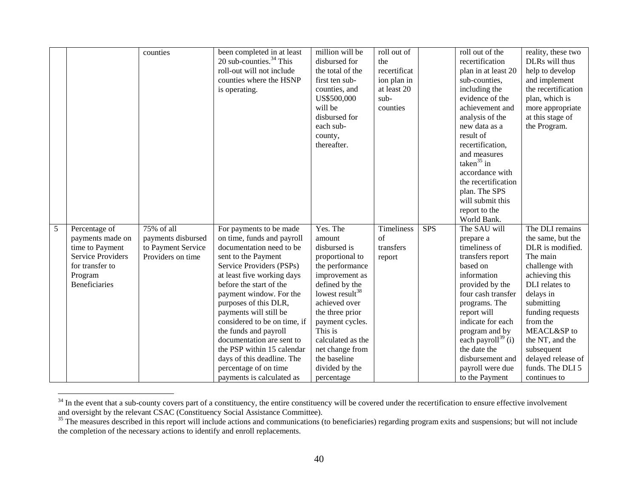|   |                                                                                                   | counties                                |                                                                                                                                                                                                                                                                                                                                                                                               | million will be                                                                                                                                                                                                                                                   | roll out of         |            | roll out of the                                                                                                                                                                                                                                                  | reality, these two                                                                                                                                                                                                                      |
|---|---------------------------------------------------------------------------------------------------|-----------------------------------------|-----------------------------------------------------------------------------------------------------------------------------------------------------------------------------------------------------------------------------------------------------------------------------------------------------------------------------------------------------------------------------------------------|-------------------------------------------------------------------------------------------------------------------------------------------------------------------------------------------------------------------------------------------------------------------|---------------------|------------|------------------------------------------------------------------------------------------------------------------------------------------------------------------------------------------------------------------------------------------------------------------|-----------------------------------------------------------------------------------------------------------------------------------------------------------------------------------------------------------------------------------------|
|   |                                                                                                   |                                         | been completed in at least                                                                                                                                                                                                                                                                                                                                                                    |                                                                                                                                                                                                                                                                   |                     |            |                                                                                                                                                                                                                                                                  |                                                                                                                                                                                                                                         |
|   |                                                                                                   |                                         | 20 sub-counties. $34$ This                                                                                                                                                                                                                                                                                                                                                                    | disbursed for                                                                                                                                                                                                                                                     | the                 |            | recertification                                                                                                                                                                                                                                                  | DLRs will thus                                                                                                                                                                                                                          |
|   |                                                                                                   |                                         | roll-out will not include                                                                                                                                                                                                                                                                                                                                                                     | the total of the                                                                                                                                                                                                                                                  | recertificat        |            | plan in at least 20                                                                                                                                                                                                                                              | help to develop                                                                                                                                                                                                                         |
|   |                                                                                                   |                                         | counties where the HSNP                                                                                                                                                                                                                                                                                                                                                                       | first ten sub-                                                                                                                                                                                                                                                    | ion plan in         |            | sub-counties,                                                                                                                                                                                                                                                    | and implement                                                                                                                                                                                                                           |
|   |                                                                                                   |                                         | is operating.                                                                                                                                                                                                                                                                                                                                                                                 | counties, and                                                                                                                                                                                                                                                     | at least 20         |            | including the                                                                                                                                                                                                                                                    | the recertification                                                                                                                                                                                                                     |
|   |                                                                                                   |                                         |                                                                                                                                                                                                                                                                                                                                                                                               | US\$500,000                                                                                                                                                                                                                                                       | sub-                |            | evidence of the                                                                                                                                                                                                                                                  | plan, which is                                                                                                                                                                                                                          |
|   |                                                                                                   |                                         |                                                                                                                                                                                                                                                                                                                                                                                               | will be                                                                                                                                                                                                                                                           | counties            |            | achievement and                                                                                                                                                                                                                                                  | more appropriate                                                                                                                                                                                                                        |
|   |                                                                                                   |                                         |                                                                                                                                                                                                                                                                                                                                                                                               | disbursed for                                                                                                                                                                                                                                                     |                     |            | analysis of the                                                                                                                                                                                                                                                  | at this stage of                                                                                                                                                                                                                        |
|   |                                                                                                   |                                         |                                                                                                                                                                                                                                                                                                                                                                                               | each sub-                                                                                                                                                                                                                                                         |                     |            | new data as a                                                                                                                                                                                                                                                    | the Program.                                                                                                                                                                                                                            |
|   |                                                                                                   |                                         |                                                                                                                                                                                                                                                                                                                                                                                               | county,                                                                                                                                                                                                                                                           |                     |            | result of                                                                                                                                                                                                                                                        |                                                                                                                                                                                                                                         |
|   |                                                                                                   |                                         |                                                                                                                                                                                                                                                                                                                                                                                               | thereafter.                                                                                                                                                                                                                                                       |                     |            | recertification,                                                                                                                                                                                                                                                 |                                                                                                                                                                                                                                         |
|   |                                                                                                   |                                         |                                                                                                                                                                                                                                                                                                                                                                                               |                                                                                                                                                                                                                                                                   |                     |            | and measures                                                                                                                                                                                                                                                     |                                                                                                                                                                                                                                         |
|   |                                                                                                   |                                         |                                                                                                                                                                                                                                                                                                                                                                                               |                                                                                                                                                                                                                                                                   |                     |            | taken $35$ in                                                                                                                                                                                                                                                    |                                                                                                                                                                                                                                         |
|   |                                                                                                   |                                         |                                                                                                                                                                                                                                                                                                                                                                                               |                                                                                                                                                                                                                                                                   |                     |            | accordance with                                                                                                                                                                                                                                                  |                                                                                                                                                                                                                                         |
|   |                                                                                                   |                                         |                                                                                                                                                                                                                                                                                                                                                                                               |                                                                                                                                                                                                                                                                   |                     |            | the recertification                                                                                                                                                                                                                                              |                                                                                                                                                                                                                                         |
|   |                                                                                                   |                                         |                                                                                                                                                                                                                                                                                                                                                                                               |                                                                                                                                                                                                                                                                   |                     |            | plan. The SPS                                                                                                                                                                                                                                                    |                                                                                                                                                                                                                                         |
|   |                                                                                                   |                                         |                                                                                                                                                                                                                                                                                                                                                                                               |                                                                                                                                                                                                                                                                   |                     |            | will submit this                                                                                                                                                                                                                                                 |                                                                                                                                                                                                                                         |
|   |                                                                                                   |                                         |                                                                                                                                                                                                                                                                                                                                                                                               |                                                                                                                                                                                                                                                                   |                     |            | report to the                                                                                                                                                                                                                                                    |                                                                                                                                                                                                                                         |
|   |                                                                                                   |                                         |                                                                                                                                                                                                                                                                                                                                                                                               |                                                                                                                                                                                                                                                                   |                     |            | World Bank.                                                                                                                                                                                                                                                      |                                                                                                                                                                                                                                         |
| 5 | Percentage of                                                                                     | 75% of all                              | For payments to be made                                                                                                                                                                                                                                                                                                                                                                       | Yes. The                                                                                                                                                                                                                                                          | Timeliness          | <b>SPS</b> | The SAU will                                                                                                                                                                                                                                                     | The DLI remains                                                                                                                                                                                                                         |
|   | payments made on                                                                                  | payments disbursed                      | on time, funds and payroll                                                                                                                                                                                                                                                                                                                                                                    | amount                                                                                                                                                                                                                                                            | $\sigma$ f          |            | prepare a                                                                                                                                                                                                                                                        | the same, but the                                                                                                                                                                                                                       |
|   |                                                                                                   |                                         |                                                                                                                                                                                                                                                                                                                                                                                               |                                                                                                                                                                                                                                                                   |                     |            |                                                                                                                                                                                                                                                                  |                                                                                                                                                                                                                                         |
|   |                                                                                                   |                                         |                                                                                                                                                                                                                                                                                                                                                                                               |                                                                                                                                                                                                                                                                   |                     |            |                                                                                                                                                                                                                                                                  |                                                                                                                                                                                                                                         |
|   |                                                                                                   |                                         |                                                                                                                                                                                                                                                                                                                                                                                               |                                                                                                                                                                                                                                                                   |                     |            |                                                                                                                                                                                                                                                                  |                                                                                                                                                                                                                                         |
|   |                                                                                                   |                                         |                                                                                                                                                                                                                                                                                                                                                                                               |                                                                                                                                                                                                                                                                   |                     |            |                                                                                                                                                                                                                                                                  |                                                                                                                                                                                                                                         |
|   |                                                                                                   |                                         |                                                                                                                                                                                                                                                                                                                                                                                               |                                                                                                                                                                                                                                                                   |                     |            |                                                                                                                                                                                                                                                                  |                                                                                                                                                                                                                                         |
|   |                                                                                                   |                                         |                                                                                                                                                                                                                                                                                                                                                                                               |                                                                                                                                                                                                                                                                   |                     |            |                                                                                                                                                                                                                                                                  |                                                                                                                                                                                                                                         |
|   |                                                                                                   |                                         |                                                                                                                                                                                                                                                                                                                                                                                               |                                                                                                                                                                                                                                                                   |                     |            |                                                                                                                                                                                                                                                                  |                                                                                                                                                                                                                                         |
|   |                                                                                                   |                                         |                                                                                                                                                                                                                                                                                                                                                                                               |                                                                                                                                                                                                                                                                   |                     |            |                                                                                                                                                                                                                                                                  |                                                                                                                                                                                                                                         |
|   |                                                                                                   |                                         |                                                                                                                                                                                                                                                                                                                                                                                               |                                                                                                                                                                                                                                                                   |                     |            |                                                                                                                                                                                                                                                                  |                                                                                                                                                                                                                                         |
|   |                                                                                                   |                                         |                                                                                                                                                                                                                                                                                                                                                                                               |                                                                                                                                                                                                                                                                   |                     |            |                                                                                                                                                                                                                                                                  |                                                                                                                                                                                                                                         |
|   |                                                                                                   |                                         |                                                                                                                                                                                                                                                                                                                                                                                               |                                                                                                                                                                                                                                                                   |                     |            |                                                                                                                                                                                                                                                                  |                                                                                                                                                                                                                                         |
|   |                                                                                                   |                                         |                                                                                                                                                                                                                                                                                                                                                                                               |                                                                                                                                                                                                                                                                   |                     |            |                                                                                                                                                                                                                                                                  |                                                                                                                                                                                                                                         |
|   |                                                                                                   |                                         |                                                                                                                                                                                                                                                                                                                                                                                               |                                                                                                                                                                                                                                                                   |                     |            |                                                                                                                                                                                                                                                                  |                                                                                                                                                                                                                                         |
|   |                                                                                                   |                                         |                                                                                                                                                                                                                                                                                                                                                                                               |                                                                                                                                                                                                                                                                   |                     |            |                                                                                                                                                                                                                                                                  |                                                                                                                                                                                                                                         |
|   |                                                                                                   |                                         |                                                                                                                                                                                                                                                                                                                                                                                               |                                                                                                                                                                                                                                                                   |                     |            |                                                                                                                                                                                                                                                                  |                                                                                                                                                                                                                                         |
|   | time to Payment<br><b>Service Providers</b><br>for transfer to<br>Program<br><b>Beneficiaries</b> | to Payment Service<br>Providers on time | documentation need to be<br>sent to the Payment<br>Service Providers (PSPs)<br>at least five working days<br>before the start of the<br>payment window. For the<br>purposes of this DLR,<br>payments will still be<br>considered to be on time, if<br>the funds and payroll<br>documentation are sent to<br>the PSP within 15 calendar<br>days of this deadline. The<br>percentage of on time | disbursed is<br>proportional to<br>the performance<br>improvement as<br>defined by the<br>lowest result <sup>38</sup><br>achieved over<br>the three prior<br>payment cycles.<br>This is<br>calculated as the<br>net change from<br>the baseline<br>divided by the | transfers<br>report |            | timeliness of<br>transfers report<br>based on<br>information<br>provided by the<br>four cash transfer<br>programs. The<br>report will<br>indicate for each<br>program and by<br>each payroll $^{39}$ (i)<br>the date the<br>disbursement and<br>payroll were due | DLR is modified.<br>The main<br>challenge with<br>achieving this<br>DLI relates to<br>delays in<br>submitting<br>funding requests<br>from the<br>MEACL&SP to<br>the NT, and the<br>subsequent<br>delayed release of<br>funds. The DLI 5 |

 $34$  In the event that a sub-county covers part of a constituency, the entire constituency will be covered under the recertification to ensure effective involvement and oversight by the relevant CSAC (Constituency Social Assistance Committee).

 $35$  The measures described in this report will include actions and communications (to beneficiaries) regarding program exits and suspensions; but will not include the completion of the necessary actions to identify and enroll replacements.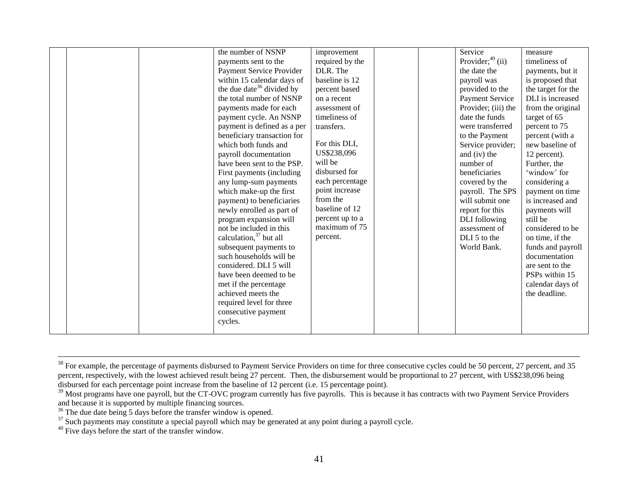|  | the number of NSNP                    | improvement     |  | Service             | measure            |
|--|---------------------------------------|-----------------|--|---------------------|--------------------|
|  | payments sent to the                  | required by the |  | Provider; $40$ (ii) | timeliness of      |
|  | Payment Service Provider              | DLR. The        |  | the date the        | payments, but it   |
|  | within 15 calendar days of            | baseline is 12  |  | payroll was         | is proposed that   |
|  | the due date <sup>36</sup> divided by | percent based   |  | provided to the     | the target for the |
|  | the total number of NSNP              | on a recent     |  | Payment Service     | DLI is increased   |
|  | payments made for each                | assessment of   |  | Provider; (iii) the | from the original  |
|  | payment cycle. An NSNP                | timeliness of   |  | date the funds      | target of 65       |
|  | payment is defined as a per           | transfers.      |  | were transferred    | percent to 75      |
|  | beneficiary transaction for           |                 |  | to the Payment      | percent (with a    |
|  | which both funds and                  | For this DLI,   |  | Service provider;   | new baseline of    |
|  | payroll documentation                 | US\$238,096     |  | and (iv) the        | 12 percent).       |
|  | have been sent to the PSP.            | will be         |  | number of           | Further, the       |
|  | First payments (including             | disbursed for   |  | beneficiaries       | 'window' for       |
|  | any lump-sum payments                 | each percentage |  | covered by the      | considering a      |
|  | which make-up the first               | point increase  |  | payroll. The SPS    | payment on time    |
|  | payment) to beneficiaries             | from the        |  | will submit one     | is increased and   |
|  | newly enrolled as part of             | baseline of 12  |  | report for this     | payments will      |
|  | program expansion will                | percent up to a |  | DLI following       | still be           |
|  | not be included in this               | maximum of 75   |  | assessment of       | considered to be   |
|  | calculation, <sup>37</sup> but all    | percent.        |  | DLI 5 to the        | on time, if the    |
|  | subsequent payments to                |                 |  | World Bank.         | funds and payroll  |
|  | such households will be               |                 |  |                     | documentation      |
|  | considered. DLI 5 will                |                 |  |                     | are sent to the    |
|  | have been deemed to be                |                 |  |                     | PSPs within 15     |
|  | met if the percentage                 |                 |  |                     | calendar days of   |
|  | achieved meets the                    |                 |  |                     | the deadline.      |
|  | required level for three              |                 |  |                     |                    |
|  | consecutive payment                   |                 |  |                     |                    |
|  | cycles.                               |                 |  |                     |                    |
|  |                                       |                 |  |                     |                    |

 $\overline{a}$ <sup>38</sup> For example, the percentage of payments disbursed to Payment Service Providers on time for three consecutive cycles could be 50 percent, 27 percent, and 35 percent, respectively, with the lowest achieved result being 27 percent. Then, the disbursement would be proportional to 27 percent, with US\$238,096 being disbursed for each percentage point increase from the baseline of 12 percent (i.e. 15 percentage point).

<sup>&</sup>lt;sup>39</sup> Most programs have one payroll, but the CT-OVC program currently has five payrolls. This is because it has contracts with two Payment Service Providers and because it is supported by multiple financing sources.

 $36$  The due date being 5 days before the transfer window is opened.

 $37$  Such payments may constitute a special payroll which may be generated at any point during a payroll cycle.

<sup>40</sup> Five days before the start of the transfer window.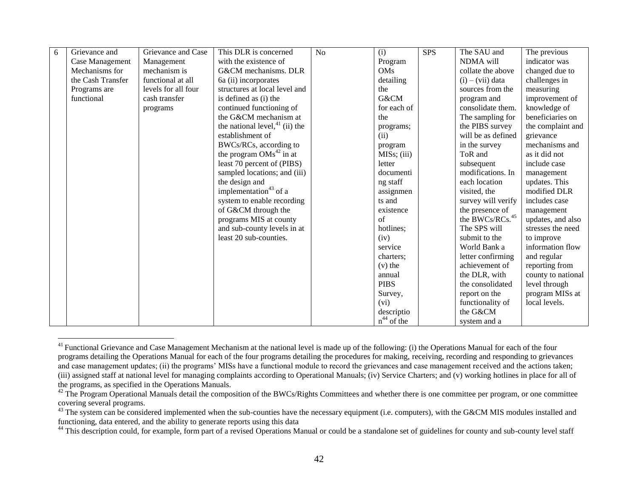| 6 | Grievance and     | Grievance and Case  | This DLR is concerned             | N <sub>o</sub> | (i)                      | <b>SPS</b> | The SAU and                 | The previous       |
|---|-------------------|---------------------|-----------------------------------|----------------|--------------------------|------------|-----------------------------|--------------------|
|   | Case Management   | Management          | with the existence of             |                | Program                  |            | NDMA will                   | indicator was      |
|   | Mechanisms for    | mechanism is        | G&CM mechanisms. DLR              |                | OMs                      |            | collate the above           | changed due to     |
|   | the Cash Transfer | functional at all   | 6a (ii) incorporates              |                | detailing                |            | $(i) - (vii)$ data          | challenges in      |
|   | Programs are      | levels for all four | structures at local level and     |                | the                      |            | sources from the            | measuring          |
|   | functional        | cash transfer       | is defined as (i) the             |                | G&CM                     |            | program and                 | improvement of     |
|   |                   | programs            | continued functioning of          |                | for each of              |            | consolidate them.           | knowledge of       |
|   |                   |                     | the G&CM mechanism at             |                | the                      |            | The sampling for            | beneficiaries on   |
|   |                   |                     | the national level, $41$ (ii) the |                | programs;                |            | the PIBS survey             | the complaint and  |
|   |                   |                     | establishment of                  |                | (ii)                     |            | will be as defined          | grievance          |
|   |                   |                     | BWCs/RCs, according to            |                | program                  |            | in the survey               | mechanisms and     |
|   |                   |                     | the program $OMs^{42}$ in at      |                | MIS <sub>s</sub> ; (iii) |            | ToR and                     | as it did not      |
|   |                   |                     | least 70 percent of (PIBS)        |                | letter                   |            | subsequent                  | include case       |
|   |                   |                     | sampled locations; and (iii)      |                | documenti                |            | modifications. In           | management         |
|   |                   |                     | the design and                    |                | ng staff                 |            | each location               | updates. This      |
|   |                   |                     | implementation <sup>43</sup> of a |                | assignmen                |            | visited, the                | modified DLR       |
|   |                   |                     | system to enable recording        |                | ts and                   |            | survey will verify          | includes case      |
|   |                   |                     | of G&CM through the               |                | existence                |            | the presence of             | management         |
|   |                   |                     | programs MIS at county            |                | $\sigma$ f               |            | the BWCs/RCs. <sup>45</sup> | updates, and also  |
|   |                   |                     | and sub-county levels in at       |                | hotlines;                |            | The SPS will                | stresses the need  |
|   |                   |                     | least 20 sub-counties.            |                | (iv)                     |            | submit to the               | to improve         |
|   |                   |                     |                                   |                | service                  |            | World Bank a                | information flow   |
|   |                   |                     |                                   |                | charters:                |            | letter confirming           | and regular        |
|   |                   |                     |                                   |                | $(v)$ the                |            | achievement of              | reporting from     |
|   |                   |                     |                                   |                | annual                   |            | the DLR, with               | county to national |
|   |                   |                     |                                   |                | <b>PIBS</b>              |            | the consolidated            | level through      |
|   |                   |                     |                                   |                | Survey,                  |            | report on the               | program MISs at    |
|   |                   |                     |                                   |                | (vi)                     |            | functionality of            | local levels.      |
|   |                   |                     |                                   |                | descriptio               |            | the G&CM                    |                    |
|   |                   |                     |                                   |                | $n^{44}$ of the          |            | system and a                |                    |

 $41$  Functional Grievance and Case Management Mechanism at the national level is made up of the following: (i) the Operations Manual for each of the four programs detailing the Operations Manual for each of the four programs detailing the procedures for making, receiving, recording and responding to grievances and case management updates; (ii) the programs' MISs have a functional module to record the grievances and case management received and the actions taken; (iii) assigned staff at national level for managing complaints according to Operational Manuals; (iv) Service Charters; and (v) working hotlines in place for all of the programs, as specified in the Operations Manuals.

 $42$  The Program Operational Manuals detail the composition of the BWCs/Rights Committees and whether there is one committee per program, or one committee covering several programs.

<sup>&</sup>lt;sup>43</sup> The system can be considered implemented when the sub-counties have the necessary equipment (i.e. computers), with the G&CM MIS modules installed and functioning, data entered, and the ability to generate reports using this data

<sup>&</sup>lt;sup>44</sup> This description could, for example, form part of a revised Operations Manual or could be a standalone set of guidelines for county and sub-county level staff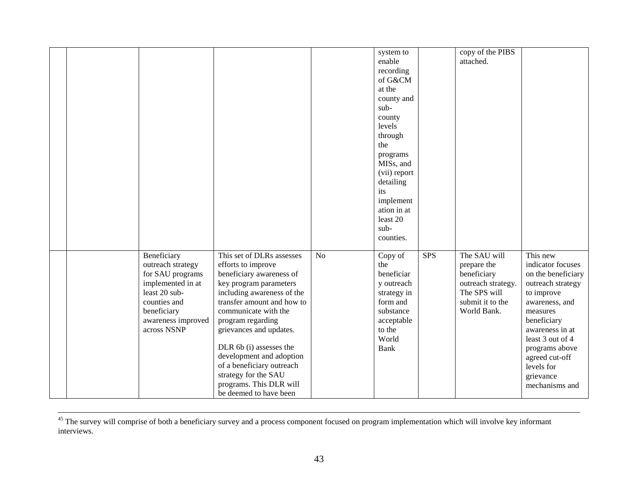|  |                                                                                                                                                                |                                                                                                                                                                                                                                                                                                                                                                                                            |    | system to<br>enable<br>recording<br>of G&CM<br>at the<br>county and<br>sub-<br>county<br>levels<br>through<br>the<br>programs<br>MIS <sub>s</sub> , and<br>(vii) report<br>detailing<br>its<br>implement<br>ation in at<br>least 20<br>sub-<br>counties. |            | copy of the PIBS<br>attached.                                                                                       |                                                                                                                                                                                                                                                             |
|--|----------------------------------------------------------------------------------------------------------------------------------------------------------------|------------------------------------------------------------------------------------------------------------------------------------------------------------------------------------------------------------------------------------------------------------------------------------------------------------------------------------------------------------------------------------------------------------|----|----------------------------------------------------------------------------------------------------------------------------------------------------------------------------------------------------------------------------------------------------------|------------|---------------------------------------------------------------------------------------------------------------------|-------------------------------------------------------------------------------------------------------------------------------------------------------------------------------------------------------------------------------------------------------------|
|  | Beneficiary<br>outreach strategy<br>for SAU programs<br>implemented in at<br>least 20 sub-<br>counties and<br>beneficiary<br>awareness improved<br>across NSNP | This set of DLRs assesses<br>efforts to improve<br>beneficiary awareness of<br>key program parameters<br>including awareness of the<br>transfer amount and how to<br>communicate with the<br>program regarding<br>grievances and updates.<br>DLR 6b (i) assesses the<br>development and adoption<br>of a beneficiary outreach<br>strategy for the SAU<br>programs. This DLR will<br>be deemed to have been | No | Copy of<br>the<br>beneficiar<br>y outreach<br>strategy in<br>form and<br>substance<br>acceptable<br>to the<br>World<br>Bank                                                                                                                              | <b>SPS</b> | The SAU will<br>prepare the<br>beneficiary<br>outreach strategy.<br>The SPS will<br>submit it to the<br>World Bank. | This new<br>indicator focuses<br>on the beneficiary<br>outreach strategy<br>to improve<br>awareness, and<br>measures<br>beneficiary<br>awareness in at<br>least 3 out of 4<br>programs above<br>agreed cut-off<br>levels for<br>grievance<br>mechanisms and |

 $\overline{a}$  $45$  The survey will comprise of both a beneficiary survey and a process component focused on program implementation which will involve key informant interviews.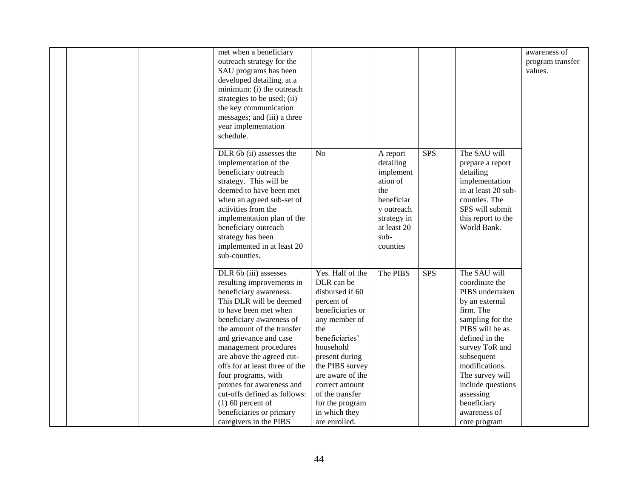| met when a beneficiary                                                                                                                                                                                                                                                                                                                                                                                                                                                        |                                                                                                                                                                                                                                                                                               |                                                                                                                                     |            |                                                                                                                                                                                                                                                                                                 | awareness of                |
|-------------------------------------------------------------------------------------------------------------------------------------------------------------------------------------------------------------------------------------------------------------------------------------------------------------------------------------------------------------------------------------------------------------------------------------------------------------------------------|-----------------------------------------------------------------------------------------------------------------------------------------------------------------------------------------------------------------------------------------------------------------------------------------------|-------------------------------------------------------------------------------------------------------------------------------------|------------|-------------------------------------------------------------------------------------------------------------------------------------------------------------------------------------------------------------------------------------------------------------------------------------------------|-----------------------------|
| outreach strategy for the<br>SAU programs has been<br>developed detailing, at a<br>minimum: (i) the outreach<br>strategies to be used; (ii)<br>the key communication<br>messages; and (iii) a three<br>year implementation<br>schedule.                                                                                                                                                                                                                                       |                                                                                                                                                                                                                                                                                               |                                                                                                                                     |            |                                                                                                                                                                                                                                                                                                 | program transfer<br>values. |
| DLR 6b (ii) assesses the<br>implementation of the<br>beneficiary outreach<br>strategy. This will be<br>deemed to have been met<br>when an agreed sub-set of<br>activities from the<br>implementation plan of the<br>beneficiary outreach<br>strategy has been<br>implemented in at least 20<br>sub-counties.                                                                                                                                                                  | N <sub>o</sub>                                                                                                                                                                                                                                                                                | A report<br>detailing<br>implement<br>ation of<br>the<br>beneficiar<br>y outreach<br>strategy in<br>at least 20<br>sub-<br>counties | <b>SPS</b> | The SAU will<br>prepare a report<br>detailing<br>implementation<br>in at least 20 sub-<br>counties. The<br>SPS will submit<br>this report to the<br>World Bank.                                                                                                                                 |                             |
| DLR 6b (iii) assesses<br>resulting improvements in<br>beneficiary awareness.<br>This DLR will be deemed<br>to have been met when<br>beneficiary awareness of<br>the amount of the transfer<br>and grievance and case<br>management procedures<br>are above the agreed cut-<br>offs for at least three of the<br>four programs, with<br>proxies for awareness and<br>cut-offs defined as follows:<br>$(1)$ 60 percent of<br>beneficiaries or primary<br>caregivers in the PIBS | Yes. Half of the<br>DLR can be<br>disbursed if 60<br>percent of<br>beneficiaries or<br>any member of<br>the<br>beneficiaries'<br>household<br>present during<br>the PIBS survey<br>are aware of the<br>correct amount<br>of the transfer<br>for the program<br>in which they<br>are enrolled. | The PIBS                                                                                                                            | <b>SPS</b> | The SAU will<br>coordinate the<br>PIBS undertaken<br>by an external<br>firm. The<br>sampling for the<br>PIBS will be as<br>defined in the<br>survey ToR and<br>subsequent<br>modifications.<br>The survey will<br>include questions<br>assessing<br>beneficiary<br>awareness of<br>core program |                             |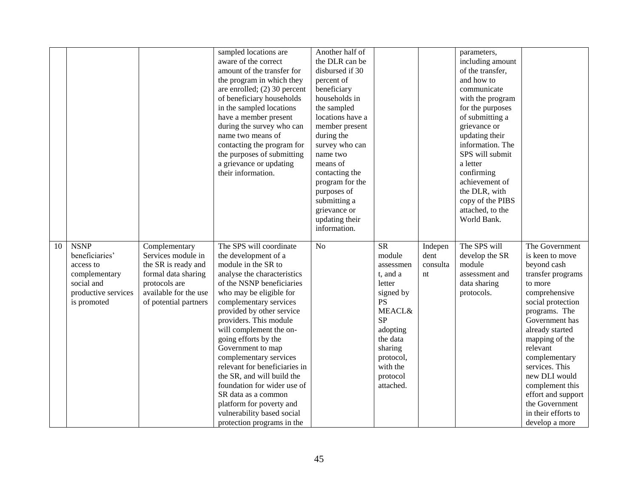|    |                                                                                                  |                                                                                                                                     | sampled locations are<br>aware of the correct<br>amount of the transfer for<br>the program in which they<br>are enrolled; (2) 30 percent<br>of beneficiary households<br>in the sampled locations<br>have a member present<br>during the survey who can<br>name two means of<br>contacting the program for<br>the purposes of submitting<br>a grievance or updating<br>their information.                                                                                                                                          | Another half of<br>the DLR can be<br>disbursed if 30<br>percent of<br>beneficiary<br>households in<br>the sampled<br>locations have a<br>member present<br>during the<br>survey who can<br>name two<br>means of<br>contacting the<br>program for the |                                                                                                                                                                                     |                        | parameters,<br>including amount<br>of the transfer,<br>and how to<br>communicate<br>with the program<br>for the purposes<br>of submitting a<br>grievance or<br>updating their<br>information. The<br>SPS will submit<br>a letter<br>confirming<br>achievement of |                                                                                                                                                                                                                                                                                                                                                  |
|----|--------------------------------------------------------------------------------------------------|-------------------------------------------------------------------------------------------------------------------------------------|------------------------------------------------------------------------------------------------------------------------------------------------------------------------------------------------------------------------------------------------------------------------------------------------------------------------------------------------------------------------------------------------------------------------------------------------------------------------------------------------------------------------------------|------------------------------------------------------------------------------------------------------------------------------------------------------------------------------------------------------------------------------------------------------|-------------------------------------------------------------------------------------------------------------------------------------------------------------------------------------|------------------------|------------------------------------------------------------------------------------------------------------------------------------------------------------------------------------------------------------------------------------------------------------------|--------------------------------------------------------------------------------------------------------------------------------------------------------------------------------------------------------------------------------------------------------------------------------------------------------------------------------------------------|
| 10 | <b>NSNP</b>                                                                                      | Complementary                                                                                                                       | The SPS will coordinate                                                                                                                                                                                                                                                                                                                                                                                                                                                                                                            | purposes of<br>submitting a<br>grievance or<br>updating their<br>information.<br>N <sub>o</sub>                                                                                                                                                      | <b>SR</b>                                                                                                                                                                           | Indepen                | the DLR, with<br>copy of the PIBS<br>attached, to the<br>World Bank.<br>The SPS will                                                                                                                                                                             | The Government                                                                                                                                                                                                                                                                                                                                   |
|    | beneficiaries'<br>access to<br>complementary<br>social and<br>productive services<br>is promoted | Services module in<br>the SR is ready and<br>formal data sharing<br>protocols are<br>available for the use<br>of potential partners | the development of a<br>module in the SR to<br>analyse the characteristics<br>of the NSNP beneficiaries<br>who may be eligible for<br>complementary services<br>provided by other service<br>providers. This module<br>will complement the on-<br>going efforts by the<br>Government to map<br>complementary services<br>relevant for beneficiaries in<br>the SR, and will build the<br>foundation for wider use of<br>SR data as a common<br>platform for poverty and<br>vulnerability based social<br>protection programs in the |                                                                                                                                                                                                                                                      | module<br>assessmen<br>t, and a<br>letter<br>signed by<br><b>PS</b><br><b>MEACL&amp;</b><br>SP<br>adopting<br>the data<br>sharing<br>protocol,<br>with the<br>protocol<br>attached. | dent<br>consulta<br>nt | develop the SR<br>module<br>assessment and<br>data sharing<br>protocols.                                                                                                                                                                                         | is keen to move<br>beyond cash<br>transfer programs<br>to more<br>comprehensive<br>social protection<br>programs. The<br>Government has<br>already started<br>mapping of the<br>relevant<br>complementary<br>services. This<br>new DLI would<br>complement this<br>effort and support<br>the Government<br>in their efforts to<br>develop a more |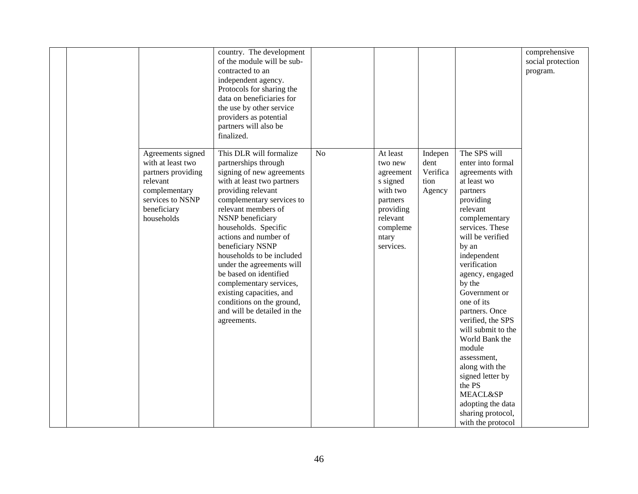|  |                    | country. The development    |    |           |          |                     | comprehensive     |
|--|--------------------|-----------------------------|----|-----------|----------|---------------------|-------------------|
|  |                    | of the module will be sub-  |    |           |          |                     | social protection |
|  |                    | contracted to an            |    |           |          |                     | program.          |
|  |                    | independent agency.         |    |           |          |                     |                   |
|  |                    | Protocols for sharing the   |    |           |          |                     |                   |
|  |                    | data on beneficiaries for   |    |           |          |                     |                   |
|  |                    | the use by other service    |    |           |          |                     |                   |
|  |                    | providers as potential      |    |           |          |                     |                   |
|  |                    | partners will also be       |    |           |          |                     |                   |
|  |                    | finalized.                  |    |           |          |                     |                   |
|  |                    |                             |    |           |          |                     |                   |
|  | Agreements signed  | This DLR will formalize     | No | At least  | Indepen  | The SPS will        |                   |
|  | with at least two  | partnerships through        |    | two new   | dent     | enter into formal   |                   |
|  | partners providing | signing of new agreements   |    | agreement | Verifica | agreements with     |                   |
|  | relevant           | with at least two partners  |    | s signed  | tion     | at least wo         |                   |
|  | complementary      | providing relevant          |    | with two  | Agency   | partners            |                   |
|  | services to NSNP   | complementary services to   |    | partners  |          | providing           |                   |
|  | beneficiary        | relevant members of         |    | providing |          | relevant            |                   |
|  | households         | NSNP beneficiary            |    | relevant  |          | complementary       |                   |
|  |                    | households. Specific        |    | compleme  |          | services. These     |                   |
|  |                    | actions and number of       |    | ntary     |          | will be verified    |                   |
|  |                    | beneficiary NSNP            |    | services. |          | by an               |                   |
|  |                    | households to be included   |    |           |          | independent         |                   |
|  |                    | under the agreements will   |    |           |          | verification        |                   |
|  |                    | be based on identified      |    |           |          | agency, engaged     |                   |
|  |                    | complementary services,     |    |           |          | by the              |                   |
|  |                    | existing capacities, and    |    |           |          | Government or       |                   |
|  |                    | conditions on the ground,   |    |           |          | one of its          |                   |
|  |                    | and will be detailed in the |    |           |          | partners. Once      |                   |
|  |                    | agreements.                 |    |           |          | verified, the SPS   |                   |
|  |                    |                             |    |           |          | will submit to the  |                   |
|  |                    |                             |    |           |          | World Bank the      |                   |
|  |                    |                             |    |           |          | module              |                   |
|  |                    |                             |    |           |          | assessment,         |                   |
|  |                    |                             |    |           |          | along with the      |                   |
|  |                    |                             |    |           |          | signed letter by    |                   |
|  |                    |                             |    |           |          | the PS              |                   |
|  |                    |                             |    |           |          | <b>MEACL&amp;SP</b> |                   |
|  |                    |                             |    |           |          | adopting the data   |                   |
|  |                    |                             |    |           |          | sharing protocol,   |                   |
|  |                    |                             |    |           |          | with the protocol   |                   |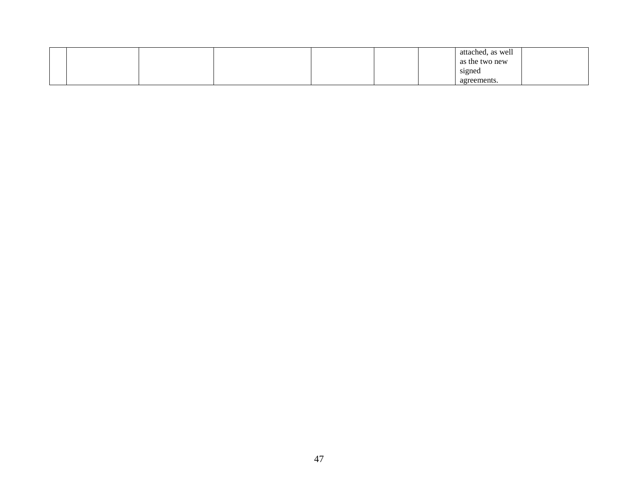|  |  |  |  | attached, as well |  |
|--|--|--|--|-------------------|--|
|  |  |  |  | as the two new    |  |
|  |  |  |  | signed            |  |
|  |  |  |  | agreements.       |  |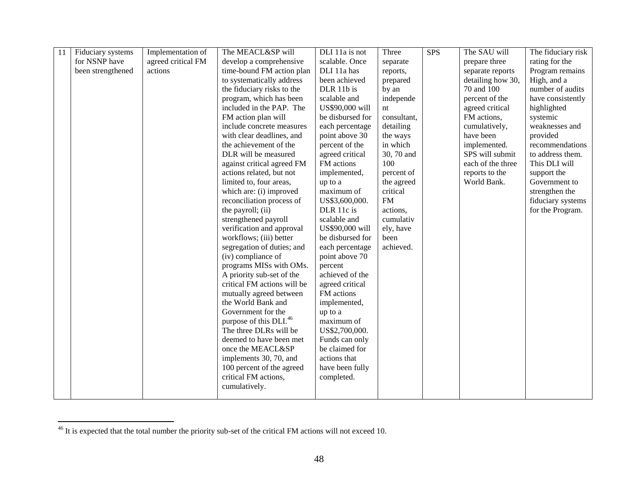| 11 | Fiduciary systems | Implementation of  | The MEACL&SP will                  | DLI 11a is not   | Three       | <b>SPS</b> | The SAU will      | The fiduciary risk |
|----|-------------------|--------------------|------------------------------------|------------------|-------------|------------|-------------------|--------------------|
|    | for NSNP have     | agreed critical FM | develop a comprehensive            | scalable. Once   | separate    |            | prepare three     | rating for the     |
|    | been strengthened | actions            | time-bound FM action plan          | DLI 11a has      | reports,    |            | separate reports  | Program remains    |
|    |                   |                    | to systematically address          | been achieved    | prepared    |            | detailing how 30, | High, and a        |
|    |                   |                    | the fiduciary risks to the         | DLR 11b is       | by an       |            | 70 and 100        | number of audits   |
|    |                   |                    | program, which has been            | scalable and     | independe   |            | percent of the    | have consistently  |
|    |                   |                    | included in the PAP. The           | US\$90,000 will  | nt          |            | agreed critical   | highlighted        |
|    |                   |                    | FM action plan will                | be disbursed for | consultant, |            | FM actions,       | systemic           |
|    |                   |                    | include concrete measures          | each percentage  | detailing   |            | cumulatively,     | weaknesses and     |
|    |                   |                    | with clear deadlines, and          | point above 30   | the ways    |            | have been         | provided           |
|    |                   |                    | the achievement of the             | percent of the   | in which    |            | implemented.      | recommendations    |
|    |                   |                    | DLR will be measured               | agreed critical  | 30, 70 and  |            | SPS will submit   | to address them.   |
|    |                   |                    | against critical agreed FM         | FM actions       | 100         |            | each of the three | This DLI will      |
|    |                   |                    | actions related, but not           | implemented,     | percent of  |            | reports to the    | support the        |
|    |                   |                    | limited to, four areas,            | up to a          | the agreed  |            | World Bank.       | Government to      |
|    |                   |                    | which are: (i) improved            | maximum of       | critical    |            |                   | strengthen the     |
|    |                   |                    | reconciliation process of          | US\$3,600,000.   | <b>FM</b>   |            |                   | fiduciary systems  |
|    |                   |                    | the payroll; (ii)                  | DLR 11c is       | actions,    |            |                   | for the Program.   |
|    |                   |                    | strengthened payroll               | scalable and     | cumulativ   |            |                   |                    |
|    |                   |                    | verification and approval          | US\$90,000 will  | ely, have   |            |                   |                    |
|    |                   |                    | workflows; (iii) better            | be disbursed for | been        |            |                   |                    |
|    |                   |                    | segregation of duties; and         | each percentage  | achieved.   |            |                   |                    |
|    |                   |                    | (iv) compliance of                 | point above 70   |             |            |                   |                    |
|    |                   |                    | programs MISs with OMs.            | percent          |             |            |                   |                    |
|    |                   |                    | A priority sub-set of the          | achieved of the  |             |            |                   |                    |
|    |                   |                    | critical FM actions will be        | agreed critical  |             |            |                   |                    |
|    |                   |                    | mutually agreed between            | FM actions       |             |            |                   |                    |
|    |                   |                    | the World Bank and                 | implemented,     |             |            |                   |                    |
|    |                   |                    | Government for the                 | up to a          |             |            |                   |                    |
|    |                   |                    | purpose of this DLI. <sup>46</sup> | maximum of       |             |            |                   |                    |
|    |                   |                    | The three DLRs will be             | US\$2,700,000.   |             |            |                   |                    |
|    |                   |                    | deemed to have been met            | Funds can only   |             |            |                   |                    |
|    |                   |                    | once the MEACL&SP                  | be claimed for   |             |            |                   |                    |
|    |                   |                    | implements 30, 70, and             | actions that     |             |            |                   |                    |
|    |                   |                    | 100 percent of the agreed          | have been fully  |             |            |                   |                    |
|    |                   |                    | critical FM actions,               | completed.       |             |            |                   |                    |
|    |                   |                    | cumulatively.                      |                  |             |            |                   |                    |
|    |                   |                    |                                    |                  |             |            |                   |                    |

 $\overline{\phantom{a}}$ 

 $46$  It is expected that the total number the priority sub-set of the critical FM actions will not exceed 10.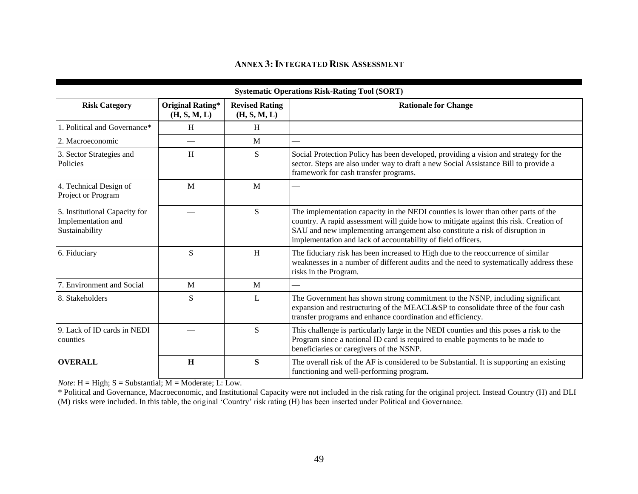# **ANNEX 3: INTEGRATED RISK ASSESSMENT**

|                                                                       |                                         |                                       | <b>Systematic Operations Risk-Rating Tool (SORT)</b>                                                                                                                                                                                                                                                                       |
|-----------------------------------------------------------------------|-----------------------------------------|---------------------------------------|----------------------------------------------------------------------------------------------------------------------------------------------------------------------------------------------------------------------------------------------------------------------------------------------------------------------------|
| <b>Risk Category</b>                                                  | <b>Original Rating*</b><br>(H, S, M, L) | <b>Revised Rating</b><br>(H, S, M, L) | <b>Rationale for Change</b>                                                                                                                                                                                                                                                                                                |
| . Political and Governance*                                           | H                                       | H                                     |                                                                                                                                                                                                                                                                                                                            |
| 2. Macroeconomic                                                      |                                         | M                                     |                                                                                                                                                                                                                                                                                                                            |
| 3. Sector Strategies and<br>Policies                                  | H                                       | S                                     | Social Protection Policy has been developed, providing a vision and strategy for the<br>sector. Steps are also under way to draft a new Social Assistance Bill to provide a<br>framework for cash transfer programs.                                                                                                       |
| 4. Technical Design of<br>Project or Program                          | M                                       | M                                     |                                                                                                                                                                                                                                                                                                                            |
| 5. Institutional Capacity for<br>Implementation and<br>Sustainability |                                         | S                                     | The implementation capacity in the NEDI counties is lower than other parts of the<br>country. A rapid assessment will guide how to mitigate against this risk. Creation of<br>SAU and new implementing arrangement also constitute a risk of disruption in<br>implementation and lack of accountability of field officers. |
| 6. Fiduciary                                                          | S                                       | H                                     | The fiduciary risk has been increased to High due to the reoccurrence of similar<br>weaknesses in a number of different audits and the need to systematically address these<br>risks in the Program.                                                                                                                       |
| 7. Environment and Social                                             | M                                       | M                                     |                                                                                                                                                                                                                                                                                                                            |
| 8. Stakeholders                                                       | S                                       | L                                     | The Government has shown strong commitment to the NSNP, including significant<br>expansion and restructuring of the MEACL&SP to consolidate three of the four cash<br>transfer programs and enhance coordination and efficiency.                                                                                           |
| 9. Lack of ID cards in NEDI<br>counties                               |                                         | S                                     | This challenge is particularly large in the NEDI counties and this poses a risk to the<br>Program since a national ID card is required to enable payments to be made to<br>beneficiaries or caregivers of the NSNP.                                                                                                        |
| <b>OVERALL</b>                                                        | H                                       | S                                     | The overall risk of the AF is considered to be Substantial. It is supporting an existing<br>functioning and well-performing program.                                                                                                                                                                                       |

*Note*:  $H = High$ ;  $S = Substantial$ ;  $M = Moderate$ ;  $L: Low$ .

\* Political and Governance, Macroeconomic, and Institutional Capacity were not included in the risk rating for the original project. Instead Country (H) and DLI (M) risks were included. In this table, the original 'Country' risk rating (H) has been inserted under Political and Governance.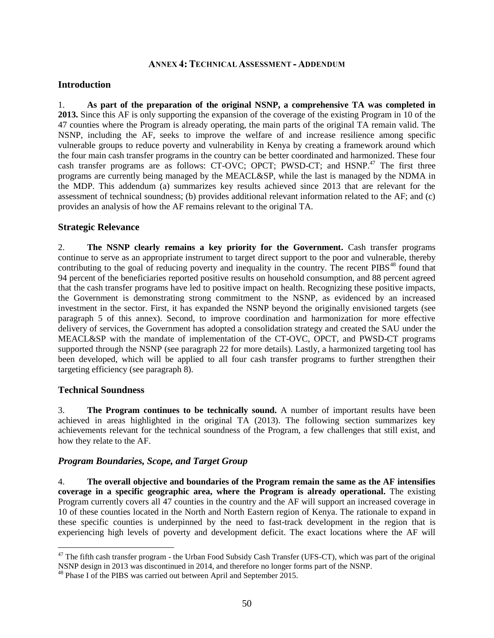#### **ANNEX 4: TECHNICAL ASSESSMENT - ADDENDUM**

#### **Introduction**

1. **As part of the preparation of the original NSNP, a comprehensive TA was completed in 2013.** Since this AF is only supporting the expansion of the coverage of the existing Program in 10 of the 47 counties where the Program is already operating, the main parts of the original TA remain valid. The NSNP, including the AF, seeks to improve the welfare of and increase resilience among specific vulnerable groups to reduce poverty and vulnerability in Kenya by creating a framework around which the four main cash transfer programs in the country can be better coordinated and harmonized. These four cash transfer programs are as follows: CT-OVC; OPCT; PWSD-CT; and HSNP.<sup>47</sup> The first three programs are currently being managed by the MEACL&SP, while the last is managed by the NDMA in the MDP. This addendum (a) summarizes key results achieved since 2013 that are relevant for the assessment of technical soundness; (b) provides additional relevant information related to the AF; and (c) provides an analysis of how the AF remains relevant to the original TA.

#### **Strategic Relevance**

2. **The NSNP clearly remains a key priority for the Government.** Cash transfer programs continue to serve as an appropriate instrument to target direct support to the poor and vulnerable, thereby contributing to the goal of reducing poverty and inequality in the country. The recent PIBS<sup>48</sup> found that 94 percent of the beneficiaries reported positive results on household consumption, and 88 percent agreed that the cash transfer programs have led to positive impact on health. Recognizing these positive impacts, the Government is demonstrating strong commitment to the NSNP, as evidenced by an increased investment in the sector. First, it has expanded the NSNP beyond the originally envisioned targets (see paragraph 5 of this annex). Second, to improve coordination and harmonization for more effective delivery of services, the Government has adopted a consolidation strategy and created the SAU under the MEACL&SP with the mandate of implementation of the CT-OVC, OPCT, and PWSD-CT programs supported through the NSNP (see paragraph [22](#page-62-0) for more details). Lastly, a harmonized targeting tool has been developed, which will be applied to all four cash transfer programs to further strengthen their targeting efficiency (see paragraph [8\)](#page-57-0).

## **Technical Soundness**

 $\overline{a}$ 

3. **The Program continues to be technically sound.** A number of important results have been achieved in areas highlighted in the original TA (2013). The following section summarizes key achievements relevant for the technical soundness of the Program, a few challenges that still exist, and how they relate to the AF.

## *Program Boundaries, Scope, and Target Group*

4. **The overall objective and boundaries of the Program remain the same as the AF intensifies coverage in a specific geographic area, where the Program is already operational.** The existing Program currently covers all 47 counties in the country and the AF will support an increased coverage in 10 of these counties located in the North and North Eastern region of Kenya. The rationale to expand in these specific counties is underpinned by the need to fast-track development in the region that is experiencing high levels of poverty and development deficit. The exact locations where the AF will

 $47$  The fifth cash transfer program - the Urban Food Subsidy Cash Transfer (UFS-CT), which was part of the original NSNP design in 2013 was discontinued in 2014, and therefore no longer forms part of the NSNP.

<sup>&</sup>lt;sup>48</sup> Phase I of the PIBS was carried out between April and September 2015.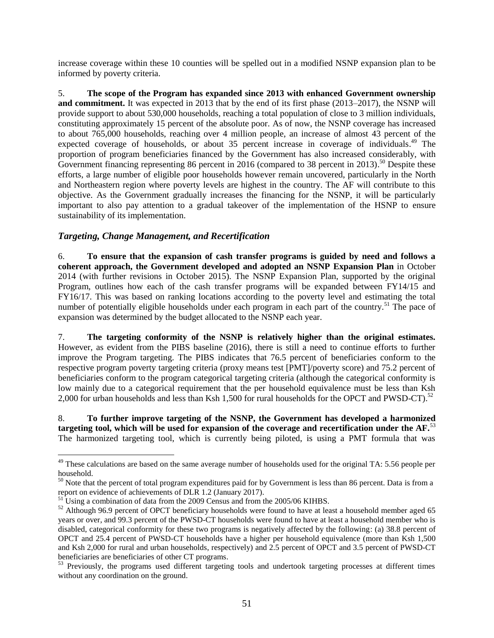increase coverage within these 10 counties will be spelled out in a modified NSNP expansion plan to be informed by poverty criteria.

5. **The scope of the Program has expanded since 2013 with enhanced Government ownership and commitment.** It was expected in 2013 that by the end of its first phase (2013–2017), the NSNP will provide support to about 530,000 households, reaching a total population of close to 3 million individuals, constituting approximately 15 percent of the absolute poor. As of now, the NSNP coverage has increased to about 765,000 households, reaching over 4 million people, an increase of almost 43 percent of the expected coverage of households, or about 35 percent increase in coverage of individuals.<sup>49</sup> The proportion of program beneficiaries financed by the Government has also increased considerably, with Government financing representing 86 percent in 2016 (compared to 38 percent in 2013).<sup>50</sup> Despite these efforts, a large number of eligible poor households however remain uncovered, particularly in the North and Northeastern region where poverty levels are highest in the country. The AF will contribute to this objective. As the Government gradually increases the financing for the NSNP, it will be particularly important to also pay attention to a gradual takeover of the implementation of the HSNP to ensure sustainability of its implementation.

# *Targeting, Change Management, and Recertification*

6. **To ensure that the expansion of cash transfer programs is guided by need and follows a coherent approach, the Government developed and adopted an NSNP Expansion Plan** in October 2014 (with further revisions in October 2015). The NSNP Expansion Plan, supported by the original Program, outlines how each of the cash transfer programs will be expanded between FY14/15 and FY16/17. This was based on ranking locations according to the poverty level and estimating the total number of potentially eligible households under each program in each part of the country.<sup>51</sup> The pace of expansion was determined by the budget allocated to the NSNP each year.

7. **The targeting conformity of the NSNP is relatively higher than the original estimates.**  However, as evident from the PIBS baseline (2016), there is still a need to continue efforts to further improve the Program targeting. The PIBS indicates that 76.5 percent of beneficiaries conform to the respective program poverty targeting criteria (proxy means test [PMT]/poverty score) and 75.2 percent of beneficiaries conform to the program categorical targeting criteria (although the categorical conformity is low mainly due to a categorical requirement that the per household equivalence must be less than Ksh 2,000 for urban households and less than Ksh 1,500 for rural households for the OPCT and PWSD-CT).<sup>52</sup>

<span id="page-57-0"></span>8. **To further improve targeting of the NSNP, the Government has developed a harmonized targeting tool, which will be used for expansion of the coverage and recertification under the AF.**<sup>53</sup> The harmonized targeting tool, which is currently being piloted, is using a PMT formula that was

 $49$  These calculations are based on the same average number of households used for the original TA: 5.56 people per household.

 $50$  Note that the percent of total program expenditures paid for by Government is less than 86 percent. Data is from a report on evidence of achievements of DLR 1.2 (January 2017).

<sup>&</sup>lt;sup>51</sup> Using a combination of data from the 2009 Census and from the 2005/06 KIHBS.

<sup>&</sup>lt;sup>52</sup> Although 96.9 percent of OPCT beneficiary households were found to have at least a household member aged 65 years or over, and 99.3 percent of the PWSD-CT households were found to have at least a household member who is disabled, categorical conformity for these two programs is negatively affected by the following: (a) 38.8 percent of OPCT and 25.4 percent of PWSD-CT households have a higher per household equivalence (more than Ksh 1,500 and Ksh 2,000 for rural and urban households, respectively) and 2.5 percent of OPCT and 3.5 percent of PWSD-CT beneficiaries are beneficiaries of other CT programs.

<sup>&</sup>lt;sup>53</sup> Previously, the programs used different targeting tools and undertook targeting processes at different times without any coordination on the ground.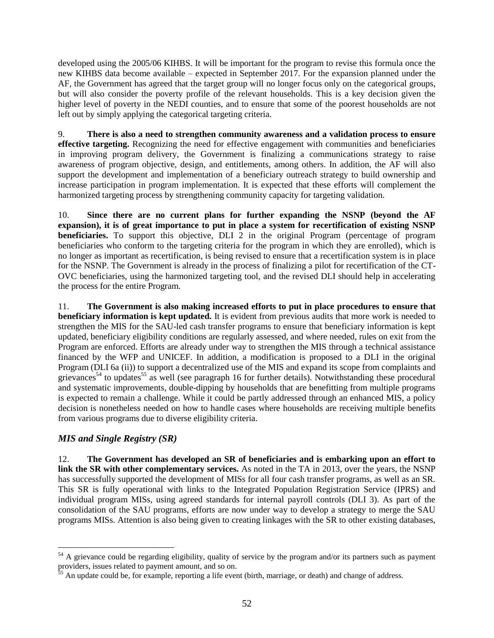developed using the 2005/06 KIHBS. It will be important for the program to revise this formula once the new KIHBS data become available – expected in September 2017. For the expansion planned under the AF, the Government has agreed that the target group will no longer focus only on the categorical groups, but will also consider the poverty profile of the relevant households. This is a key decision given the higher level of poverty in the NEDI counties, and to ensure that some of the poorest households are not left out by simply applying the categorical targeting criteria.

9. **There is also a need to strengthen community awareness and a validation process to ensure effective targeting.** Recognizing the need for effective engagement with communities and beneficiaries in improving program delivery, the Government is finalizing a communications strategy to raise awareness of program objective, design, and entitlements, among others. In addition, the AF will also support the development and implementation of a beneficiary outreach strategy to build ownership and increase participation in program implementation. It is expected that these efforts will complement the harmonized targeting process by strengthening community capacity for targeting validation.

10. **Since there are no current plans for further expanding the NSNP (beyond the AF expansion), it is of great importance to put in place a system for recertification of existing NSNP beneficiaries.** To support this objective, DLI 2 in the original Program (percentage of program beneficiaries who conform to the targeting criteria for the program in which they are enrolled), which is no longer as important as recertification, is being revised to ensure that a recertification system is in place for the NSNP. The Government is already in the process of finalizing a pilot for recertification of the CT-OVC beneficiaries, using the harmonized targeting tool, and the revised DLI should help in accelerating the process for the entire Program.

11. **The Government is also making increased efforts to put in place procedures to ensure that beneficiary information is kept updated.** It is evident from previous audits that more work is needed to strengthen the MIS for the SAU-led cash transfer programs to ensure that beneficiary information is kept updated, beneficiary eligibility conditions are regularly assessed, and where needed, rules on exit from the Program are enforced. Efforts are already under way to strengthen the MIS through a technical assistance financed by the WFP and UNICEF. In addition, a modification is proposed to a DLI in the original Program (DLI 6a (ii)) to support a decentralized use of the MIS and expand its scope from complaints and grievances<sup>54</sup> to updates<sup>55</sup> as well (see paragraph 16 for further details). Notwithstanding these procedural and systematic improvements, double-dipping by households that are benefitting from multiple programs is expected to remain a challenge. While it could be partly addressed through an enhanced MIS, a policy decision is nonetheless needed on how to handle cases where households are receiving multiple benefits from various programs due to diverse eligibility criteria.

# *MIS and Single Registry (SR)*

12. **The Government has developed an SR of beneficiaries and is embarking upon an effort to link the SR with other complementary services.** As noted in the TA in 2013, over the years, the NSNP has successfully supported the development of MISs for all four cash transfer programs, as well as an SR. This SR is fully operational with links to the Integrated Population Registration Service (IPRS) and individual program MISs, using agreed standards for internal payroll controls (DLI 3). As part of the consolidation of the SAU programs, efforts are now under way to develop a strategy to merge the SAU programs MISs. Attention is also being given to creating linkages with the SR to other existing databases,

 $\overline{a}$  $54$  A grievance could be regarding eligibility, quality of service by the program and/or its partners such as payment providers, issues related to payment amount, and so on.

 $55$  An update could be, for example, reporting a life event (birth, marriage, or death) and change of address.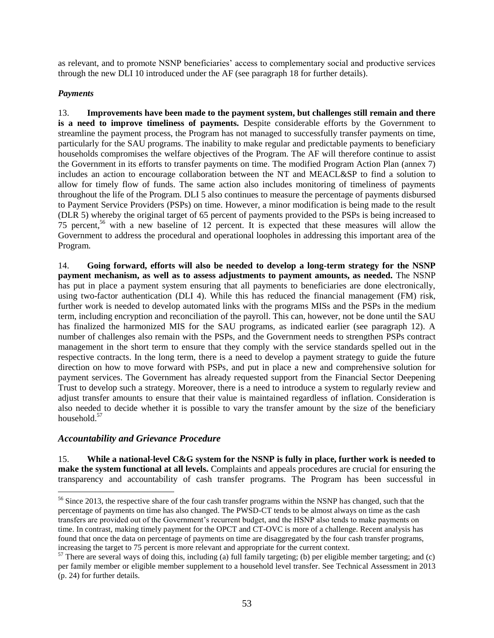as relevant, and to promote NSNP beneficiaries' access to complementary social and productive services through the new DLI 10 introduced under the AF (see paragraph [18](#page-60-0) for further details).

## *Payments*

13. **Improvements have been made to the payment system, but challenges still remain and there is a need to improve timeliness of payments.** Despite considerable efforts by the Government to streamline the payment process, the Program has not managed to successfully transfer payments on time, particularly for the SAU programs. The inability to make regular and predictable payments to beneficiary households compromises the welfare objectives of the Program. The AF will therefore continue to assist the Government in its efforts to transfer payments on time. The modified Program Action Plan (annex 7) includes an action to encourage collaboration between the NT and MEACL&SP to find a solution to allow for timely flow of funds. The same action also includes monitoring of timeliness of payments throughout the life of the Program. DLI 5 also continues to measure the percentage of payments disbursed to Payment Service Providers (PSPs) on time. However, a minor modification is being made to the result (DLR 5) whereby the original target of 65 percent of payments provided to the PSPs is being increased to 75 percent,<sup>56</sup> with a new baseline of 12 percent. It is expected that these measures will allow the Government to address the procedural and operational loopholes in addressing this important area of the Program.

14. **Going forward, efforts will also be needed to develop a long-term strategy for the NSNP payment mechanism, as well as to assess adjustments to payment amounts, as needed.** The NSNP has put in place a payment system ensuring that all payments to beneficiaries are done electronically, using two-factor authentication (DLI 4). While this has reduced the financial management (FM) risk, further work is needed to develop automated links with the programs MISs and the PSPs in the medium term, including encryption and reconciliation of the payroll. This can, however, not be done until the SAU has finalized the harmonized MIS for the SAU programs, as indicated earlier (see paragraph 12). A number of challenges also remain with the PSPs, and the Government needs to strengthen PSPs contract management in the short term to ensure that they comply with the service standards spelled out in the respective contracts. In the long term, there is a need to develop a payment strategy to guide the future direction on how to move forward with PSPs, and put in place a new and comprehensive solution for payment services. The Government has already requested support from the Financial Sector Deepening Trust to develop such a strategy. Moreover, there is a need to introduce a system to regularly review and adjust transfer amounts to ensure that their value is maintained regardless of inflation. Consideration is also needed to decide whether it is possible to vary the transfer amount by the size of the beneficiary household.<sup>57</sup>

## *Accountability and Grievance Procedure*

 $\overline{a}$ 

15. **While a national-level C&G system for the NSNP is fully in place, further work is needed to make the system functional at all levels.** Complaints and appeals procedures are crucial for ensuring the transparency and accountability of cash transfer programs. The Program has been successful in

<sup>&</sup>lt;sup>56</sup> Since 2013, the respective share of the four cash transfer programs within the NSNP has changed, such that the percentage of payments on time has also changed. The PWSD-CT tends to be almost always on time as the cash transfers are provided out of the Government's recurrent budget, and the HSNP also tends to make payments on time. In contrast, making timely payment for the OPCT and CT-OVC is more of a challenge. Recent analysis has found that once the data on percentage of payments on time are disaggregated by the four cash transfer programs, increasing the target to 75 percent is more relevant and appropriate for the current context.

 $57$  There are several ways of doing this, including (a) full family targeting; (b) per eligible member targeting; and (c) per family member or eligible member supplement to a household level transfer. See Technical Assessment in 2013 (p. 24) for further details.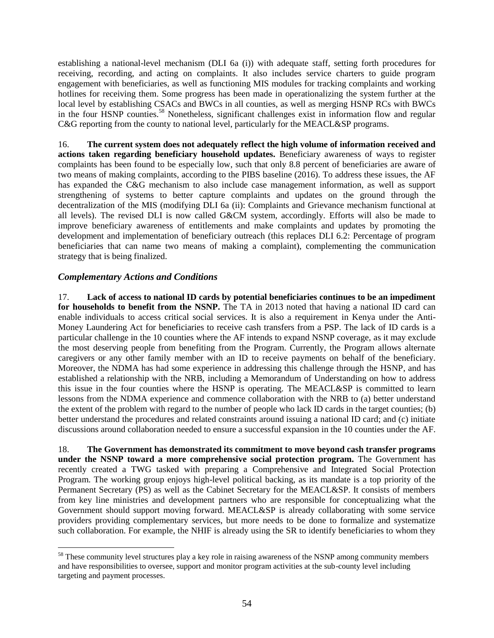establishing a national-level mechanism (DLI 6a (i)) with adequate staff, setting forth procedures for receiving, recording, and acting on complaints. It also includes service charters to guide program engagement with beneficiaries, as well as functioning MIS modules for tracking complaints and working hotlines for receiving them. Some progress has been made in operationalizing the system further at the local level by establishing CSACs and BWCs in all counties, as well as merging HSNP RCs with BWCs in the four HSNP counties.<sup>58</sup> Nonetheless, significant challenges exist in information flow and regular C&G reporting from the county to national level, particularly for the MEACL&SP programs.

16. **The current system does not adequately reflect the high volume of information received and actions taken regarding beneficiary household updates.** Beneficiary awareness of ways to register complaints has been found to be especially low, such that only 8.8 percent of beneficiaries are aware of two means of making complaints, according to the PIBS baseline (2016). To address these issues, the AF has expanded the C&G mechanism to also include case management information, as well as support strengthening of systems to better capture complaints and updates on the ground through the decentralization of the MIS (modifying DLI 6a (ii): Complaints and Grievance mechanism functional at all levels). The revised DLI is now called G&CM system, accordingly. Efforts will also be made to improve beneficiary awareness of entitlements and make complaints and updates by promoting the development and implementation of beneficiary outreach (this replaces DLI 6.2: Percentage of program beneficiaries that can name two means of making a complaint), complementing the communication strategy that is being finalized.

## *Complementary Actions and Conditions*

17. **Lack of access to national ID cards by potential beneficiaries continues to be an impediment for households to benefit from the NSNP.** The TA in 2013 noted that having a national ID card can enable individuals to access critical social services. It is also a requirement in Kenya under the Anti-Money Laundering Act for beneficiaries to receive cash transfers from a PSP. The lack of ID cards is a particular challenge in the 10 counties where the AF intends to expand NSNP coverage, as it may exclude the most deserving people from benefiting from the Program. Currently, the Program allows alternate caregivers or any other family member with an ID to receive payments on behalf of the beneficiary. Moreover, the NDMA has had some experience in addressing this challenge through the HSNP, and has established a relationship with the NRB, including a Memorandum of Understanding on how to address this issue in the four counties where the HSNP is operating. The MEACL&SP is committed to learn lessons from the NDMA experience and commence collaboration with the NRB to (a) better understand the extent of the problem with regard to the number of people who lack ID cards in the target counties; (b) better understand the procedures and related constraints around issuing a national ID card; and (c) initiate discussions around collaboration needed to ensure a successful expansion in the 10 counties under the AF.

<span id="page-60-0"></span>18. **The Government has demonstrated its commitment to move beyond cash transfer programs under the NSNP toward a more comprehensive social protection program.** The Government has recently created a TWG tasked with preparing a Comprehensive and Integrated Social Protection Program. The working group enjoys high-level political backing, as its mandate is a top priority of the Permanent Secretary (PS) as well as the Cabinet Secretary for the MEACL&SP. It consists of members from key line ministries and development partners who are responsible for conceptualizing what the Government should support moving forward. MEACL&SP is already collaborating with some service providers providing complementary services, but more needs to be done to formalize and systematize such collaboration. For example, the NHIF is already using the SR to identify beneficiaries to whom they

 $\overline{a}$ <sup>58</sup> These community level structures play a key role in raising awareness of the NSNP among community members and have responsibilities to oversee, support and monitor program activities at the sub-county level including targeting and payment processes.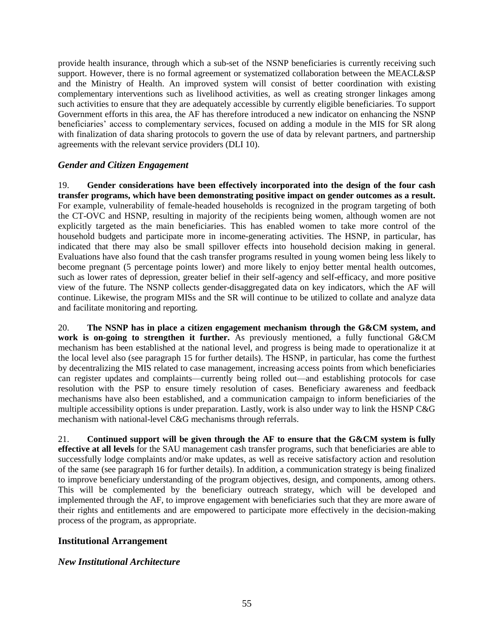provide health insurance, through which a sub-set of the NSNP beneficiaries is currently receiving such support. However, there is no formal agreement or systematized collaboration between the MEACL&SP and the Ministry of Health. An improved system will consist of better coordination with existing complementary interventions such as livelihood activities, as well as creating stronger linkages among such activities to ensure that they are adequately accessible by currently eligible beneficiaries. To support Government efforts in this area, the AF has therefore introduced a new indicator on enhancing the NSNP beneficiaries' access to complementary services, focused on adding a module in the MIS for SR along with finalization of data sharing protocols to govern the use of data by relevant partners, and partnership agreements with the relevant service providers (DLI 10).

## *Gender and Citizen Engagement*

19. **Gender considerations have been effectively incorporated into the design of the four cash transfer programs, which have been demonstrating positive impact on gender outcomes as a result.**  For example, vulnerability of female-headed households is recognized in the program targeting of both the CT-OVC and HSNP, resulting in majority of the recipients being women, although women are not explicitly targeted as the main beneficiaries. This has enabled women to take more control of the household budgets and participate more in income-generating activities. The HSNP, in particular, has indicated that there may also be small spillover effects into household decision making in general. Evaluations have also found that the cash transfer programs resulted in young women being less likely to become pregnant (5 percentage points lower) and more likely to enjoy better mental health outcomes, such as lower rates of depression, greater belief in their self-agency and self-efficacy, and more positive view of the future. The NSNP collects gender-disaggregated data on key indicators, which the AF will continue. Likewise, the program MISs and the SR will continue to be utilized to collate and analyze data and facilitate monitoring and reporting.

20. **The NSNP has in place a citizen engagement mechanism through the G&CM system, and work is on-going to strengthen it further.** As previously mentioned, a fully functional G&CM mechanism has been established at the national level, and progress is being made to operationalize it at the local level also (see paragraph 15 for further details). The HSNP, in particular, has come the furthest by decentralizing the MIS related to case management, increasing access points from which beneficiaries can register updates and complaints—currently being rolled out—and establishing protocols for case resolution with the PSP to ensure timely resolution of cases. Beneficiary awareness and feedback mechanisms have also been established, and a communication campaign to inform beneficiaries of the multiple accessibility options is under preparation. Lastly, work is also under way to link the HSNP C&G mechanism with national-level C&G mechanisms through referrals.

21. **Continued support will be given through the AF to ensure that the G&CM system is fully effective at all levels** for the SAU management cash transfer programs, such that beneficiaries are able to successfully lodge complaints and/or make updates, as well as receive satisfactory action and resolution of the same (see paragraph 16 for further details). In addition, a communication strategy is being finalized to improve beneficiary understanding of the program objectives, design, and components, among others. This will be complemented by the beneficiary outreach strategy, which will be developed and implemented through the AF, to improve engagement with beneficiaries such that they are more aware of their rights and entitlements and are empowered to participate more effectively in the decision-making process of the program, as appropriate.

## **Institutional Arrangement**

## *New Institutional Architecture*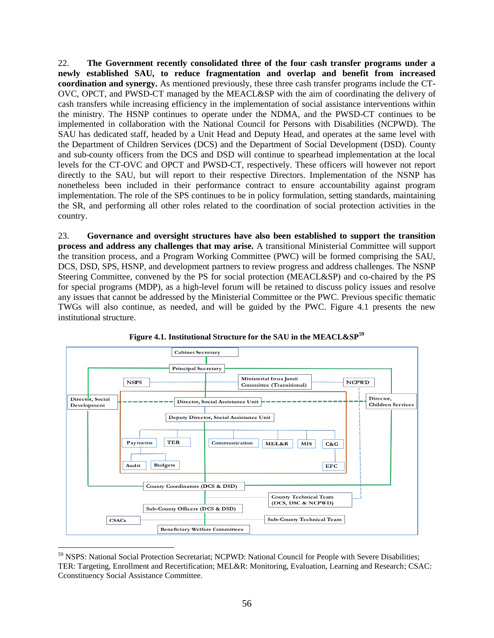<span id="page-62-0"></span>22. **The Government recently consolidated three of the four cash transfer programs under a newly established SAU, to reduce fragmentation and overlap and benefit from increased coordination and synergy.** As mentioned previously, these three cash transfer programs include the CT-OVC, OPCT, and PWSD-CT managed by the MEACL&SP with the aim of coordinating the delivery of cash transfers while increasing efficiency in the implementation of social assistance interventions within the ministry. The HSNP continues to operate under the NDMA, and the PWSD-CT continues to be implemented in collaboration with the National Council for Persons with Disabilities (NCPWD). The SAU has dedicated staff, headed by a Unit Head and Deputy Head, and operates at the same level with the Department of Children Services (DCS) and the Department of Social Development (DSD). County and sub-county officers from the DCS and DSD will continue to spearhead implementation at the local levels for the CT-OVC and OPCT and PWSD-CT, respectively. These officers will however not report directly to the SAU, but will report to their respective Directors. Implementation of the NSNP has nonetheless been included in their performance contract to ensure accountability against program implementation. The role of the SPS continues to be in policy formulation, setting standards, maintaining the SR, and performing all other roles related to the coordination of social protection activities in the country.

23. **Governance and oversight structures have also been established to support the transition process and address any challenges that may arise.** A transitional Ministerial Committee will support the transition process, and a Program Working Committee (PWC) will be formed comprising the SAU, DCS, DSD, SPS, HSNP, and development partners to review progress and address challenges. The NSNP Steering Committee, convened by the PS for social protection (MEACL&SP) and co-chaired by the PS for special programs (MDP), as a high-level forum will be retained to discuss policy issues and resolve any issues that cannot be addressed by the Ministerial Committee or the PWC. Previous specific thematic TWGs will also continue, as needed, and will be guided by the PWC. Figure 4.1 presents the new institutional structure.



**Figure 4.1. Institutional Structure for the SAU in the MEACL&SP<sup>59</sup>**

<sup>59</sup> NSPS: National Social Protection Secretariat; NCPWD: National Council for People with Severe Disabilities; TER: Targeting, Enrollment and Recertification; MEL&R: Monitoring, Evaluation, Learning and Research; CSAC: Cconstituency Social Assistance Committee.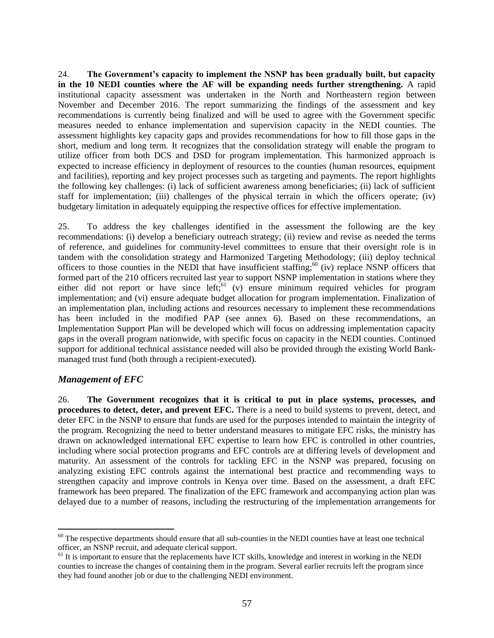24. **The Government's capacity to implement the NSNP has been gradually built, but capacity in the 10 NEDI counties where the AF will be expanding needs further strengthening.** A rapid institutional capacity assessment was undertaken in the North and Northeastern region between November and December 2016. The report summarizing the findings of the assessment and key recommendations is currently being finalized and will be used to agree with the Government specific measures needed to enhance implementation and supervision capacity in the NEDI counties. The assessment highlights key capacity gaps and provides recommendations for how to fill those gaps in the short, medium and long term. It recognizes that the consolidation strategy will enable the program to utilize officer from both DCS and DSD for program implementation. This harmonized approach is expected to increase efficiency in deployment of resources to the counties (human resources, equipment and facilities), reporting and key project processes such as targeting and payments. The report highlights the following key challenges: (i) lack of sufficient awareness among beneficiaries; (ii) lack of sufficient staff for implementation; (iii) challenges of the physical terrain in which the officers operate; (iv) budgetary limitation in adequately equipping the respective offices for effective implementation.

25. To address the key challenges identified in the assessment the following are the key recommendations: (i) develop a beneficiary outreach strategy; (ii) review and revise as needed the terms of reference, and guidelines for community-level committees to ensure that their oversight role is in tandem with the consolidation strategy and Harmonized Targeting Methodology; (iii) deploy technical officers to those counties in the NEDI that have insufficient staffing; $60$  (iv) replace NSNP officers that formed part of the 210 officers recruited last year to support NSNP implementation in stations where they either did not report or have since  $left<sub>i</sub>$ <sup>61</sup> (v) ensure minimum required vehicles for program implementation; and (vi) ensure adequate budget allocation for program implementation. Finalization of an implementation plan, including actions and resources necessary to implement these recommendations has been included in the modified PAP (see annex 6). Based on these recommendations, an Implementation Support Plan will be developed which will focus on addressing implementation capacity gaps in the overall program nationwide, with specific focus on capacity in the NEDI counties. Continued support for additional technical assistance needed will also be provided through the existing World Bankmanaged trust fund (both through a recipient-executed).

## *Management of EFC*

 $\overline{a}$ 

26. **The Government recognizes that it is critical to put in place systems, processes, and procedures to detect, deter, and prevent EFC.** There is a need to build systems to prevent, detect, and deter EFC in the NSNP to ensure that funds are used for the purposes intended to maintain the integrity of the program. Recognizing the need to better understand measures to mitigate EFC risks, the ministry has drawn on acknowledged international EFC expertise to learn how EFC is controlled in other countries, including where social protection programs and EFC controls are at differing levels of development and maturity. An assessment of the controls for tackling EFC in the NSNP was prepared, focusing on analyzing existing EFC controls against the international best practice and recommending ways to strengthen capacity and improve controls in Kenya over time. Based on the assessment, a draft EFC framework has been prepared. The finalization of the EFC framework and accompanying action plan was delayed due to a number of reasons, including the restructuring of the implementation arrangements for

 $60$  The respective departments should ensure that all sub-counties in the NEDI counties have at least one technical officer, an NSNP recruit, and adequate clerical support.

<sup>&</sup>lt;sup>61</sup> It is important to ensure that the replacements have ICT skills, knowledge and interest in working in the NEDI counties to increase the changes of containing them in the program. Several earlier recruits left the program since they had found another job or due to the challenging NEDI environment.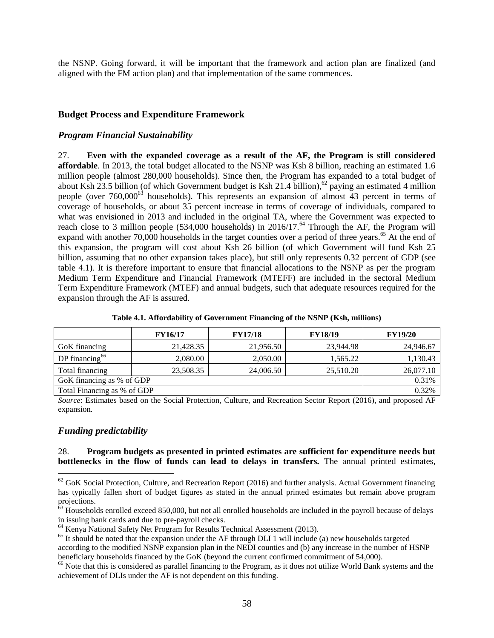the NSNP. Going forward, it will be important that the framework and action plan are finalized (and aligned with the FM action plan) and that implementation of the same commences.

#### **Budget Process and Expenditure Framework**

#### *Program Financial Sustainability*

27. **Even with the expanded coverage as a result of the AF, the Program is still considered affordable**. In 2013, the total budget allocated to the NSNP was Ksh 8 billion, reaching an estimated 1.6 million people (almost 280,000 households). Since then, the Program has expanded to a total budget of about Ksh 23.5 billion (of which Government budget is Ksh 21.4 billion),<sup>62</sup> paying an estimated 4 million people (over 760,000<sup>63</sup> households). This represents an expansion of almost 43 percent in terms of coverage of households, or about 35 percent increase in terms of coverage of individuals, compared to what was envisioned in 2013 and included in the original TA, where the Government was expected to reach close to 3 million people (534,000 households) in 2016/17.<sup>64</sup> Through the AF, the Program will expand with another 70,000 households in the target counties over a period of three years.<sup>65</sup> At the end of this expansion, the program will cost about Ksh 26 billion (of which Government will fund Ksh 25 billion, assuming that no other expansion takes place), but still only represents 0.32 percent of GDP (see table 4.1). It is therefore important to ensure that financial allocations to the NSNP as per the program Medium Term Expenditure and Financial Framework (MTEFF) are included in the sectoral Medium Term Expenditure Framework (MTEF) and annual budgets, such that adequate resources required for the expansion through the AF is assured.

|                                      | <b>FY16/17</b> | <b>FY17/18</b> | <b>FY18/19</b> | <b>FY19/20</b> |  |  |  |
|--------------------------------------|----------------|----------------|----------------|----------------|--|--|--|
| GoK financing                        | 21,428.35      | 21,956.50      | 23,944.98      | 24,946.67      |  |  |  |
| DP financing <sup>66</sup>           | 2,080.00       | 2,050.00       | 1.565.22       | 1,130.43       |  |  |  |
| Total financing                      | 23,508.35      | 24,006.50      | 25,510.20      | 26,077.10      |  |  |  |
| 0.31%<br>GoK financing as % of GDP   |                |                |                |                |  |  |  |
| 0.32%<br>Total Financing as % of GDP |                |                |                |                |  |  |  |

**Table 4.1. Affordability of Government Financing of the NSNP (Ksh, millions)**

*Source*: Estimates based on the Social Protection, Culture, and Recreation Sector Report (2016), and proposed AF expansion.

#### *Funding predictability*

 $\overline{a}$ 

#### 28. **Program budgets as presented in printed estimates are sufficient for expenditure needs but bottlenecks in the flow of funds can lead to delays in transfers.** The annual printed estimates,

 $62$  GoK Social Protection, Culture, and Recreation Report (2016) and further analysis. Actual Government financing has typically fallen short of budget figures as stated in the annual printed estimates but remain above program projections.

 $63$  Households enrolled exceed 850,000, but not all enrolled households are included in the payroll because of delays in issuing bank cards and due to pre-payroll checks.

<sup>64</sup> Kenya National Safety Net Program for Results Technical Assessment (2013).

<sup>&</sup>lt;sup>65</sup> It should be noted that the expansion under the AF through DLI 1 will include (a) new households targeted according to the modified NSNP expansion plan in the NEDI counties and (b) any increase in the number of HSNP beneficiary households financed by the GoK (beyond the current confirmed commitment of 54,000).

<sup>&</sup>lt;sup>66</sup> Note that this is considered as parallel financing to the Program, as it does not utilize World Bank systems and the achievement of DLIs under the AF is not dependent on this funding.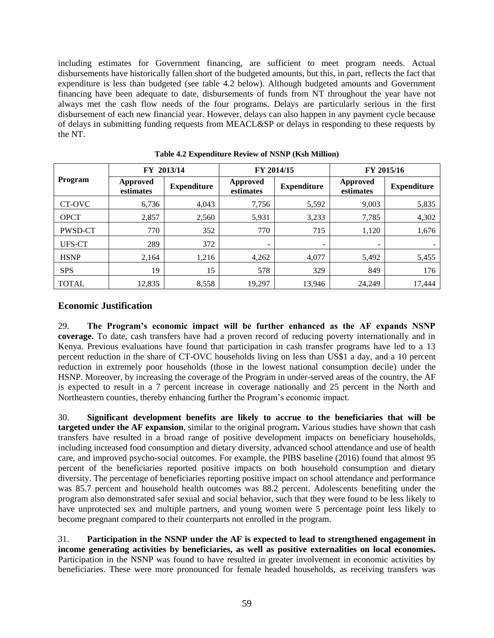including estimates for Government financing, are sufficient to meet program needs. Actual disbursements have historically fallen short of the budgeted amounts, but this, in part, reflects the fact that expenditure is less than budgeted (see table 4.2 below). Although budgeted amounts and Government financing have been adequate to date, disbursements of funds from NT throughout the year have not always met the cash flow needs of the four programs. Delays are particularly serious in the first disbursement of each new financial year. However, delays can also happen in any payment cycle because of delays in submitting funding requests from MEACL&SP or delays in responding to these requests by the NT.

|              | FY 2013/14            |                    |                          | FY 2014/15         | FY 2015/16            |                    |  |
|--------------|-----------------------|--------------------|--------------------------|--------------------|-----------------------|--------------------|--|
| Program      | Approved<br>estimates | <b>Expenditure</b> | Approved<br>estimates    | <b>Expenditure</b> | Approved<br>estimates | <b>Expenditure</b> |  |
| CT-OVC       | 6,736                 | 4,043              | 7,756                    | 5,592              | 9,003                 | 5,835              |  |
| <b>OPCT</b>  | 2,857                 | 2,560              | 5,931                    | 3,233              | 7,785                 | 4,302              |  |
| PWSD-CT      | 770                   | 352                | 770                      | 715                | 1,120                 | 1,676              |  |
| UFS-CT       | 289                   | 372                | $\overline{\phantom{a}}$ | -                  |                       |                    |  |
| <b>HSNP</b>  | 2,164                 | 1,216              | 4,262                    | 4,077              | 5,492                 | 5,455              |  |
| <b>SPS</b>   | 19                    | 15                 | 578                      | 329                | 849                   | 176                |  |
| <b>TOTAL</b> | 12,835                | 8,558              | 19,297                   | 13.946             | 24,249                | 17,444             |  |

**Table 4.2 Expenditure Review of NSNP (Ksh Million)**

# **Economic Justification**

29. **The Program's economic impact will be further enhanced as the AF expands NSNP coverage.** To date, cash transfers have had a proven record of reducing poverty internationally and in Kenya. Previous evaluations have found that participation in cash transfer programs have led to a 13 percent reduction in the share of CT-OVC households living on less than US\$1 a day, and a 10 percent reduction in extremely poor households (those in the lowest national consumption decile) under the HSNP. Moreover, by increasing the coverage of the Program in under-served areas of the country, the AF is expected to result in a 7 percent increase in coverage nationally and 25 percent in the North and Northeastern counties, thereby enhancing further the Program's economic impact.

30. **Significant development benefits are likely to accrue to the beneficiaries that will be targeted under the AF expansion**, similar to the original program**.** Various studies have shown that cash transfers have resulted in a broad range of positive development impacts on beneficiary households, including increased food consumption and dietary diversity, advanced school attendance and use of health care, and improved psycho-social outcomes. For example, the PIBS baseline (2016) found that almost 95 percent of the beneficiaries reported positive impacts on both household consumption and dietary diversity. The percentage of beneficiaries reporting positive impact on school attendance and performance was 85.7 percent and household health outcomes was 88.2 percent. Adolescents benefiting under the program also demonstrated safer sexual and social behavior, such that they were found to be less likely to have unprotected sex and multiple partners, and young women were 5 percentage point less likely to become pregnant compared to their counterparts not enrolled in the program.

31. **Participation in the NSNP under the AF is expected to lead to strengthened engagement in income generating activities by beneficiaries, as well as positive externalities on local economies.** Participation in the NSNP was found to have resulted in greater involvement in economic activities by beneficiaries. These were more pronounced for female headed households, as receiving transfers was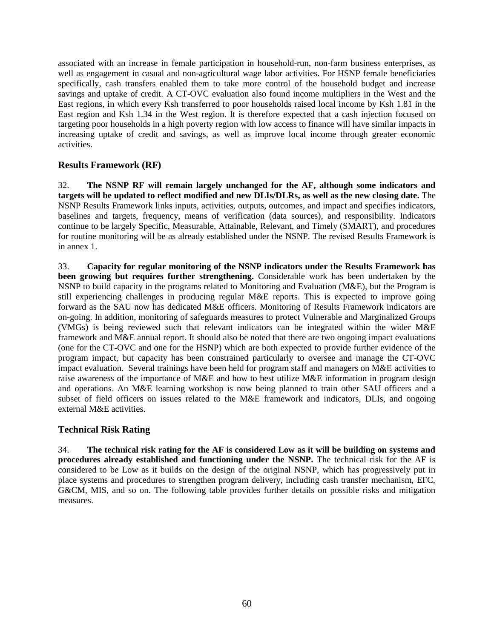associated with an increase in female participation in household-run, non-farm business enterprises, as well as engagement in casual and non-agricultural wage labor activities. For HSNP female beneficiaries specifically, cash transfers enabled them to take more control of the household budget and increase savings and uptake of credit. A CT-OVC evaluation also found income multipliers in the West and the East regions, in which every Ksh transferred to poor households raised local income by Ksh 1.81 in the East region and Ksh 1.34 in the West region. It is therefore expected that a cash injection focused on targeting poor households in a high poverty region with low access to finance will have similar impacts in increasing uptake of credit and savings, as well as improve local income through greater economic activities.

# **Results Framework (RF)**

32. **The NSNP RF will remain largely unchanged for the AF, although some indicators and targets will be updated to reflect modified and new DLIs/DLRs, as well as the new closing date.** The NSNP Results Framework links inputs, activities, outputs, outcomes, and impact and specifies indicators, baselines and targets, frequency, means of verification (data sources), and responsibility. Indicators continue to be largely Specific, Measurable, Attainable, Relevant, and Timely (SMART), and procedures for routine monitoring will be as already established under the NSNP. The revised Results Framework is in annex 1.

33. **Capacity for regular monitoring of the NSNP indicators under the Results Framework has been growing but requires further strengthening.** Considerable work has been undertaken by the NSNP to build capacity in the programs related to Monitoring and Evaluation (M&E), but the Program is still experiencing challenges in producing regular M&E reports. This is expected to improve going forward as the SAU now has dedicated M&E officers. Monitoring of Results Framework indicators are on-going. In addition, monitoring of safeguards measures to protect Vulnerable and Marginalized Groups (VMGs) is being reviewed such that relevant indicators can be integrated within the wider M&E framework and M&E annual report. It should also be noted that there are two ongoing impact evaluations (one for the CT-OVC and one for the HSNP) which are both expected to provide further evidence of the program impact, but capacity has been constrained particularly to oversee and manage the CT-OVC impact evaluation. Several trainings have been held for program staff and managers on M&E activities to raise awareness of the importance of M&E and how to best utilize M&E information in program design and operations. An M&E learning workshop is now being planned to train other SAU officers and a subset of field officers on issues related to the M&E framework and indicators, DLIs, and ongoing external M&E activities.

## **Technical Risk Rating**

34. **The technical risk rating for the AF is considered Low as it will be building on systems and procedures already established and functioning under the NSNP.** The technical risk for the AF is considered to be Low as it builds on the design of the original NSNP, which has progressively put in place systems and procedures to strengthen program delivery, including cash transfer mechanism, EFC, G&CM, MIS, and so on. The following table provides further details on possible risks and mitigation measures.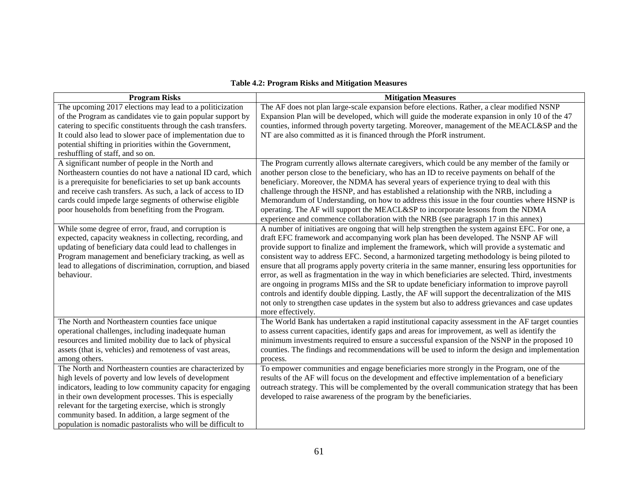#### **Table 4.2: Program Risks and Mitigation Measures**

| <b>Program Risks</b>                                                                                                                                                                                                                                                                                                                                                                                                      | <b>Mitigation Measures</b>                                                                                                                                                                                                                                                                                                                                                                                                                                                                                                                                                                                                                                                                                                                                                                                                                                                                                                           |
|---------------------------------------------------------------------------------------------------------------------------------------------------------------------------------------------------------------------------------------------------------------------------------------------------------------------------------------------------------------------------------------------------------------------------|--------------------------------------------------------------------------------------------------------------------------------------------------------------------------------------------------------------------------------------------------------------------------------------------------------------------------------------------------------------------------------------------------------------------------------------------------------------------------------------------------------------------------------------------------------------------------------------------------------------------------------------------------------------------------------------------------------------------------------------------------------------------------------------------------------------------------------------------------------------------------------------------------------------------------------------|
| The upcoming 2017 elections may lead to a politicization<br>of the Program as candidates vie to gain popular support by<br>catering to specific constituents through the cash transfers.<br>It could also lead to slower pace of implementation due to<br>potential shifting in priorities within the Government,<br>reshuffling of staff, and so on.                                                                     | The AF does not plan large-scale expansion before elections. Rather, a clear modified NSNP<br>Expansion Plan will be developed, which will guide the moderate expansion in only 10 of the 47<br>counties, informed through poverty targeting. Moreover, management of the MEACL&SP and the<br>NT are also committed as it is financed through the PforR instrument.                                                                                                                                                                                                                                                                                                                                                                                                                                                                                                                                                                  |
| A significant number of people in the North and<br>Northeastern counties do not have a national ID card, which<br>is a prerequisite for beneficiaries to set up bank accounts<br>and receive cash transfers. As such, a lack of access to ID<br>cards could impede large segments of otherwise eligible<br>poor households from benefiting from the Program.                                                              | The Program currently allows alternate caregivers, which could be any member of the family or<br>another person close to the beneficiary, who has an ID to receive payments on behalf of the<br>beneficiary. Moreover, the NDMA has several years of experience trying to deal with this<br>challenge through the HSNP, and has established a relationship with the NRB, including a<br>Memorandum of Understanding, on how to address this issue in the four counties where HSNP is<br>operating. The AF will support the MEACL&SP to incorporate lessons from the NDMA<br>experience and commence collaboration with the NRB (see paragraph 17 in this annex)                                                                                                                                                                                                                                                                      |
| While some degree of error, fraud, and corruption is<br>expected, capacity weakness in collecting, recording, and<br>updating of beneficiary data could lead to challenges in<br>Program management and beneficiary tracking, as well as<br>lead to allegations of discrimination, corruption, and biased<br>behaviour.                                                                                                   | A number of initiatives are ongoing that will help strengthen the system against EFC. For one, a<br>draft EFC framework and accompanying work plan has been developed. The NSNP AF will<br>provide support to finalize and implement the framework, which will provide a systematic and<br>consistent way to address EFC. Second, a harmonized targeting methodology is being piloted to<br>ensure that all programs apply poverty criteria in the same manner, ensuring less opportunities for<br>error, as well as fragmentation in the way in which beneficiaries are selected. Third, investments<br>are ongoing in programs MISs and the SR to update beneficiary information to improve payroll<br>controls and identify double dipping. Lastly, the AF will support the decentralization of the MIS<br>not only to strengthen case updates in the system but also to address grievances and case updates<br>more effectively. |
| The North and Northeastern counties face unique<br>operational challenges, including inadequate human<br>resources and limited mobility due to lack of physical<br>assets (that is, vehicles) and remoteness of vast areas,<br>among others.                                                                                                                                                                              | The World Bank has undertaken a rapid institutional capacity assessment in the AF target counties<br>to assess current capacities, identify gaps and areas for improvement, as well as identify the<br>minimum investments required to ensure a successful expansion of the NSNP in the proposed 10<br>counties. The findings and recommendations will be used to inform the design and implementation<br>process.                                                                                                                                                                                                                                                                                                                                                                                                                                                                                                                   |
| The North and Northeastern counties are characterized by<br>high levels of poverty and low levels of development<br>indicators, leading to low community capacity for engaging<br>in their own development processes. This is especially<br>relevant for the targeting exercise, which is strongly<br>community based. In addition, a large segment of the<br>population is nomadic pastoralists who will be difficult to | To empower communities and engage beneficiaries more strongly in the Program, one of the<br>results of the AF will focus on the development and effective implementation of a beneficiary<br>outreach strategy. This will be complemented by the overall communication strategy that has been<br>developed to raise awareness of the program by the beneficiaries.                                                                                                                                                                                                                                                                                                                                                                                                                                                                                                                                                                   |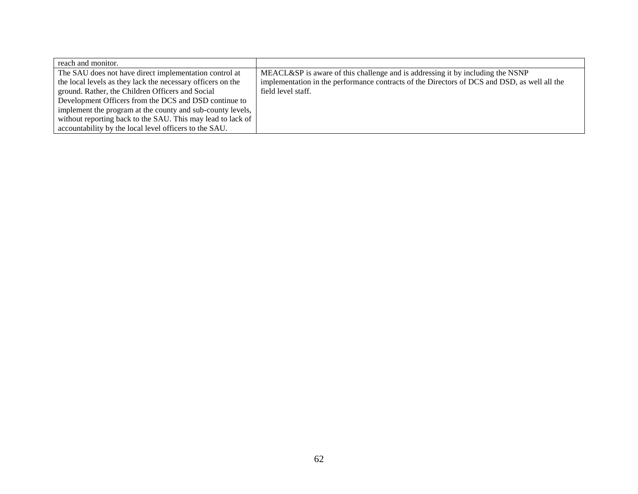| reach and monitor.                                          |                                                                                              |
|-------------------------------------------------------------|----------------------------------------------------------------------------------------------|
| The SAU does not have direct implementation control at      | MEACL&SP is aware of this challenge and is addressing it by including the NSNP               |
| the local levels as they lack the necessary officers on the | implementation in the performance contracts of the Directors of DCS and DSD, as well all the |
| ground. Rather, the Children Officers and Social            | field level staff.                                                                           |
| Development Officers from the DCS and DSD continue to       |                                                                                              |
| implement the program at the county and sub-county levels,  |                                                                                              |
| without reporting back to the SAU. This may lead to lack of |                                                                                              |
| accountability by the local level officers to the SAU.      |                                                                                              |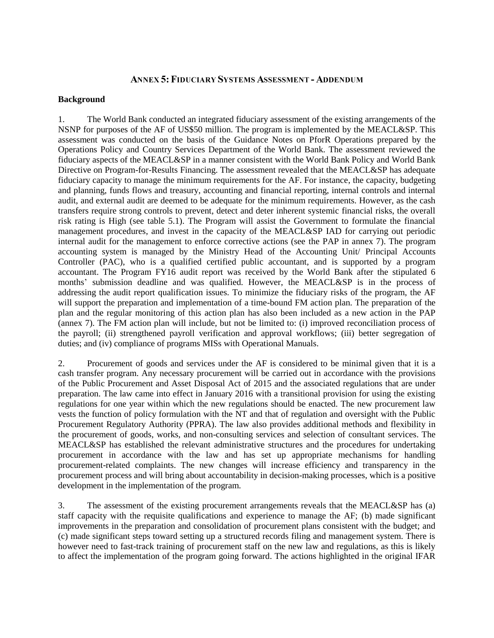#### **ANNEX 5: FIDUCIARY SYSTEMS ASSESSMENT - ADDENDUM**

#### **Background**

1. The World Bank conducted an integrated fiduciary assessment of the existing arrangements of the NSNP for purposes of the AF of US\$50 million. The program is implemented by the MEACL&SP. This assessment was conducted on the basis of the Guidance Notes on PforR Operations prepared by the Operations Policy and Country Services Department of the World Bank. The assessment reviewed the fiduciary aspects of the MEACL&SP in a manner consistent with the World Bank Policy and World Bank Directive on Program-for-Results Financing. The assessment revealed that the MEACL&SP has adequate fiduciary capacity to manage the minimum requirements for the AF. For instance, the capacity, budgeting and planning, funds flows and treasury, accounting and financial reporting, internal controls and internal audit, and external audit are deemed to be adequate for the minimum requirements. However, as the cash transfers require strong controls to prevent, detect and deter inherent systemic financial risks, the overall risk rating is High (see table 5.1). The Program will assist the Government to formulate the financial management procedures, and invest in the capacity of the MEACL&SP IAD for carrying out periodic internal audit for the management to enforce corrective actions (see the PAP in annex 7). The program accounting system is managed by the Ministry Head of the Accounting Unit/ Principal Accounts Controller (PAC), who is a qualified certified public accountant, and is supported by a program accountant. The Program FY16 audit report was received by the World Bank after the stipulated 6 months' submission deadline and was qualified. However, the MEACL&SP is in the process of addressing the audit report qualification issues. To minimize the fiduciary risks of the program, the AF will support the preparation and implementation of a time-bound FM action plan. The preparation of the plan and the regular monitoring of this action plan has also been included as a new action in the PAP (annex 7). The FM action plan will include, but not be limited to: (i) improved reconciliation process of the payroll; (ii) strengthened payroll verification and approval workflows; (iii) better segregation of duties; and (iv) compliance of programs MISs with Operational Manuals.

2. Procurement of goods and services under the AF is considered to be minimal given that it is a cash transfer program. Any necessary procurement will be carried out in accordance with the provisions of the Public Procurement and Asset Disposal Act of 2015 and the associated regulations that are under preparation. The law came into effect in January 2016 with a transitional provision for using the existing regulations for one year within which the new regulations should be enacted. The new procurement law vests the function of policy formulation with the NT and that of regulation and oversight with the Public Procurement Regulatory Authority (PPRA). The law also provides additional methods and flexibility in the procurement of goods, works, and non-consulting services and selection of consultant services. The MEACL&SP has established the relevant administrative structures and the procedures for undertaking procurement in accordance with the law and has set up appropriate mechanisms for handling procurement-related complaints. The new changes will increase efficiency and transparency in the procurement process and will bring about accountability in decision-making processes, which is a positive development in the implementation of the program.

3. The assessment of the existing procurement arrangements reveals that the MEACL&SP has (a) staff capacity with the requisite qualifications and experience to manage the AF; (b) made significant improvements in the preparation and consolidation of procurement plans consistent with the budget; and (c) made significant steps toward setting up a structured records filing and management system. There is however need to fast-track training of procurement staff on the new law and regulations, as this is likely to affect the implementation of the program going forward. The actions highlighted in the original IFAR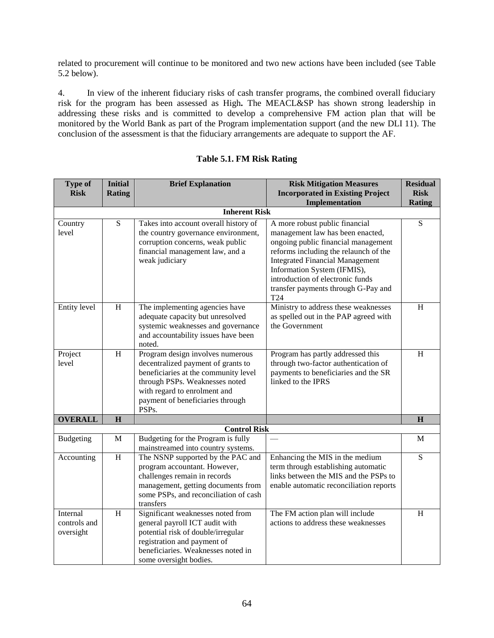related to procurement will continue to be monitored and two new actions have been included (see Table 5.2 below).

4. In view of the inherent fiduciary risks of cash transfer programs, the combined overall fiduciary risk for the program has been assessed as High*.* The MEACL&SP has shown strong leadership in addressing these risks and is committed to develop a comprehensive FM action plan that will be monitored by the World Bank as part of the Program implementation support (and the new DLI 11). The conclusion of the assessment is that the fiduciary arrangements are adequate to support the AF.

| <b>Risk Mitigation Measures</b><br><b>Type of</b><br><b>Initial</b><br><b>Brief Explanation</b><br><b>Risk</b><br><b>Incorporated in Existing Project</b><br><b>Rating</b> | <b>Residual</b><br><b>Risk</b> |  |  |  |
|----------------------------------------------------------------------------------------------------------------------------------------------------------------------------|--------------------------------|--|--|--|
| Implementation                                                                                                                                                             | <b>Rating</b>                  |  |  |  |
| <b>Inherent Risk</b>                                                                                                                                                       |                                |  |  |  |
| ${\bf S}$<br>Takes into account overall history of<br>A more robust public financial<br>Country                                                                            | S                              |  |  |  |
| level<br>the country governance environment,<br>management law has been enacted,                                                                                           |                                |  |  |  |
| corruption concerns, weak public<br>ongoing public financial management<br>financial management law, and a<br>reforms including the relaunch of the                        |                                |  |  |  |
| weak judiciary<br><b>Integrated Financial Management</b>                                                                                                                   |                                |  |  |  |
| Information System (IFMIS),                                                                                                                                                |                                |  |  |  |
| introduction of electronic funds                                                                                                                                           |                                |  |  |  |
| transfer payments through G-Pay and                                                                                                                                        |                                |  |  |  |
| T24                                                                                                                                                                        |                                |  |  |  |
| Entity level<br>H<br>Ministry to address these weaknesses<br>The implementing agencies have                                                                                | H                              |  |  |  |
| adequate capacity but unresolved<br>as spelled out in the PAP agreed with<br>systemic weaknesses and governance<br>the Government                                          |                                |  |  |  |
| and accountability issues have been                                                                                                                                        |                                |  |  |  |
| noted.                                                                                                                                                                     |                                |  |  |  |
| Program design involves numerous<br>Project<br>H<br>Program has partly addressed this                                                                                      | H                              |  |  |  |
| level<br>decentralized payment of grants to<br>through two-factor authentication of                                                                                        |                                |  |  |  |
| payments to beneficiaries and the SR<br>beneficiaries at the community level                                                                                               |                                |  |  |  |
| through PSPs. Weaknesses noted<br>linked to the IPRS                                                                                                                       |                                |  |  |  |
| with regard to enrolment and<br>payment of beneficiaries through                                                                                                           |                                |  |  |  |
| PSPs.                                                                                                                                                                      |                                |  |  |  |
| <b>OVERALL</b><br>$\overline{\mathbf{H}}$                                                                                                                                  | $\overline{\mathbf{H}}$        |  |  |  |
| <b>Control Risk</b>                                                                                                                                                        |                                |  |  |  |
| Budgeting for the Program is fully<br>M<br><b>Budgeting</b>                                                                                                                | M                              |  |  |  |
| mainstreamed into country systems.                                                                                                                                         |                                |  |  |  |
| $\boldsymbol{\mathrm{H}}$<br>The NSNP supported by the PAC and<br>Enhancing the MIS in the medium<br>Accounting                                                            | S                              |  |  |  |
| program accountant. However,<br>term through establishing automatic<br>links between the MIS and the PSPs to<br>challenges remain in records                               |                                |  |  |  |
| management, getting documents from<br>enable automatic reconciliation reports                                                                                              |                                |  |  |  |
| some PSPs, and reconciliation of cash                                                                                                                                      |                                |  |  |  |
| transfers                                                                                                                                                                  |                                |  |  |  |
| Significant weaknesses noted from<br>H<br>The FM action plan will include<br>Internal                                                                                      | H                              |  |  |  |
| controls and<br>general payroll ICT audit with<br>actions to address these weaknesses                                                                                      |                                |  |  |  |
| potential risk of double/irregular<br>oversight                                                                                                                            |                                |  |  |  |
| registration and payment of<br>beneficiaries. Weaknesses noted in                                                                                                          |                                |  |  |  |
| some oversight bodies.                                                                                                                                                     |                                |  |  |  |

#### **Table 5.1. FM Risk Rating**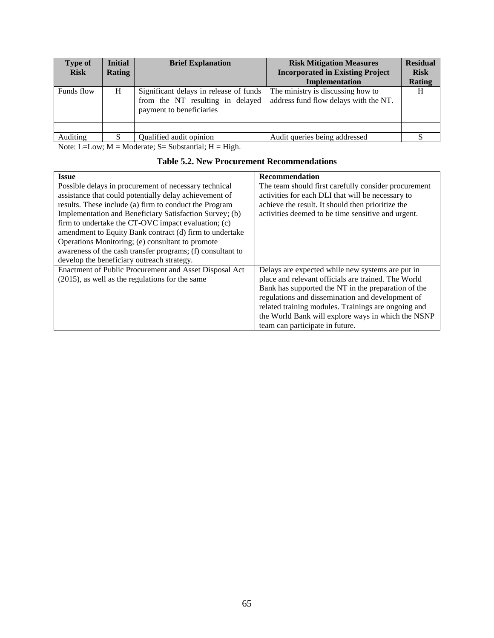| <b>Type of</b><br><b>Risk</b> | <b>Initial</b><br><b>Rating</b> | <b>Brief Explanation</b>                                                                               | <b>Risk Mitigation Measures</b><br><b>Incorporated in Existing Project</b><br>Implementation | <b>Residual</b><br><b>Risk</b><br><b>Rating</b> |
|-------------------------------|---------------------------------|--------------------------------------------------------------------------------------------------------|----------------------------------------------------------------------------------------------|-------------------------------------------------|
| Funds flow                    | H                               | Significant delays in release of funds<br>from the NT resulting in delayed<br>payment to beneficiaries | The ministry is discussing how to<br>address fund flow delays with the NT.                   | H                                               |
|                               |                                 |                                                                                                        |                                                                                              |                                                 |
| Auditing                      |                                 | Qualified audit opinion                                                                                | Audit queries being addressed                                                                |                                                 |

Note: L=Low;  $M =$ Moderate; S= Substantial;  $H =$  High.

|  |  | <b>Table 5.2. New Procurement Recommendations</b> |
|--|--|---------------------------------------------------|
|--|--|---------------------------------------------------|

| <b>Issue</b>                                               | Recommendation                                       |  |
|------------------------------------------------------------|------------------------------------------------------|--|
| Possible delays in procurement of necessary technical      | The team should first carefully consider procurement |  |
| assistance that could potentially delay achievement of     | activities for each DLI that will be necessary to    |  |
| results. These include (a) firm to conduct the Program     | achieve the result. It should then prioritize the    |  |
| Implementation and Beneficiary Satisfaction Survey; (b)    | activities deemed to be time sensitive and urgent.   |  |
| firm to undertake the CT-OVC impact evaluation; (c)        |                                                      |  |
| amendment to Equity Bank contract (d) firm to undertake    |                                                      |  |
| Operations Monitoring; (e) consultant to promote           |                                                      |  |
| awareness of the cash transfer programs; (f) consultant to |                                                      |  |
| develop the beneficiary outreach strategy.                 |                                                      |  |
| Enactment of Public Procurement and Asset Disposal Act     | Delays are expected while new systems are put in     |  |
| (2015), as well as the regulations for the same            | place and relevant officials are trained. The World  |  |
|                                                            | Bank has supported the NT in the preparation of the  |  |
|                                                            | regulations and dissemination and development of     |  |
|                                                            | related training modules. Trainings are ongoing and  |  |
|                                                            | the World Bank will explore ways in which the NSNP   |  |
|                                                            | team can participate in future.                      |  |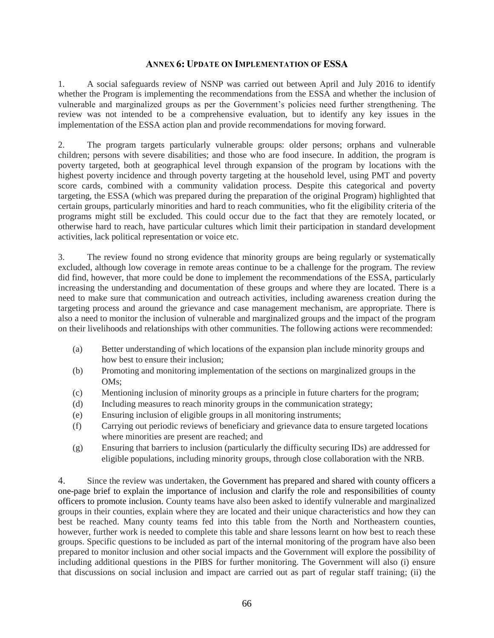#### **ANNEX 6: UPDATE ON IMPLEMENTATION OF ESSA**

1. A social safeguards review of NSNP was carried out between April and July 2016 to identify whether the Program is implementing the recommendations from the ESSA and whether the inclusion of vulnerable and marginalized groups as per the Government's policies need further strengthening. The review was not intended to be a comprehensive evaluation, but to identify any key issues in the implementation of the ESSA action plan and provide recommendations for moving forward.

2. The program targets particularly vulnerable groups: older persons; orphans and vulnerable children; persons with severe disabilities; and those who are food insecure. In addition, the program is poverty targeted, both at geographical level through expansion of the program by locations with the highest poverty incidence and through poverty targeting at the household level, using PMT and poverty score cards, combined with a community validation process. Despite this categorical and poverty targeting, the ESSA (which was prepared during the preparation of the original Program) highlighted that certain groups, particularly minorities and hard to reach communities, who fit the eligibility criteria of the programs might still be excluded. This could occur due to the fact that they are remotely located, or otherwise hard to reach, have particular cultures which limit their participation in standard development activities, lack political representation or voice etc.

3. The review found no strong evidence that minority groups are being regularly or systematically excluded, although low coverage in remote areas continue to be a challenge for the program. The review did find, however, that more could be done to implement the recommendations of the ESSA, particularly increasing the understanding and documentation of these groups and where they are located. There is a need to make sure that communication and outreach activities, including awareness creation during the targeting process and around the grievance and case management mechanism, are appropriate. There is also a need to monitor the inclusion of vulnerable and marginalized groups and the impact of the program on their livelihoods and relationships with other communities. The following actions were recommended:

- (a) Better understanding of which locations of the expansion plan include minority groups and how best to ensure their inclusion;
- (b) Promoting and monitoring implementation of the sections on marginalized groups in the OMs;
- (c) Mentioning inclusion of minority groups as a principle in future charters for the program;
- (d) Including measures to reach minority groups in the communication strategy;
- (e) Ensuring inclusion of eligible groups in all monitoring instruments;
- (f) Carrying out periodic reviews of beneficiary and grievance data to ensure targeted locations where minorities are present are reached; and
- (g) Ensuring that barriers to inclusion (particularly the difficulty securing IDs) are addressed for eligible populations, including minority groups, through close collaboration with the NRB.

4. Since the review was undertaken, the Government has prepared and shared with county officers a one-page brief to explain the importance of inclusion and clarify the role and responsibilities of county officers to promote inclusion. County teams have also been asked to identify vulnerable and marginalized groups in their counties, explain where they are located and their unique characteristics and how they can best be reached. Many county teams fed into this table from the North and Northeastern counties, however, further work is needed to complete this table and share lessons learnt on how best to reach these groups. Specific questions to be included as part of the internal monitoring of the program have also been prepared to monitor inclusion and other social impacts and the Government will explore the possibility of including additional questions in the PIBS for further monitoring. The Government will also (i) ensure that discussions on social inclusion and impact are carried out as part of regular staff training; (ii) the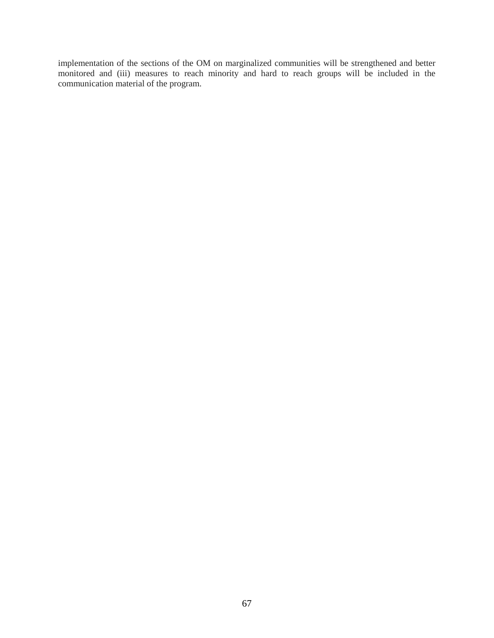implementation of the sections of the OM on marginalized communities will be strengthened and better monitored and (iii) measures to reach minority and hard to reach groups will be included in the communication material of the program.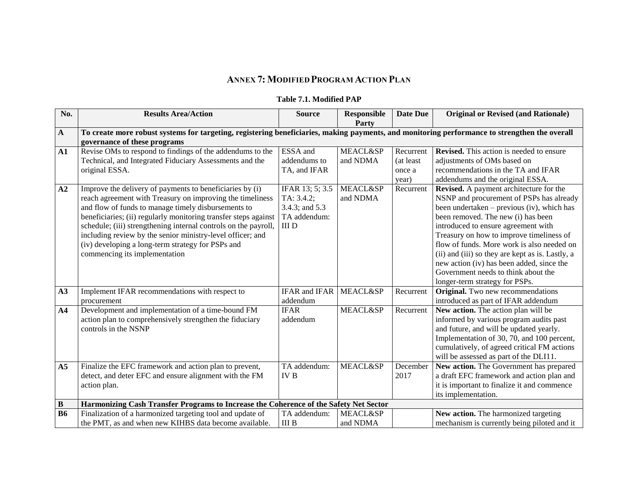# **ANNEX 7: MODIFIED PROGRAM ACTION PLAN**

## **Table 7.1. Modified PAP**

| No.            | <b>Results Area/Action</b>                                                                                                                                                                                                                                                                                                                                                                                                                                             | <b>Source</b>                                                                  | <b>Responsible</b><br>Party     | <b>Date Due</b>                            | <b>Original or Revised (and Rationale)</b>                                                                                                                                                                                                                                                                                                                                                                                                                                         |  |
|----------------|------------------------------------------------------------------------------------------------------------------------------------------------------------------------------------------------------------------------------------------------------------------------------------------------------------------------------------------------------------------------------------------------------------------------------------------------------------------------|--------------------------------------------------------------------------------|---------------------------------|--------------------------------------------|------------------------------------------------------------------------------------------------------------------------------------------------------------------------------------------------------------------------------------------------------------------------------------------------------------------------------------------------------------------------------------------------------------------------------------------------------------------------------------|--|
| $\mathbf{A}$   | To create more robust systems for targeting, registering beneficiaries, making payments, and monitoring performance to strengthen the overall                                                                                                                                                                                                                                                                                                                          |                                                                                |                                 |                                            |                                                                                                                                                                                                                                                                                                                                                                                                                                                                                    |  |
| ${\bf A1}$     | governance of these programs<br>Revise OMs to respond to findings of the addendums to the<br>Technical, and Integrated Fiduciary Assessments and the<br>original ESSA.                                                                                                                                                                                                                                                                                                 | ESSA and<br>addendums to<br>TA, and IFAR                                       | <b>MEACL&amp;SP</b><br>and NDMA | Recurrent<br>(at least)<br>once a<br>year) | <b>Revised.</b> This action is needed to ensure<br>adjustments of OMs based on<br>recommendations in the TA and IFAR<br>addendums and the original ESSA.                                                                                                                                                                                                                                                                                                                           |  |
| A2             | Improve the delivery of payments to beneficiaries by (i)<br>reach agreement with Treasury on improving the timeliness<br>and flow of funds to manage timely disbursements to<br>beneficiaries; (ii) regularly monitoring transfer steps against<br>schedule; (iii) strengthening internal controls on the payroll,<br>including review by the senior ministry-level officer; and<br>(iv) developing a long-term strategy for PSPs and<br>commencing its implementation | IFAR 13; 5; 3.5<br>TA: 3.4.2;<br>3.4.3; and 5.3<br>TA addendum:<br>$\rm III$ D | <b>MEACL&amp;SP</b><br>and NDMA | Recurrent                                  | Revised. A payment architecture for the<br>NSNP and procurement of PSPs has already<br>been undertaken – previous (iv), which has<br>been removed. The new (i) has been<br>introduced to ensure agreement with<br>Treasury on how to improve timeliness of<br>flow of funds. More work is also needed on<br>(ii) and (iii) so they are kept as is. Lastly, a<br>new action (iv) has been added, since the<br>Government needs to think about the<br>longer-term strategy for PSPs. |  |
| A3             | Implement IFAR recommendations with respect to<br>procurement                                                                                                                                                                                                                                                                                                                                                                                                          | <b>IFAR</b> and <b>IFAR</b><br>addendum                                        | <b>MEACL&amp;SP</b>             | Recurrent                                  | <b>Original.</b> Two new recommendations<br>introduced as part of IFAR addendum                                                                                                                                                                                                                                                                                                                                                                                                    |  |
| $\mathbf{A4}$  | Development and implementation of a time-bound FM<br>action plan to comprehensively strengthen the fiduciary<br>controls in the NSNP                                                                                                                                                                                                                                                                                                                                   | <b>IFAR</b><br>addendum                                                        | <b>MEACL&amp;SP</b>             | Recurrent                                  | New action. The action plan will be<br>informed by various program audits past<br>and future, and will be updated yearly.<br>Implementation of 30, 70, and 100 percent,<br>cumulatively, of agreed critical FM actions<br>will be assessed as part of the DLI11.                                                                                                                                                                                                                   |  |
| A <sub>5</sub> | Finalize the EFC framework and action plan to prevent,<br>detect, and deter EFC and ensure alignment with the FM<br>action plan.                                                                                                                                                                                                                                                                                                                                       | TA addendum:<br><b>IVB</b>                                                     | <b>MEACL&amp;SP</b>             | December<br>2017                           | New action. The Government has prepared<br>a draft EFC framework and action plan and<br>it is important to finalize it and commence<br>its implementation.                                                                                                                                                                                                                                                                                                                         |  |
| $\, {\bf B}$   | Harmonizing Cash Transfer Programs to Increase the Coherence of the Safety Net Sector                                                                                                                                                                                                                                                                                                                                                                                  |                                                                                |                                 |                                            |                                                                                                                                                                                                                                                                                                                                                                                                                                                                                    |  |
| <b>B6</b>      | Finalization of a harmonized targeting tool and update of<br>the PMT, as and when new KIHBS data become available.                                                                                                                                                                                                                                                                                                                                                     | TA addendum:<br><b>III</b> B                                                   | <b>MEACL&amp;SP</b><br>and NDMA |                                            | New action. The harmonized targeting<br>mechanism is currently being piloted and it                                                                                                                                                                                                                                                                                                                                                                                                |  |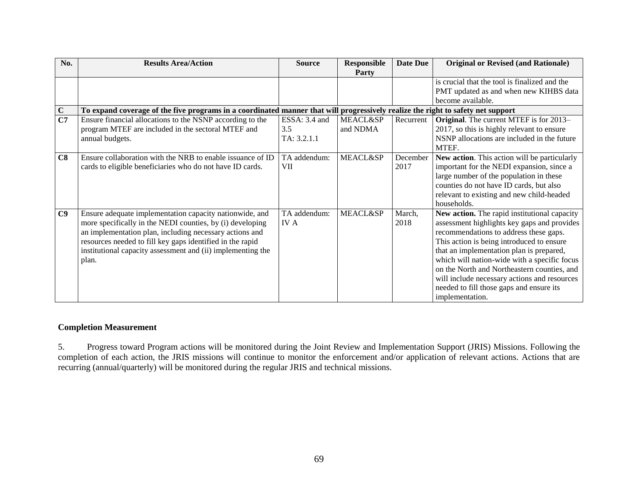| No.         | <b>Results Area/Action</b>                                                                                                                                                                                                                                                                                           | <b>Source</b>              | <b>Responsible</b><br><b>Party</b> | <b>Date Due</b>  | <b>Original or Revised (and Rationale)</b>                                                                                                                                                                                                                                                                                                                                                                                                   |  |
|-------------|----------------------------------------------------------------------------------------------------------------------------------------------------------------------------------------------------------------------------------------------------------------------------------------------------------------------|----------------------------|------------------------------------|------------------|----------------------------------------------------------------------------------------------------------------------------------------------------------------------------------------------------------------------------------------------------------------------------------------------------------------------------------------------------------------------------------------------------------------------------------------------|--|
|             |                                                                                                                                                                                                                                                                                                                      |                            |                                    |                  | is crucial that the tool is finalized and the<br>PMT updated as and when new KIHBS data<br>become available.                                                                                                                                                                                                                                                                                                                                 |  |
| $\mathbf C$ | To expand coverage of the five programs in a coordinated manner that will progressively realize the right to safety net support                                                                                                                                                                                      |                            |                                    |                  |                                                                                                                                                                                                                                                                                                                                                                                                                                              |  |
| C7          | Ensure financial allocations to the NSNP according to the                                                                                                                                                                                                                                                            | ESSA: 3.4 and              | <b>MEACL&amp;SP</b>                | Recurrent        | <b>Original.</b> The current MTEF is for 2013-                                                                                                                                                                                                                                                                                                                                                                                               |  |
|             | program MTEF are included in the sectoral MTEF and                                                                                                                                                                                                                                                                   | 3.5                        | and NDMA                           |                  | 2017, so this is highly relevant to ensure                                                                                                                                                                                                                                                                                                                                                                                                   |  |
|             | annual budgets.                                                                                                                                                                                                                                                                                                      | TA: 3.2.1.1                |                                    |                  | NSNP allocations are included in the future<br>MTEF.                                                                                                                                                                                                                                                                                                                                                                                         |  |
| C8          | Ensure collaboration with the NRB to enable issuance of ID<br>cards to eligible beneficiaries who do not have ID cards.                                                                                                                                                                                              | TA addendum:<br>VII        | <b>MEACL&amp;SP</b>                | December<br>2017 | New action. This action will be particularly<br>important for the NEDI expansion, since a<br>large number of the population in these<br>counties do not have ID cards, but also<br>relevant to existing and new child-headed<br>households.                                                                                                                                                                                                  |  |
| C9          | Ensure adequate implementation capacity nationwide, and<br>more specifically in the NEDI counties, by (i) developing<br>an implementation plan, including necessary actions and<br>resources needed to fill key gaps identified in the rapid<br>institutional capacity assessment and (ii) implementing the<br>plan. | TA addendum:<br><b>IVA</b> | <b>MEACL&amp;SP</b>                | March,<br>2018   | New action. The rapid institutional capacity<br>assessment highlights key gaps and provides<br>recommendations to address these gaps.<br>This action is being introduced to ensure<br>that an implementation plan is prepared,<br>which will nation-wide with a specific focus<br>on the North and Northeastern counties, and<br>will include necessary actions and resources<br>needed to fill those gaps and ensure its<br>implementation. |  |

## **Completion Measurement**

5. Progress toward Program actions will be monitored during the Joint Review and Implementation Support (JRIS) Missions. Following the completion of each action, the JRIS missions will continue to monitor the enforcement and/or application of relevant actions. Actions that are recurring (annual/quarterly) will be monitored during the regular JRIS and technical missions.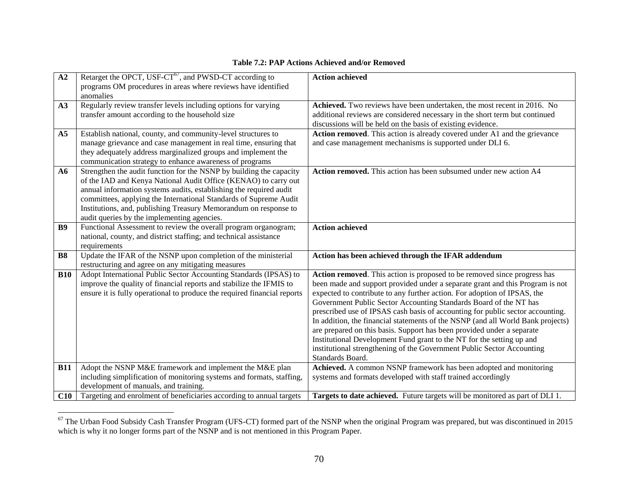## **Table 7.2: PAP Actions Achieved and/or Removed**

| A2             | Retarget the OPCT, USF-CT <sup>67</sup> , and PWSD-CT according to                                             | <b>Action achieved</b>                                                                                                                                    |
|----------------|----------------------------------------------------------------------------------------------------------------|-----------------------------------------------------------------------------------------------------------------------------------------------------------|
|                | programs OM procedures in areas where reviews have identified                                                  |                                                                                                                                                           |
|                | anomalies                                                                                                      |                                                                                                                                                           |
| A3             | Regularly review transfer levels including options for varying                                                 | Achieved. Two reviews have been undertaken, the most recent in 2016. No                                                                                   |
|                | transfer amount according to the household size                                                                | additional reviews are considered necessary in the short term but continued<br>discussions will be held on the basis of existing evidence.                |
| A <sub>5</sub> | Establish national, county, and community-level structures to                                                  | Action removed. This action is already covered under A1 and the grievance                                                                                 |
|                | manage grievance and case management in real time, ensuring that                                               | and case management mechanisms is supported under DLI 6.                                                                                                  |
|                | they adequately address marginalized groups and implement the                                                  |                                                                                                                                                           |
|                | communication strategy to enhance awareness of programs                                                        |                                                                                                                                                           |
| A6             | Strengthen the audit function for the NSNP by building the capacity                                            | Action removed. This action has been subsumed under new action A4                                                                                         |
|                | of the IAD and Kenya National Audit Office (KENAO) to carry out                                                |                                                                                                                                                           |
|                | annual information systems audits, establishing the required audit                                             |                                                                                                                                                           |
|                | committees, applying the International Standards of Supreme Audit                                              |                                                                                                                                                           |
|                | Institutions, and, publishing Treasury Memorandum on response to                                               |                                                                                                                                                           |
|                | audit queries by the implementing agencies.<br>Functional Assessment to review the overall program organogram; |                                                                                                                                                           |
| B9             | national, county, and district staffing; and technical assistance                                              | <b>Action achieved</b>                                                                                                                                    |
|                | requirements                                                                                                   |                                                                                                                                                           |
| <b>B8</b>      | Update the IFAR of the NSNP upon completion of the ministerial                                                 | Action has been achieved through the IFAR addendum                                                                                                        |
|                | restructuring and agree on any mitigating measures                                                             |                                                                                                                                                           |
| <b>B10</b>     | Adopt International Public Sector Accounting Standards (IPSAS) to                                              | Action removed. This action is proposed to be removed since progress has                                                                                  |
|                | improve the quality of financial reports and stabilize the IFMIS to                                            | been made and support provided under a separate grant and this Program is not                                                                             |
|                | ensure it is fully operational to produce the required financial reports                                       | expected to contribute to any further action. For adoption of IPSAS, the                                                                                  |
|                |                                                                                                                | Government Public Sector Accounting Standards Board of the NT has                                                                                         |
|                |                                                                                                                | prescribed use of IPSAS cash basis of accounting for public sector accounting.                                                                            |
|                |                                                                                                                | In addition, the financial statements of the NSNP (and all World Bank projects)<br>are prepared on this basis. Support has been provided under a separate |
|                |                                                                                                                | Institutional Development Fund grant to the NT for the setting up and                                                                                     |
|                |                                                                                                                | institutional strengthening of the Government Public Sector Accounting                                                                                    |
|                |                                                                                                                | Standards Board.                                                                                                                                          |
| <b>B11</b>     | Adopt the NSNP M&E framework and implement the M&E plan                                                        | Achieved. A common NSNP framework has been adopted and monitoring                                                                                         |
|                | including simplification of monitoring systems and formats, staffing,                                          | systems and formats developed with staff trained accordingly                                                                                              |
|                | development of manuals, and training.                                                                          |                                                                                                                                                           |
| C10            | Targeting and enrolment of beneficiaries according to annual targets                                           | Targets to date achieved. Future targets will be monitored as part of DLI 1.                                                                              |

 $\overline{a}$  $\frac{67}{10}$  The Urban Food Subsidy Cash Transfer Program (UFS-CT) formed part of the NSNP when the original Program was prepared, but was discontinued in 2015 which is why it no longer forms part of the NSNP and is not mentioned in this Program Paper.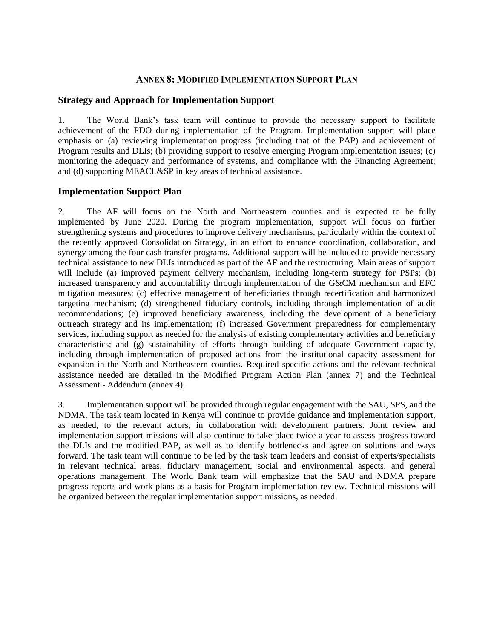## **ANNEX 8: MODIFIED IMPLEMENTATION SUPPORT PLAN**

## **Strategy and Approach for Implementation Support**

1. The World Bank's task team will continue to provide the necessary support to facilitate achievement of the PDO during implementation of the Program. Implementation support will place emphasis on (a) reviewing implementation progress (including that of the PAP) and achievement of Program results and DLIs; (b) providing support to resolve emerging Program implementation issues; (c) monitoring the adequacy and performance of systems, and compliance with the Financing Agreement; and (d) supporting MEACL&SP in key areas of technical assistance.

## **Implementation Support Plan**

2. The AF will focus on the North and Northeastern counties and is expected to be fully implemented by June 2020. During the program implementation, support will focus on further strengthening systems and procedures to improve delivery mechanisms, particularly within the context of the recently approved Consolidation Strategy, in an effort to enhance coordination, collaboration, and synergy among the four cash transfer programs. Additional support will be included to provide necessary technical assistance to new DLIs introduced as part of the AF and the restructuring. Main areas of support will include (a) improved payment delivery mechanism, including long-term strategy for PSPs; (b) increased transparency and accountability through implementation of the G&CM mechanism and EFC mitigation measures; (c) effective management of beneficiaries through recertification and harmonized targeting mechanism; (d) strengthened fiduciary controls, including through implementation of audit recommendations; (e) improved beneficiary awareness, including the development of a beneficiary outreach strategy and its implementation; (f) increased Government preparedness for complementary services, including support as needed for the analysis of existing complementary activities and beneficiary characteristics; and (g) sustainability of efforts through building of adequate Government capacity, including through implementation of proposed actions from the institutional capacity assessment for expansion in the North and Northeastern counties. Required specific actions and the relevant technical assistance needed are detailed in the Modified Program Action Plan (annex 7) and the Technical Assessment - Addendum (annex 4).

3. Implementation support will be provided through regular engagement with the SAU, SPS, and the NDMA. The task team located in Kenya will continue to provide guidance and implementation support, as needed, to the relevant actors, in collaboration with development partners. Joint review and implementation support missions will also continue to take place twice a year to assess progress toward the DLIs and the modified PAP, as well as to identify bottlenecks and agree on solutions and ways forward. The task team will continue to be led by the task team leaders and consist of experts/specialists in relevant technical areas, fiduciary management, social and environmental aspects, and general operations management. The World Bank team will emphasize that the SAU and NDMA prepare progress reports and work plans as a basis for Program implementation review. Technical missions will be organized between the regular implementation support missions, as needed.